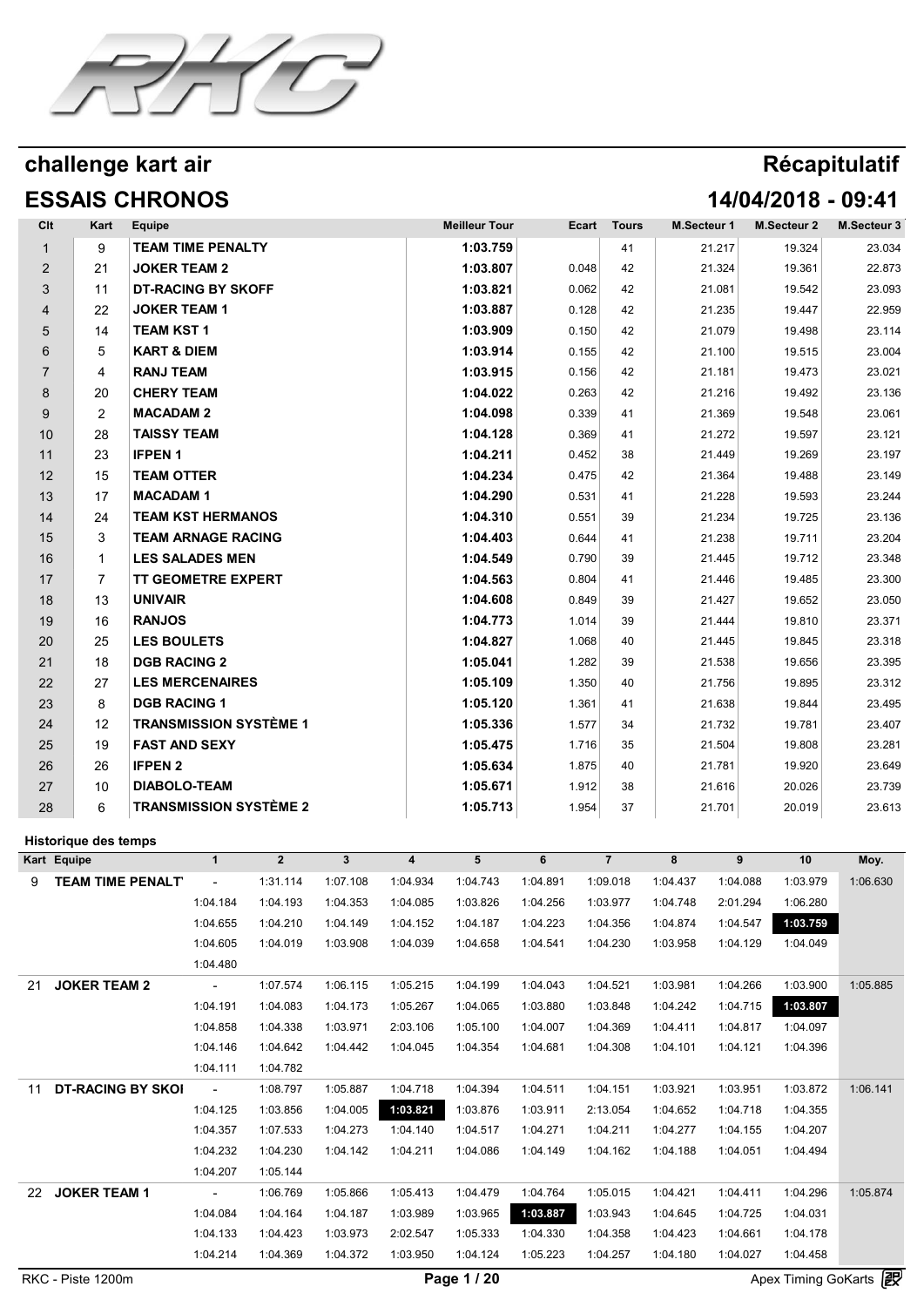

# **ESSAIS CHRONOS 14/04/2018 - 09:41**

| Clt            | Kart                        | Equipe                 |                           |                               |              |                         | <b>Meilleur Tour</b> |          | Ecart | <b>Tours</b>   | M.Secteur 1 |          | M.Secteur 2 | M.Secteur 3 |
|----------------|-----------------------------|------------------------|---------------------------|-------------------------------|--------------|-------------------------|----------------------|----------|-------|----------------|-------------|----------|-------------|-------------|
|                | 9                           |                        | <b>TEAM TIME PENALTY</b>  |                               |              |                         | 1:03.759             |          |       | 41             |             | 21.217   | 19.324      | 23.034      |
| $\overline{2}$ | 21                          | <b>JOKER TEAM 2</b>    |                           |                               |              |                         | 1:03.807             |          | 0.048 | 42             |             | 21.324   | 19.361      | 22.873      |
| 3              | 11                          |                        | <b>DT-RACING BY SKOFF</b> |                               |              |                         | 1:03.821             |          | 0.062 | 42             |             | 21.081   | 19.542      | 23.093      |
| 4              | 22                          | <b>JOKER TEAM 1</b>    |                           |                               |              |                         | 1:03.887             |          | 0.128 | 42             |             | 21.235   | 19.447      | 22.959      |
| 5              | 14                          | <b>TEAM KST1</b>       |                           |                               |              |                         | 1:03.909             |          | 0.150 | 42             |             | 21.079   | 19.498      | 23.114      |
| 6              | 5                           | <b>KART &amp; DIEM</b> |                           |                               |              |                         | 1:03.914             |          | 0.155 | 42             |             | 21.100   | 19.515      | 23.004      |
| $\overline{7}$ | 4                           | <b>RANJ TEAM</b>       |                           |                               |              |                         | 1:03.915             |          | 0.156 | 42             |             | 21.181   | 19.473      | 23.021      |
| 8              | 20                          | <b>CHERY TEAM</b>      |                           |                               |              |                         | 1:04.022             |          | 0.263 | 42             |             | 21.216   | 19.492      | 23.136      |
| 9              | $\overline{2}$              | <b>MACADAM 2</b>       |                           |                               |              |                         | 1:04.098             |          | 0.339 | 41             |             | 21.369   | 19.548      | 23.061      |
| 10             | 28                          | <b>TAISSY TEAM</b>     |                           |                               |              |                         | 1:04.128             |          | 0.369 | 41             |             | 21.272   | 19.597      | 23.121      |
| 11             | 23                          | <b>IFPEN1</b>          |                           |                               |              |                         | 1:04.211             |          | 0.452 | 38             |             | 21.449   | 19.269      | 23.197      |
| 12             | 15                          | <b>TEAM OTTER</b>      |                           |                               |              |                         | 1:04.234             |          | 0.475 | 42             |             | 21.364   | 19.488      | 23.149      |
| 13             | 17                          | <b>MACADAM1</b>        |                           |                               |              |                         | 1:04.290             |          | 0.531 | 41             |             | 21.228   | 19.593      | 23.244      |
| 14             | 24                          |                        | <b>TEAM KST HERMANOS</b>  |                               |              |                         | 1:04.310             |          | 0.551 | 39             |             | 21.234   | 19.725      | 23.136      |
| 15             | 3                           |                        | <b>TEAM ARNAGE RACING</b> |                               |              |                         | 1:04.403             |          | 0.644 | 41             |             | 21.238   | 19.711      | 23.204      |
| 16             | 1                           |                        | <b>LES SALADES MEN</b>    |                               |              |                         | 1:04.549             |          | 0.790 | 39             |             | 21.445   | 19.712      | 23.348      |
| 17             | $\overline{7}$              |                        | <b>TT GEOMETRE EXPERT</b> |                               |              |                         | 1:04.563             |          | 0.804 | 41             |             | 21.446   | 19.485      | 23.300      |
| 18             | 13                          | <b>UNIVAIR</b>         |                           |                               |              |                         | 1:04.608             |          | 0.849 | 39             |             | 21.427   | 19.652      | 23.050      |
| 19             | 16                          | <b>RANJOS</b>          |                           |                               |              |                         | 1:04.773             |          | 1.014 | 39             |             | 21.444   | 19.810      | 23.371      |
| 20             | 25                          | <b>LES BOULETS</b>     |                           |                               |              |                         | 1:04.827             |          | 1.068 | 40             |             | 21.445   | 19.845      | 23.318      |
| 21             | 18                          | <b>DGB RACING 2</b>    |                           |                               |              |                         | 1:05.041             |          | 1.282 | 39             |             | 21.538   | 19.656      | 23.395      |
| 22             | 27                          |                        | <b>LES MERCENAIRES</b>    |                               |              |                         | 1:05.109             |          | 1.350 | 40             |             | 21.756   | 19.895      | 23.312      |
| 23             | 8                           | <b>DGB RACING 1</b>    |                           |                               |              |                         | 1:05.120             |          | 1.361 | 41             |             | 21.638   | 19.844      | 23.495      |
| 24             | 12                          |                        |                           | <b>TRANSMISSION SYSTÈME 1</b> |              |                         | 1:05.336             |          | 1.577 | 34             |             | 21.732   | 19.781      | 23.407      |
| 25             | 19                          | <b>FAST AND SEXY</b>   |                           |                               |              |                         | 1:05.475             |          | 1.716 | 35             |             | 21.504   | 19.808      | 23.281      |
| 26             | 26                          | <b>IFPEN 2</b>         |                           |                               |              |                         | 1:05.634             |          | 1.875 | 40             |             | 21.781   | 19.920      | 23.649      |
| 27             | 10                          | <b>DIABOLO-TEAM</b>    |                           |                               |              |                         | 1:05.671             |          | 1.912 | 38             |             | 21.616   | 20.026      | 23.739      |
| 28             | 6                           |                        |                           | <b>TRANSMISSION SYSTÈME 2</b> |              |                         | 1:05.713             |          | 1.954 | 37             |             | 21.701   | 20.019      | 23.613      |
|                | <b>Historique des temps</b> |                        |                           |                               |              |                         |                      |          |       |                |             |          |             |             |
| Kart Equipe    |                             |                        | $\mathbf{1}$              | $\overline{2}$                | $\mathbf{3}$ | $\overline{\mathbf{4}}$ | 5                    | 6        |       | $\overline{7}$ | 8           | 9        | 10          | Moy.        |
| 9              | <b>TEAM TIME PENALT</b>     |                        | ÷                         | 1:31.114                      | 1:07.108     | 1:04.934                | 1:04.743             | 1:04.891 |       | 1:09.018       | 1:04.437    | 1:04.088 | 1:03.979    | 1:06.630    |
|                |                             |                        | 1:04.184                  | 1:04.193                      | 1:04.353     | 1:04.085                | 1:03.826             | 1:04.256 |       | 1:03.977       | 1:04.748    | 2:01.294 | 1:06.280    |             |
|                |                             |                        | 1:04.655                  | 1:04.210                      | 1:04.149     | 1:04.152                | 1:04.187             | 1:04.223 |       | 1:04.356       | 1:04.874    | 1:04.547 | 1:03.759    |             |
|                |                             |                        | 1:04.605                  | 1:04.019                      | 1:03.908     | 1:04.039                | 1:04.658             | 1:04.541 |       | 1:04.230       | 1:03.958    | 1:04.129 | 1:04.049    |             |
|                |                             |                        | 1:04.480                  |                               |              |                         |                      |          |       |                |             |          |             |             |
| 21             | <b>JOKER TEAM 2</b>         |                        | $\sim$                    | 1:07.574                      | 1:06.115     | 1:05.215                | 1:04.199             | 1:04.043 |       | 1:04.521       | 1:03.981    | 1:04.266 | 1:03.900    | 1:05.885    |
|                |                             |                        | 1:04.191                  | 1:04.083                      | 1:04.173     | 1:05.267                | 1:04.065             | 1:03.880 |       | 1:03.848       | 1:04.242    | 1:04.715 | 1:03.807    |             |
|                |                             |                        | 1:04.858                  | 1:04.338                      | 1:03.971     | 2:03.106                | 1:05.100             | 1:04.007 |       | 1:04.369       | 1:04.411    | 1:04.817 | 1:04.097    |             |
|                |                             |                        | 1.04.146                  | 1.01010                       | 1.04.112     | 1.0404E                 | 4.04254              | 1.04.001 |       | 1.04.200       | 1.04.101    | 1.04.121 | 1.01.200    |             |

|    | _ _                      |                          |          |          | $\overline{\phantom{a}}$ | .        |          |          |          |          |          | Œ        |
|----|--------------------------|--------------------------|----------|----------|--------------------------|----------|----------|----------|----------|----------|----------|----------|
|    |                          | 1:04.214                 | 1:04.369 | 1:04.372 | 1:03.950                 | 1:04.124 | 1:05.223 | 1:04.257 | 1:04.180 | 1:04.027 | 1:04.458 |          |
|    |                          | 1:04.133                 | 1:04.423 | 1:03.973 | 2:02.547                 | 1:05.333 | 1:04.330 | 1:04.358 | 1:04.423 | 1:04.661 | 1:04.178 |          |
|    |                          | 1:04.084                 | 1:04.164 | 1:04.187 | 1:03.989                 | 1:03.965 | 1:03.887 | 1:03.943 | 1:04.645 | 1:04.725 | 1:04.031 |          |
| 22 | <b>JOKER TEAM 1</b>      | $\overline{\phantom{a}}$ | 1:06.769 | 1:05.866 | 1:05.413                 | 1:04.479 | 1:04.764 | 1:05.015 | 1:04.421 | 1:04.411 | 1:04.296 | 1:05.874 |
|    |                          | 1:04.207                 | 1:05.144 |          |                          |          |          |          |          |          |          |          |
|    |                          | 1:04.232                 | 1:04.230 | 1:04.142 | 1:04.211                 | 1:04.086 | 1:04.149 | 1:04.162 | 1:04.188 | 1:04.051 | 1:04.494 |          |
|    |                          | 1:04.357                 | 1:07.533 | 1:04.273 | 1:04.140                 | 1:04.517 | 1:04.271 | 1:04.211 | 1:04.277 | 1:04.155 | 1:04.207 |          |
|    |                          | 1:04.125                 | 1:03.856 | 1:04.005 | 1:03.821                 | 1:03.876 | 1:03.911 | 2:13.054 | 1:04.652 | 1:04.718 | 1:04.355 |          |
| 11 | <b>DT-RACING BY SKOL</b> | $\overline{\phantom{a}}$ | 1:08.797 | 1:05.887 | 1:04.718                 | 1:04.394 | 1:04.511 | 1:04.151 | 1:03.921 | 1:03.951 | 1:03.872 | 1:06.141 |
|    |                          | 1:04.111                 | 1:04.782 |          |                          |          |          |          |          |          |          |          |
|    |                          | 1:04.146                 | 1:04.642 | 1:04.442 | 1:04.045                 | 1:04.354 | 1:04.681 | 1:04.308 | 1:04.101 | 1:04.121 | 1:04.396 |          |
|    |                          | 1:04.858                 | 1:04.338 | 1:03.971 | 2:03.106                 | 1:05.100 | 1:04.007 | 1:04.369 | 1:04.411 | 1:04.817 | 1:04.097 |          |
|    |                          | 1:04.191                 | 1:04.083 | 1:04.173 | 1:05.267                 | 1:04.065 | 1:03.880 | 1:03.848 | 1:04.242 | 1:04.715 | 1:03.807 |          |
| 21 | <b>JOKER TEAM 2</b>      |                          | 1:07.574 | 1:06.115 | 1:05.215                 | 1:04.199 | 1:04.043 | 1:04.521 | 1:03.981 | 1:04.266 | 1:03.900 | 1:05.885 |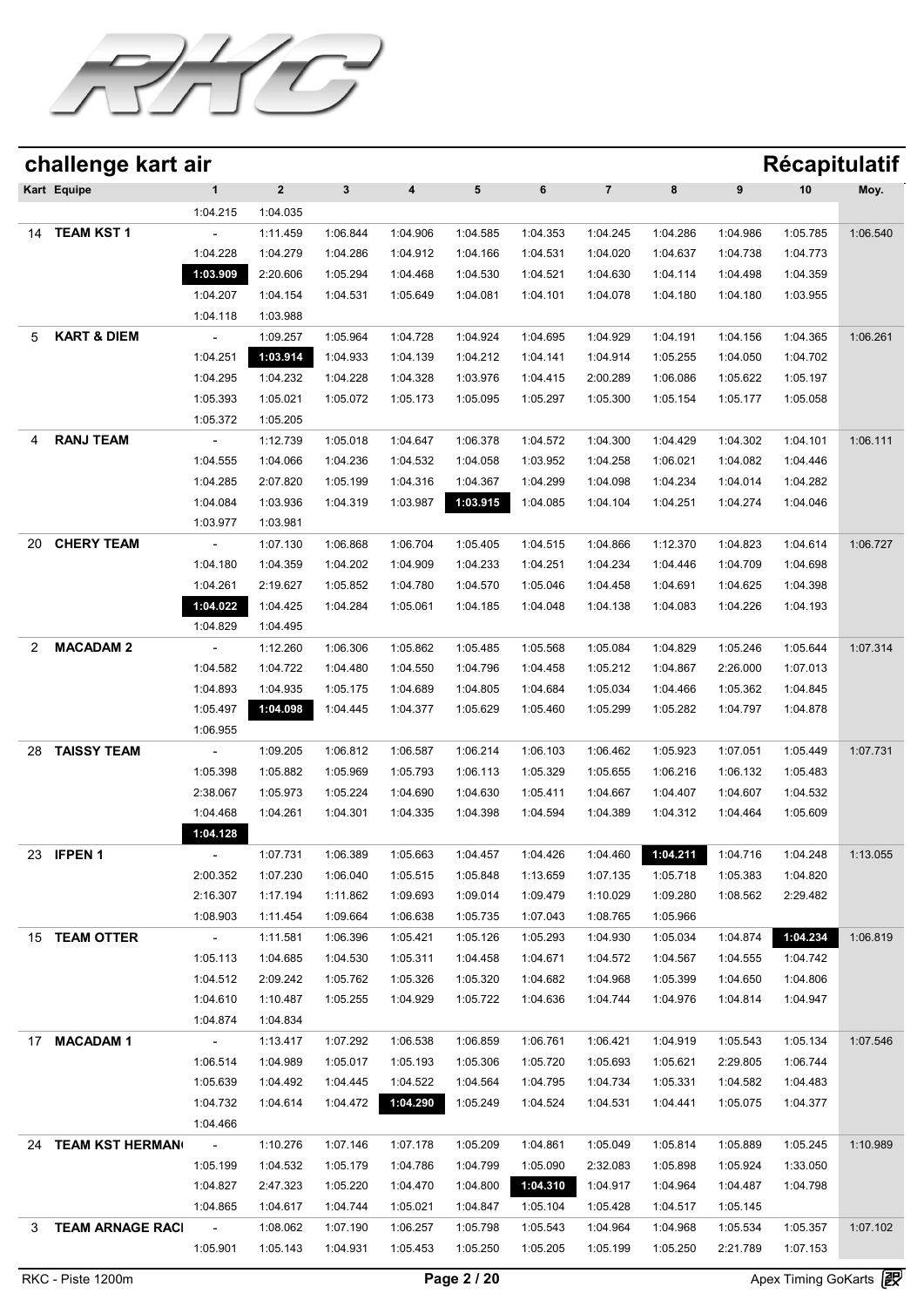

|    | challenge kart air     |                          |              |              |                  |          |          |                |          |          | <b>Récapitulatif</b> |          |
|----|------------------------|--------------------------|--------------|--------------|------------------|----------|----------|----------------|----------|----------|----------------------|----------|
|    | Kart Equipe            | $\mathbf{1}$             | $\mathbf{2}$ | $\mathbf{3}$ | $\boldsymbol{4}$ | 5        | 6        | $\overline{7}$ | 8        | 9        | 10                   | Moy.     |
|    |                        | 1:04.215                 | 1:04.035     |              |                  |          |          |                |          |          |                      |          |
| 14 | <b>TEAM KST1</b>       |                          | 1:11.459     | 1:06.844     | 1:04.906         | 1:04.585 | 1:04.353 | 1:04.245       | 1:04.286 | 1:04.986 | 1:05.785             | 1:06.540 |
|    |                        | 1:04.228                 | 1:04.279     | 1:04.286     | 1:04.912         | 1:04.166 | 1:04.531 | 1:04.020       | 1:04.637 | 1:04.738 | 1:04.773             |          |
|    |                        | 1:03.909                 | 2:20.606     | 1:05.294     | 1:04.468         | 1:04.530 | 1:04.521 | 1:04.630       | 1:04.114 | 1:04.498 | 1:04.359             |          |
|    |                        | 1:04.207                 | 1:04.154     | 1:04.531     | 1:05.649         | 1:04.081 | 1:04.101 | 1:04.078       | 1:04.180 | 1:04.180 | 1:03.955             |          |
|    |                        | 1:04.118                 | 1:03.988     |              |                  |          |          |                |          |          |                      |          |
| 5  | <b>KART &amp; DIEM</b> | $\overline{\phantom{a}}$ | 1:09.257     | 1:05.964     | 1:04.728         | 1:04.924 | 1:04.695 | 1:04.929       | 1:04.191 | 1:04.156 | 1:04.365             | 1:06.261 |
|    |                        | 1:04.251                 | 1:03.914     | 1:04.933     | 1:04.139         | 1:04.212 | 1:04.141 | 1:04.914       | 1:05.255 | 1:04.050 | 1:04.702             |          |
|    |                        | 1:04.295                 | 1:04.232     | 1:04.228     | 1:04.328         | 1:03.976 | 1:04.415 | 2:00.289       | 1:06.086 | 1:05.622 | 1:05.197             |          |
|    |                        | 1:05.393                 | 1:05.021     | 1:05.072     | 1:05.173         | 1:05.095 | 1:05.297 | 1:05.300       | 1:05.154 | 1:05.177 | 1:05.058             |          |
|    |                        | 1:05.372                 | 1:05.205     |              |                  |          |          |                |          |          |                      |          |
| 4  | <b>RANJ TEAM</b>       | $\overline{\phantom{a}}$ | 1:12.739     | 1:05.018     | 1:04.647         | 1:06.378 | 1:04.572 | 1:04.300       | 1:04.429 | 1:04.302 | 1:04.101             | 1:06.111 |
|    |                        | 1:04.555                 | 1:04.066     | 1:04.236     | 1:04.532         | 1:04.058 | 1:03.952 | 1:04.258       | 1:06.021 | 1:04.082 | 1:04.446             |          |
|    |                        | 1:04.285                 | 2:07.820     | 1:05.199     | 1:04.316         | 1:04.367 | 1:04.299 | 1:04.098       | 1:04.234 | 1:04.014 | 1:04.282             |          |
|    |                        | 1:04.084                 | 1:03.936     | 1:04.319     | 1:03.987         | 1:03.915 | 1:04.085 | 1:04.104       | 1:04.251 | 1:04.274 | 1:04.046             |          |
|    |                        | 1:03.977                 | 1:03.981     |              |                  |          |          |                |          |          |                      |          |
| 20 | <b>CHERY TEAM</b>      |                          | 1:07.130     | 1:06.868     | 1:06.704         | 1:05.405 | 1:04.515 | 1:04.866       | 1:12.370 | 1:04.823 | 1:04.614             | 1:06.727 |
|    |                        | 1:04.180                 | 1:04.359     | 1:04.202     | 1:04.909         | 1:04.233 | 1:04.251 | 1:04.234       | 1:04.446 | 1:04.709 | 1:04.698             |          |
|    |                        | 1:04.261                 | 2:19.627     | 1:05.852     | 1:04.780         | 1:04.570 | 1:05.046 | 1:04.458       | 1:04.691 | 1:04.625 | 1:04.398             |          |
|    |                        | 1:04.022                 | 1:04.425     | 1:04.284     | 1:05.061         | 1:04.185 | 1:04.048 | 1:04.138       | 1:04.083 | 1:04.226 | 1:04.193             |          |
|    |                        | 1:04.829                 | 1:04.495     |              |                  |          |          |                |          |          |                      |          |
| 2  | <b>MACADAM 2</b>       |                          | 1:12.260     | 1:06.306     | 1:05.862         | 1:05.485 | 1:05.568 | 1:05.084       | 1:04.829 | 1:05.246 | 1:05.644             | 1:07.314 |
|    |                        | 1:04.582                 | 1:04.722     | 1:04.480     | 1:04.550         | 1:04.796 | 1:04.458 | 1:05.212       | 1:04.867 | 2:26.000 | 1:07.013             |          |
|    |                        | 1:04.893                 | 1:04.935     | 1:05.175     | 1:04.689         | 1:04.805 | 1:04.684 | 1:05.034       | 1:04.466 | 1:05.362 | 1:04.845             |          |
|    |                        | 1:05.497                 | 1:04.098     | 1:04.445     | 1:04.377         | 1:05.629 | 1:05.460 | 1:05.299       | 1:05.282 | 1:04.797 | 1:04.878             |          |
|    |                        | 1:06.955                 |              |              |                  |          |          |                |          |          |                      |          |
| 28 | <b>TAISSY TEAM</b>     |                          | 1:09.205     | 1:06.812     | 1:06.587         | 1:06.214 | 1:06.103 | 1:06.462       | 1:05.923 | 1:07.051 | 1:05.449             | 1:07.731 |
|    |                        | 1:05.398                 | 1:05.882     | 1:05.969     | 1:05.793         | 1:06.113 | 1:05.329 | 1:05.655       | 1:06.216 | 1:06.132 | 1:05.483             |          |
|    |                        | 2:38.067                 | 1:05.973     | 1:05.224     | 1:04.690         | 1:04.630 | 1:05.411 | 1:04.667       | 1:04.407 | 1:04.607 | 1:04.532             |          |
|    |                        | 1:04.468                 | 1:04.261     | 1:04.301     | 1:04.335         | 1:04.398 | 1:04.594 | 1:04.389       | 1:04.312 | 1:04.464 | 1:05.609             |          |
|    |                        | 1:04.128                 |              |              |                  |          |          |                |          |          |                      |          |
|    | 23 <b>IFPEN 1</b>      | $\sim$                   | 1:07.731     | 1:06.389     | 1:05.663         | 1:04.457 | 1:04.426 | 1:04.460       | 1:04.211 | 1:04.716 | 1:04.248             | 1:13.055 |
|    |                        | 2:00.352                 | 1:07.230     | 1:06.040     | 1:05.515         | 1:05.848 | 1:13.659 | 1:07.135       | 1:05.718 | 1:05.383 | 1:04.820             |          |
|    |                        | 2:16.307                 | 1:17.194     | 1:11.862     | 1:09.693         | 1:09.014 | 1:09.479 | 1:10.029       | 1:09.280 | 1:08.562 | 2:29.482             |          |
|    |                        | 1:08.903                 | 1:11.454     | 1:09.664     | 1:06.638         | 1:05.735 | 1:07.043 | 1:08.765       | 1:05.966 |          |                      |          |
|    | 15 TEAM OTTER          | $\sim$                   | 1:11.581     | 1:06.396     | 1:05.421         | 1:05.126 | 1:05.293 | 1:04.930       | 1:05.034 | 1:04.874 | 1:04.234             | 1:06.819 |
|    |                        | 1:05.113                 | 1:04.685     | 1:04.530     | 1:05.311         | 1:04.458 | 1:04.671 | 1:04.572       | 1:04.567 | 1:04.555 | 1:04.742             |          |
|    |                        | 1:04.512                 | 2:09.242     | 1:05.762     | 1:05.326         | 1:05.320 | 1:04.682 | 1:04.968       | 1:05.399 | 1:04.650 | 1:04.806             |          |
|    |                        | 1:04.610                 | 1:10.487     | 1:05.255     | 1:04.929         | 1:05.722 | 1:04.636 | 1:04.744       | 1:04.976 | 1:04.814 | 1:04.947             |          |
|    |                        | 1:04.874                 | 1:04.834     |              |                  |          |          |                |          |          |                      |          |
|    | 17 MACADAM 1           | $\sim$ $-$               | 1:13.417     | 1:07.292     | 1:06.538         | 1:06.859 | 1:06.761 | 1:06.421       | 1:04.919 | 1:05.543 | 1:05.134             | 1:07.546 |
|    |                        | 1:06.514                 | 1:04.989     | 1:05.017     | 1:05.193         | 1:05.306 | 1:05.720 | 1:05.693       | 1:05.621 | 2:29.805 | 1:06.744             |          |
|    |                        | 1:05.639                 | 1:04.492     | 1:04.445     | 1:04.522         | 1:04.564 | 1:04.795 | 1:04.734       | 1:05.331 | 1:04.582 | 1:04.483             |          |
|    |                        | 1:04.732                 | 1:04.614     | 1:04.472     | 1:04.290         | 1:05.249 | 1:04.524 | 1:04.531       | 1:04.441 | 1:05.075 | 1:04.377             |          |
|    |                        | 1:04.466                 |              |              |                  |          |          |                |          |          |                      |          |
|    | 24 TEAM KST HERMAN     | <b>Contractor</b>        | 1:10.276     | 1:07.146     | 1:07.178         | 1:05.209 | 1:04.861 | 1:05.049       | 1:05.814 | 1:05.889 | 1:05.245             | 1:10.989 |
|    |                        | 1:05.199                 | 1:04.532     | 1:05.179     | 1:04.786         | 1:04.799 | 1:05.090 | 2:32.083       | 1:05.898 | 1:05.924 | 1:33.050             |          |
|    |                        | 1:04.827                 | 2:47.323     | 1:05.220     | 1:04.470         | 1:04.800 | 1:04.310 | 1:04.917       | 1:04.964 | 1:04.487 | 1:04.798             |          |
|    |                        | 1:04.865                 | 1:04.617     | 1:04.744     | 1:05.021         | 1:04.847 | 1:05.104 | 1:05.428       | 1:04.517 | 1:05.145 |                      |          |
|    | 3 TEAM ARNAGE RACI     | $\sim 100$               | 1:08.062     | 1:07.190     | 1:06.257         | 1:05.798 | 1:05.543 | 1:04.964       | 1:04.968 | 1:05.534 | 1:05.357             | 1:07.102 |
|    |                        | 1:05.901                 | 1:05.143     | 1:04.931     | 1:05.453         | 1:05.250 | 1:05.205 | 1:05.199       | 1:05.250 | 2:21.789 | 1:07.153             |          |
|    |                        |                          |              |              |                  |          |          |                |          |          |                      |          |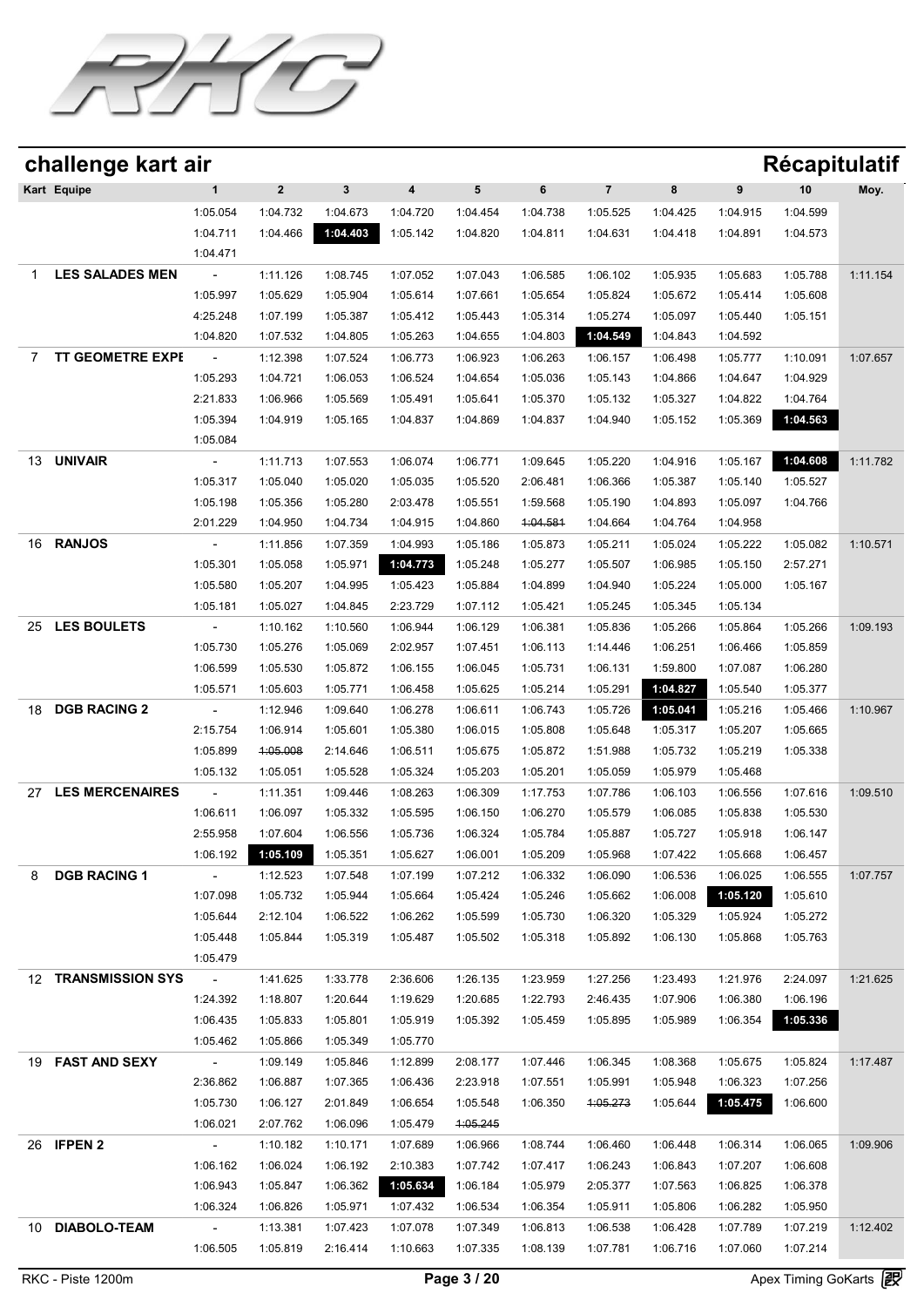

|    | challenge kart air      |                          |              |              |          |          |          |                |          |          | Récapitulatif |          |
|----|-------------------------|--------------------------|--------------|--------------|----------|----------|----------|----------------|----------|----------|---------------|----------|
|    | Kart Equipe             | $\mathbf 1$              | $\mathbf{2}$ | $\mathbf{3}$ | 4        | 5        | 6        | $\overline{7}$ | 8        | 9        | 10            | Moy.     |
|    |                         | 1:05.054                 | 1:04.732     | 1:04.673     | 1:04.720 | 1:04.454 | 1:04.738 | 1:05.525       | 1:04.425 | 1:04.915 | 1:04.599      |          |
|    |                         | 1:04.711                 | 1:04.466     | 1:04.403     | 1:05.142 | 1:04.820 | 1:04.811 | 1:04.631       | 1:04.418 | 1:04.891 | 1:04.573      |          |
|    |                         | 1:04.471                 |              |              |          |          |          |                |          |          |               |          |
| 1  | <b>LES SALADES MEN</b>  |                          | 1:11.126     | 1:08.745     | 1:07.052 | 1:07.043 | 1:06.585 | 1:06.102       | 1:05.935 | 1:05.683 | 1:05.788      | 1:11.154 |
|    |                         | 1:05.997                 | 1:05.629     | 1:05.904     | 1:05.614 | 1:07.661 | 1:05.654 | 1:05.824       | 1:05.672 | 1:05.414 | 1:05.608      |          |
|    |                         | 4:25.248                 | 1:07.199     | 1:05.387     | 1:05.412 | 1:05.443 | 1:05.314 | 1:05.274       | 1:05.097 | 1:05.440 | 1:05.151      |          |
|    |                         | 1:04.820                 | 1:07.532     | 1:04.805     | 1:05.263 | 1:04.655 | 1:04.803 | 1:04.549       | 1:04.843 | 1:04.592 |               |          |
| 7  | <b>TT GEOMETRE EXPE</b> |                          | 1:12.398     | 1:07.524     | 1:06.773 | 1:06.923 | 1:06.263 | 1:06.157       | 1:06.498 | 1:05.777 | 1:10.091      | 1:07.657 |
|    |                         | 1:05.293                 | 1:04.721     | 1:06.053     | 1:06.524 | 1:04.654 | 1:05.036 | 1:05.143       | 1:04.866 | 1:04.647 | 1:04.929      |          |
|    |                         | 2:21.833                 | 1:06.966     | 1:05.569     | 1:05.491 | 1:05.641 | 1:05.370 | 1:05.132       | 1:05.327 | 1:04.822 | 1:04.764      |          |
|    |                         | 1:05.394                 | 1:04.919     | 1:05.165     | 1:04.837 | 1:04.869 | 1:04.837 | 1:04.940       | 1:05.152 | 1:05.369 | 1:04.563      |          |
|    |                         | 1:05.084                 |              |              |          |          |          |                |          |          |               |          |
| 13 | <b>UNIVAIR</b>          |                          | 1:11.713     | 1:07.553     | 1:06.074 | 1:06.771 | 1:09.645 | 1:05.220       | 1:04.916 | 1:05.167 | 1:04.608      | 1:11.782 |
|    |                         | 1:05.317                 | 1:05.040     | 1:05.020     | 1:05.035 | 1:05.520 | 2:06.481 | 1:06.366       | 1:05.387 | 1:05.140 | 1:05.527      |          |
|    |                         | 1:05.198                 | 1:05.356     | 1:05.280     | 2:03.478 | 1:05.551 | 1:59.568 | 1:05.190       | 1:04.893 | 1:05.097 | 1:04.766      |          |
|    |                         | 2:01.229                 | 1:04.950     | 1:04.734     | 1:04.915 | 1:04.860 | 1:04.581 | 1:04.664       | 1:04.764 | 1:04.958 |               |          |
| 16 | <b>RANJOS</b>           |                          | 1:11.856     | 1:07.359     | 1:04.993 | 1:05.186 | 1:05.873 | 1:05.211       | 1:05.024 | 1:05.222 | 1:05.082      | 1:10.571 |
|    |                         | 1:05.301                 | 1:05.058     | 1:05.971     | 1:04.773 | 1:05.248 | 1:05.277 | 1:05.507       | 1:06.985 | 1:05.150 | 2:57.271      |          |
|    |                         | 1:05.580                 | 1:05.207     | 1:04.995     | 1:05.423 | 1:05.884 | 1:04.899 | 1:04.940       | 1:05.224 | 1:05.000 | 1:05.167      |          |
|    |                         | 1:05.181                 | 1:05.027     | 1:04.845     | 2:23.729 | 1:07.112 | 1:05.421 | 1:05.245       | 1:05.345 | 1:05.134 |               |          |
| 25 | <b>LES BOULETS</b>      |                          | 1:10.162     | 1:10.560     | 1:06.944 | 1:06.129 | 1:06.381 | 1:05.836       | 1:05.266 | 1:05.864 | 1:05.266      | 1:09.193 |
|    |                         | 1:05.730                 | 1:05.276     | 1:05.069     | 2:02.957 | 1:07.451 | 1:06.113 | 1:14.446       | 1:06.251 | 1:06.466 | 1:05.859      |          |
|    |                         | 1:06.599                 | 1:05.530     | 1:05.872     | 1:06.155 | 1:06.045 | 1:05.731 | 1:06.131       | 1:59.800 | 1:07.087 | 1:06.280      |          |
|    |                         | 1:05.571                 | 1:05.603     | 1:05.771     | 1:06.458 | 1:05.625 | 1:05.214 | 1:05.291       | 1:04.827 | 1:05.540 | 1:05.377      |          |
| 18 | <b>DGB RACING 2</b>     | $\overline{\phantom{a}}$ | 1:12.946     | 1:09.640     | 1:06.278 | 1:06.611 | 1:06.743 | 1:05.726       | 1:05.041 | 1:05.216 | 1:05.466      | 1:10.967 |
|    |                         | 2:15.754                 | 1:06.914     | 1:05.601     | 1:05.380 | 1:06.015 | 1:05.808 | 1:05.648       | 1:05.317 | 1:05.207 | 1:05.665      |          |
|    |                         | 1:05.899                 | 4:05.008     | 2:14.646     | 1:06.511 | 1:05.675 | 1:05.872 | 1:51.988       | 1:05.732 | 1:05.219 | 1:05.338      |          |
|    |                         | 1:05.132                 | 1:05.051     | 1:05.528     | 1:05.324 | 1:05.203 | 1:05.201 | 1:05.059       | 1:05.979 | 1:05.468 |               |          |
| 27 | <b>LES MERCENAIRES</b>  |                          | 1:11.351     | 1:09.446     | 1:08.263 | 1:06.309 | 1:17.753 | 1:07.786       | 1:06.103 | 1:06.556 | 1:07.616      | 1:09.510 |
|    |                         | 1:06.611                 | 1:06.097     | 1:05.332     | 1:05.595 | 1:06.150 | 1:06.270 | 1:05.579       | 1:06.085 | 1:05.838 | 1:05.530      |          |
|    |                         | 2:55.958                 | 1:07.604     | 1:06.556     | 1:05.736 | 1:06.324 | 1:05.784 | 1:05.887       | 1:05.727 | 1:05.918 | 1:06.147      |          |
|    |                         | 1:06.192                 | 1:05.109     | 1:05.351     | 1:05.627 | 1:06.001 | 1:05.209 | 1:05.968       | 1:07.422 | 1:05.668 | 1:06.457      |          |
| 8  | <b>DGB RACING 1</b>     | $\sim 100$               | 1:12.523     | 1:07.548     | 1:07.199 | 1:07.212 | 1:06.332 | 1:06.090       | 1:06.536 | 1:06.025 | 1:06.555      | 1:07.757 |
|    |                         | 1:07.098                 | 1:05.732     | 1:05.944     | 1:05.664 | 1:05.424 | 1:05.246 | 1:05.662       | 1:06.008 | 1:05.120 | 1:05.610      |          |
|    |                         | 1:05.644                 | 2:12.104     | 1:06.522     | 1:06.262 | 1:05.599 | 1:05.730 | 1:06.320       | 1:05.329 | 1:05.924 | 1:05.272      |          |
|    |                         | 1:05.448                 | 1:05.844     | 1:05.319     | 1:05.487 | 1:05.502 | 1:05.318 | 1:05.892       | 1:06.130 | 1:05.868 | 1:05.763      |          |
|    |                         | 1:05.479                 |              |              |          |          |          |                |          |          |               |          |
| 12 | <b>TRANSMISSION SYS</b> | $\sim 100$ km s $^{-1}$  | 1:41.625     | 1:33.778     | 2:36.606 | 1:26.135 | 1:23.959 | 1:27.256       | 1:23.493 | 1:21.976 | 2:24.097      | 1:21.625 |
|    |                         | 1:24.392                 | 1:18.807     | 1:20.644     | 1:19.629 | 1:20.685 | 1:22.793 | 2:46.435       | 1:07.906 | 1:06.380 | 1:06.196      |          |
|    |                         | 1:06.435                 | 1:05.833     | 1:05.801     | 1:05.919 | 1:05.392 | 1:05.459 | 1:05.895       | 1:05.989 | 1:06.354 | 1:05.336      |          |
|    |                         | 1:05.462                 | 1:05.866     | 1:05.349     | 1:05.770 |          |          |                |          |          |               |          |
|    | 19 FAST AND SEXY        | $\sim 10^{-10}$          | 1:09.149     | 1:05.846     | 1:12.899 | 2:08.177 | 1:07.446 | 1:06.345       | 1:08.368 | 1:05.675 | 1:05.824      | 1:17.487 |
|    |                         | 2:36.862                 | 1:06.887     | 1:07.365     | 1:06.436 | 2:23.918 | 1:07.551 | 1:05.991       | 1:05.948 | 1:06.323 | 1:07.256      |          |
|    |                         | 1:05.730                 | 1:06.127     | 2:01.849     | 1:06.654 | 1:05.548 | 1:06.350 | 1:05.273       | 1:05.644 | 1:05.475 | 1:06.600      |          |
|    |                         | 1:06.021                 | 2:07.762     | 1:06.096     | 1:05.479 | 4:05.245 |          |                |          |          |               |          |
|    | 26 <b>IFPEN 2</b>       | $\sigma_{\rm{max}}$      | 1:10.182     | 1:10.171     | 1:07.689 | 1:06.966 | 1:08.744 | 1:06.460       | 1:06.448 | 1:06.314 | 1:06.065      | 1:09.906 |
|    |                         | 1:06.162                 | 1:06.024     | 1:06.192     | 2:10.383 | 1:07.742 | 1:07.417 | 1:06.243       | 1:06.843 | 1:07.207 | 1:06.608      |          |
|    |                         | 1:06.943                 | 1:05.847     | 1:06.362     | 1:05.634 | 1:06.184 | 1:05.979 | 2:05.377       | 1:07.563 | 1:06.825 | 1:06.378      |          |
|    |                         | 1:06.324                 | 1:06.826     | 1:05.971     | 1:07.432 | 1:06.534 | 1:06.354 | 1:05.911       | 1:05.806 | 1:06.282 | 1:05.950      |          |
|    | 10 DIABOLO-TEAM         | $\sim 10^{-10}$          | 1:13.381     | 1:07.423     | 1:07.078 | 1:07.349 | 1:06.813 | 1:06.538       | 1:06.428 | 1:07.789 | 1:07.219      | 1:12.402 |
|    |                         | 1:06.505                 | 1:05.819     | 2:16.414     | 1:10.663 | 1:07.335 | 1:08.139 | 1:07.781       | 1:06.716 | 1:07.060 | 1:07.214      |          |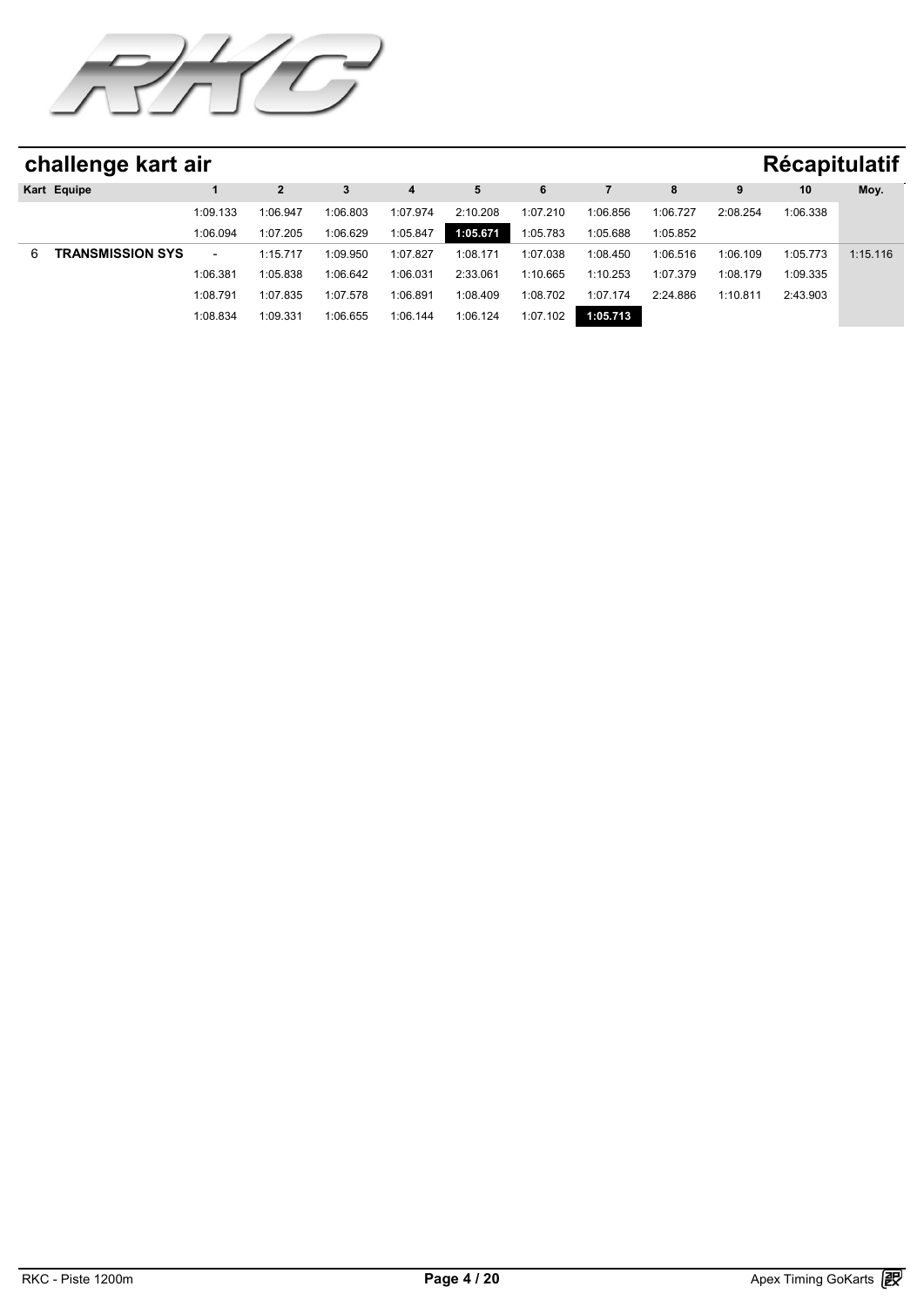

|   | challenge kart air      |                          |          |          |          |          |          |          |          |          | <b>Récapitulatif</b> |          |
|---|-------------------------|--------------------------|----------|----------|----------|----------|----------|----------|----------|----------|----------------------|----------|
|   | Kart Equipe             |                          |          | 3        |          |          | 6        |          |          |          | 10                   | Moy.     |
|   |                         | 1:09.133                 | 1:06.947 | 1:06.803 | 1:07.974 | 2:10.208 | 1:07.210 | 1:06.856 | 1:06.727 | 2:08.254 | 1:06.338             |          |
|   |                         | 1:06.094                 | 1:07.205 | 1:06.629 | 1:05.847 | 1:05.671 | 1:05.783 | 1:05.688 | 1:05.852 |          |                      |          |
| 6 | <b>TRANSMISSION SYS</b> | $\overline{\phantom{0}}$ | 1:15.717 | 1:09.950 | 1:07.827 | 1:08.171 | 1:07.038 | 1:08.450 | 1:06.516 | 1:06.109 | 1:05.773             | 1:15.116 |
|   |                         | 1:06.381                 | 1:05.838 | 1:06.642 | 1:06.031 | 2:33.061 | 1:10.665 | 1:10.253 | 1:07.379 | 1:08.179 | 1:09.335             |          |
|   |                         | 1:08.791                 | 1:07.835 | 1:07.578 | 1:06.891 | 1:08.409 | 1:08.702 | 1:07.174 | 2:24.886 | 1:10.811 | 2:43.903             |          |
|   |                         | 1:08.834                 | 1:09.331 | 1:06.655 | 1:06.144 | 1:06.124 | 1:07.102 | 1:05.713 |          |          |                      |          |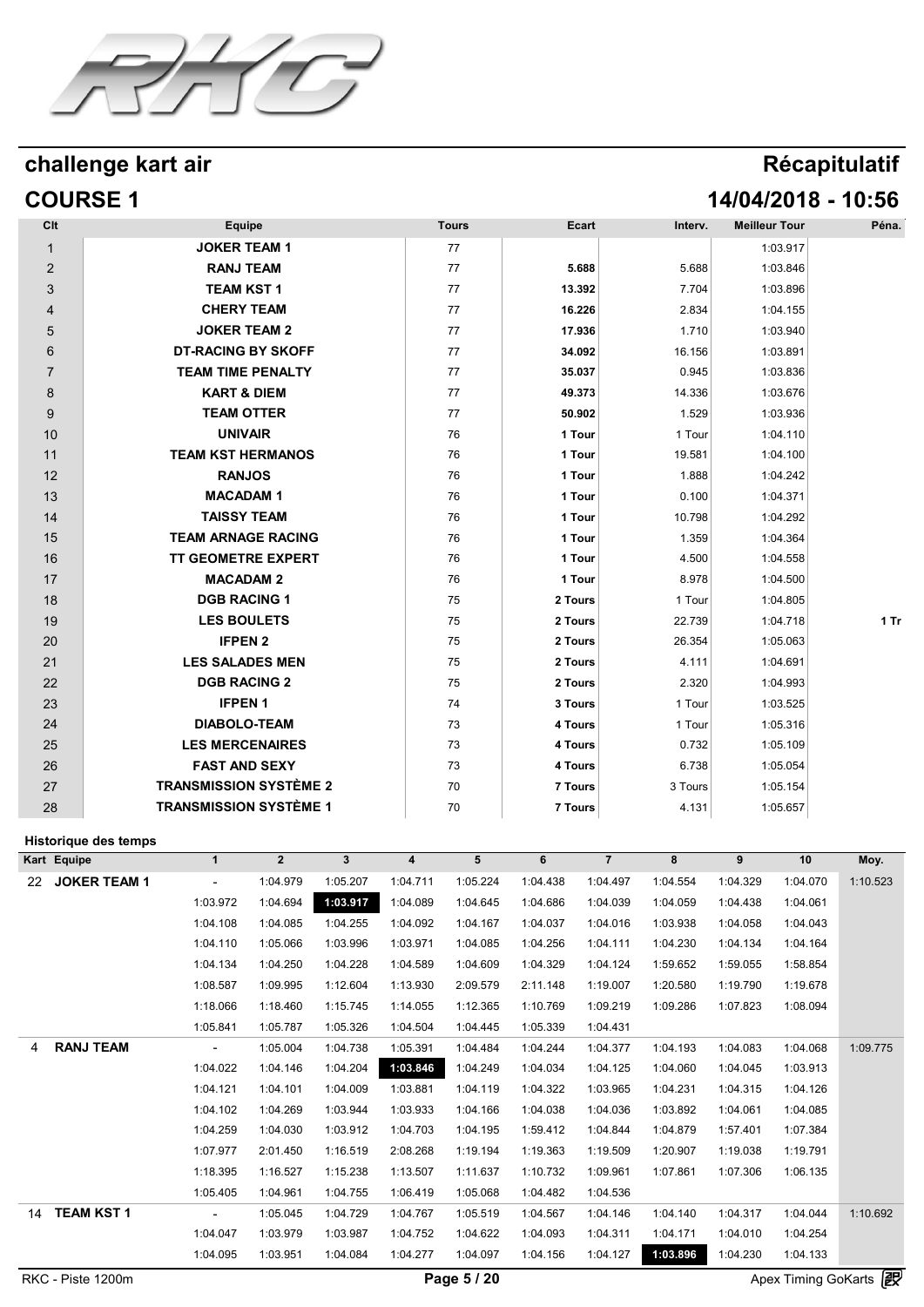

## challenge kart air

| Récapitulatif |  |
|---------------|--|
|               |  |
|               |  |

# **COURSE 1 14/04/2018 - 10:56**

| <b>Equipe</b>                 | <b>Tours</b> | Ecart   | Interv. | <b>Meilleur Tour</b> | Péna.  |
|-------------------------------|--------------|---------|---------|----------------------|--------|
| <b>JOKER TEAM 1</b>           | 77           |         |         | 1:03.917             |        |
| <b>RANJ TEAM</b>              | 77           | 5.688   | 5.688   | 1:03.846             |        |
| <b>TEAM KST 1</b>             | 77           | 13.392  | 7.704   | 1:03.896             |        |
| <b>CHERY TEAM</b>             | 77           | 16.226  | 2.834   | 1:04.155             |        |
| <b>JOKER TEAM 2</b>           | 77           | 17.936  | 1.710   | 1:03.940             |        |
| <b>DT-RACING BY SKOFF</b>     | 77           | 34.092  | 16.156  | 1:03.891             |        |
| <b>TEAM TIME PENALTY</b>      | 77           | 35.037  | 0.945   | 1:03.836             |        |
| <b>KART &amp; DIEM</b>        | 77           | 49.373  | 14.336  | 1:03.676             |        |
| <b>TEAM OTTER</b>             | 77           | 50.902  | 1.529   | 1:03.936             |        |
| <b>UNIVAIR</b>                | 76           | 1 Tour  | 1 Tour  | 1:04.110             |        |
| <b>TEAM KST HERMANOS</b>      | 76           | 1 Tour  | 19.581  | 1:04.100             |        |
| <b>RANJOS</b>                 | 76           | 1 Tour  | 1.888   | 1:04.242             |        |
| <b>MACADAM1</b>               | 76           | 1 Tour  | 0.100   | 1:04.371             |        |
| <b>TAISSY TEAM</b>            | 76           | 1 Tour  | 10.798  | 1:04.292             |        |
| <b>TEAM ARNAGE RACING</b>     | 76           | 1 Tour  | 1.359   | 1:04.364             |        |
| <b>TT GEOMETRE EXPERT</b>     | 76           | 1 Tour  | 4.500   | 1:04.558             |        |
| <b>MACADAM 2</b>              | 76           | 1 Tour  | 8.978   | 1:04.500             |        |
| <b>DGB RACING 1</b>           | 75           | 2 Tours | 1 Tour  | 1:04.805             |        |
| <b>LES BOULETS</b>            | 75           | 2 Tours | 22.739  | 1:04.718             | $1$ Tr |
| <b>IFPEN 2</b>                | 75           | 2 Tours | 26.354  | 1:05.063             |        |
| <b>LES SALADES MEN</b>        | 75           | 2 Tours | 4.111   | 1:04.691             |        |
| <b>DGB RACING 2</b>           | 75           | 2 Tours | 2.320   | 1:04.993             |        |
| <b>IFPEN1</b>                 | 74           | 3 Tours | 1 Tour  | 1:03.525             |        |
| <b>DIABOLO-TEAM</b>           | 73           | 4 Tours | 1 Tour  | 1:05.316             |        |
| <b>LES MERCENAIRES</b>        | 73           | 4 Tours | 0.732   | 1:05.109             |        |
| <b>FAST AND SEXY</b>          | 73           | 4 Tours | 6.738   | 1:05.054             |        |
| <b>TRANSMISSION SYSTÈME 2</b> | 70           | 7 Tours | 3 Tours | 1:05.154             |        |
| <b>TRANSMISSION SYSTÈME 1</b> | 70           | 7 Tours | 4.131   | 1:05.657             |        |
|                               |              |         |         |                      |        |

|                   | Historique des temps |              |                |              |                |             |          |                |          |          |                            |          |
|-------------------|----------------------|--------------|----------------|--------------|----------------|-------------|----------|----------------|----------|----------|----------------------------|----------|
| Kart Equipe       |                      | $\mathbf{1}$ | $\overline{2}$ | $\mathbf{3}$ | $\overline{4}$ | 5           | 6        | $\overline{7}$ | 8        | 9        | 10                         | Moy.     |
| 22                | <b>JOKER TEAM 1</b>  |              | 1:04.979       | 1:05.207     | 1:04.711       | 1:05.224    | 1:04.438 | 1:04.497       | 1:04.554 | 1:04.329 | 1:04.070                   | 1:10.523 |
|                   |                      | 1:03.972     | 1:04.694       | 1:03.917     | 1:04.089       | 1:04.645    | 1:04.686 | 1:04.039       | 1:04.059 | 1:04.438 | 1:04.061                   |          |
|                   |                      | 1:04.108     | 1:04.085       | 1:04.255     | 1:04.092       | 1:04.167    | 1:04.037 | 1:04.016       | 1:03.938 | 1:04.058 | 1:04.043                   |          |
|                   |                      | 1:04.110     | 1:05.066       | 1:03.996     | 1:03.971       | 1:04.085    | 1:04.256 | 1:04.111       | 1:04.230 | 1:04.134 | 1:04.164                   |          |
|                   |                      | 1:04.134     | 1:04.250       | 1:04.228     | 1:04.589       | 1:04.609    | 1:04.329 | 1:04.124       | 1:59.652 | 1:59.055 | 1:58.854                   |          |
|                   |                      | 1:08.587     | 1:09.995       | 1:12.604     | 1:13.930       | 2:09.579    | 2:11.148 | 1:19.007       | 1:20.580 | 1:19.790 | 1:19.678                   |          |
|                   |                      | 1:18.066     | 1:18.460       | 1:15.745     | 1:14.055       | 1:12.365    | 1:10.769 | 1:09.219       | 1:09.286 | 1:07.823 | 1:08.094                   |          |
|                   |                      | 1:05.841     | 1:05.787       | 1:05.326     | 1:04.504       | 1:04.445    | 1:05.339 | 1:04.431       |          |          |                            |          |
| 4                 | <b>RANJ TEAM</b>     |              | 1:05.004       | 1:04.738     | 1:05.391       | 1:04.484    | 1:04.244 | 1:04.377       | 1:04.193 | 1:04.083 | 1:04.068                   | 1:09.775 |
|                   |                      | 1:04.022     | 1:04.146       | 1:04.204     | 1:03.846       | 1:04.249    | 1:04.034 | 1:04.125       | 1:04.060 | 1:04.045 | 1:03.913                   |          |
|                   |                      | 1:04.121     | 1:04.101       | 1:04.009     | 1:03.881       | 1:04.119    | 1:04.322 | 1:03.965       | 1:04.231 | 1:04.315 | 1:04.126                   |          |
|                   |                      | 1:04.102     | 1:04.269       | 1:03.944     | 1:03.933       | 1:04.166    | 1:04.038 | 1:04.036       | 1:03.892 | 1:04.061 | 1:04.085                   |          |
|                   |                      | 1:04.259     | 1:04.030       | 1:03.912     | 1:04.703       | 1:04.195    | 1:59.412 | 1:04.844       | 1:04.879 | 1:57.401 | 1:07.384                   |          |
|                   |                      | 1:07.977     | 2:01.450       | 1:16.519     | 2:08.268       | 1:19.194    | 1:19.363 | 1:19.509       | 1:20.907 | 1:19.038 | 1:19.791                   |          |
|                   |                      | 1:18.395     | 1:16.527       | 1:15.238     | 1:13.507       | 1:11.637    | 1:10.732 | 1:09.961       | 1:07.861 | 1:07.306 | 1:06.135                   |          |
|                   |                      | 1:05.405     | 1:04.961       | 1:04.755     | 1:06.419       | 1:05.068    | 1:04.482 | 1:04.536       |          |          |                            |          |
| 14                | <b>TEAM KST 1</b>    |              | 1:05.045       | 1:04.729     | 1:04.767       | 1:05.519    | 1:04.567 | 1:04.146       | 1:04.140 | 1:04.317 | 1:04.044                   | 1:10.692 |
|                   |                      | 1:04.047     | 1:03.979       | 1:03.987     | 1:04.752       | 1:04.622    | 1:04.093 | 1:04.311       | 1:04.171 | 1:04.010 | 1:04.254                   |          |
|                   |                      | 1:04.095     | 1:03.951       | 1:04.084     | 1:04.277       | 1:04.097    | 1:04.156 | 1:04.127       | 1:03.896 | 1:04.230 | 1:04.133                   |          |
| RKC - Piste 1200m |                      |              |                |              |                | Page 5 / 20 |          |                |          |          | <b>Apex Timing GoKarts</b> | 霞        |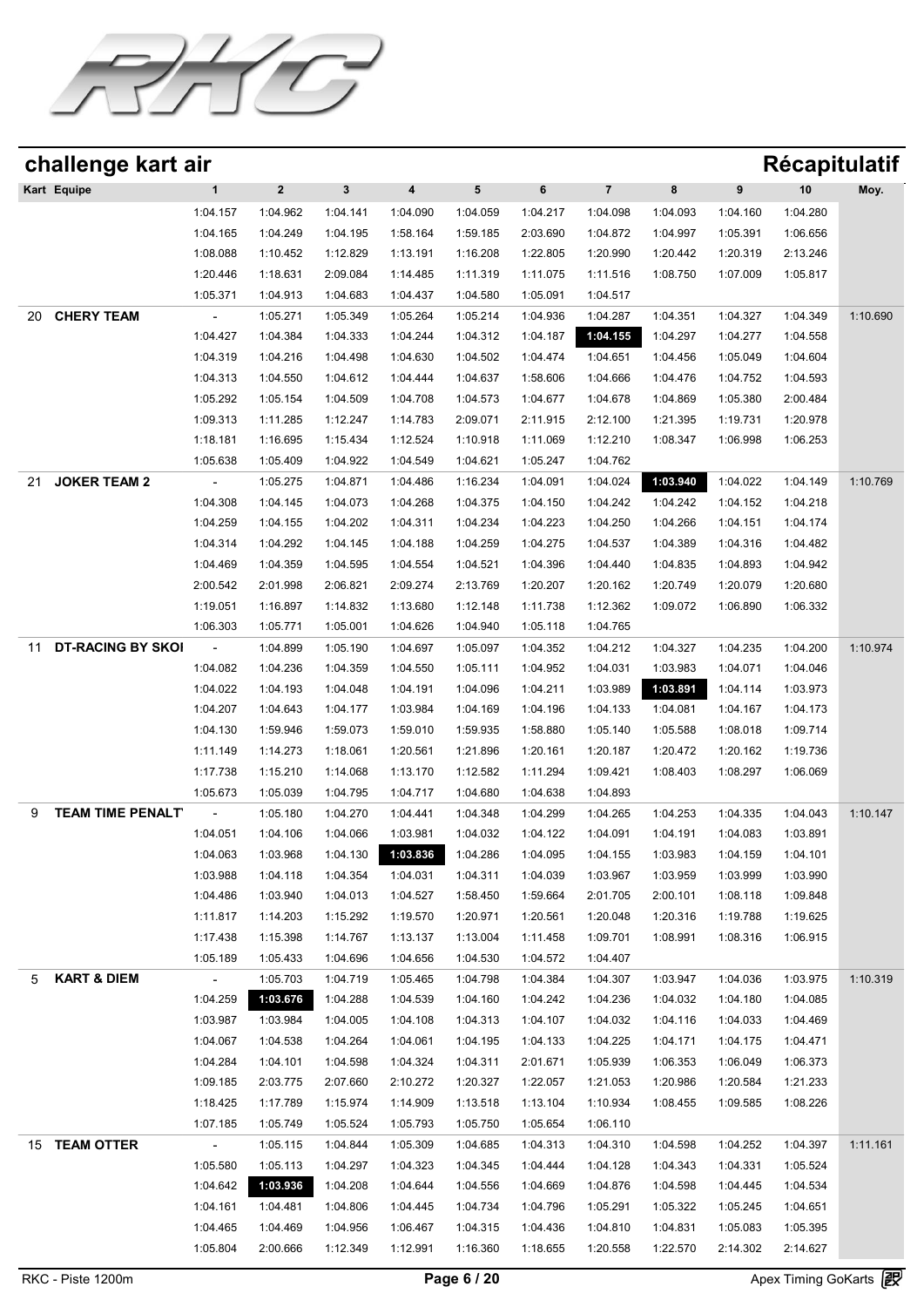

| challenge kart air             |                      |                      |                      |                      |                      |                      |                         |                      |          | Récapitulatif |          |
|--------------------------------|----------------------|----------------------|----------------------|----------------------|----------------------|----------------------|-------------------------|----------------------|----------|---------------|----------|
| Kart Equipe                    | $\mathbf{1}$         | $\mathbf{2}$         | $\mathbf{3}$         | 4                    | 5                    | 6                    | $\overline{\mathbf{7}}$ | 8                    | 9        | 10            | Moy.     |
|                                | 1:04.157             | 1:04.962             | 1:04.141             | 1:04.090             | 1:04.059             | 1:04.217             | 1:04.098                | 1:04.093             | 1:04.160 | 1:04.280      |          |
|                                | 1:04.165             | 1:04.249             | 1:04.195             | 1:58.164             | 1:59.185             | 2:03.690             | 1:04.872                | 1:04.997             | 1:05.391 | 1:06.656      |          |
|                                | 1:08.088             | 1:10.452             | 1:12.829             | 1:13.191             | 1:16.208             | 1:22.805             | 1:20.990                | 1:20.442             | 1:20.319 | 2:13.246      |          |
|                                | 1:20.446             | 1:18.631             | 2:09.084             | 1:14.485             | 1:11.319             | 1:11.075             | 1:11.516                | 1:08.750             | 1:07.009 | 1:05.817      |          |
|                                | 1:05.371             | 1:04.913             | 1:04.683             | 1:04.437             | 1:04.580             | 1:05.091             | 1:04.517                |                      |          |               |          |
| <b>CHERY TEAM</b><br>20        |                      | 1:05.271             | 1:05.349             | 1:05.264             | 1:05.214             | 1:04.936             | 1:04.287                | 1:04.351             | 1:04.327 | 1:04.349      | 1:10.690 |
|                                | 1:04.427             | 1:04.384             | 1:04.333             | 1:04.244             | 1:04.312             | 1:04.187             | 1:04.155                | 1:04.297             | 1:04.277 | 1:04.558      |          |
|                                | 1:04.319             | 1:04.216             | 1:04.498             | 1:04.630             | 1:04.502             | 1:04.474             | 1:04.651                | 1:04.456             | 1:05.049 | 1:04.604      |          |
|                                | 1:04.313             | 1:04.550             | 1:04.612             | 1:04.444             | 1:04.637             | 1:58.606             | 1:04.666                | 1:04.476             | 1:04.752 | 1:04.593      |          |
|                                | 1:05.292             | 1:05.154             | 1:04.509             | 1:04.708             | 1:04.573             | 1:04.677             | 1:04.678                | 1:04.869             | 1:05.380 | 2:00.484      |          |
|                                | 1:09.313             | 1:11.285             | 1:12.247             | 1:14.783             | 2:09.071             | 2:11.915             | 2:12.100                | 1:21.395             | 1:19.731 | 1:20.978      |          |
|                                | 1:18.181             | 1:16.695             | 1:15.434             | 1:12.524             | 1:10.918             | 1:11.069             | 1:12.210                | 1:08.347             | 1:06.998 | 1:06.253      |          |
|                                | 1:05.638             | 1:05.409             | 1:04.922             | 1:04.549             | 1:04.621             | 1:05.247             | 1:04.762                |                      |          |               |          |
| <b>JOKER TEAM 2</b><br>21      |                      | 1:05.275             | 1:04.871             | 1:04.486             | 1:16.234             | 1:04.091             | 1:04.024                | 1:03.940             | 1:04.022 | 1:04.149      | 1:10.769 |
|                                | 1:04.308             | 1:04.145             | 1:04.073             | 1:04.268             | 1:04.375             | 1:04.150             | 1:04.242                | 1:04.242             | 1:04.152 | 1:04.218      |          |
|                                | 1:04.259             | 1:04.155             | 1:04.202             | 1:04.311             | 1:04.234             | 1:04.223             | 1:04.250                | 1:04.266             | 1:04.151 | 1:04.174      |          |
|                                | 1:04.314             | 1:04.292             | 1:04.145             | 1:04.188             | 1:04.259             | 1:04.275             | 1:04.537                | 1:04.389             | 1:04.316 | 1:04.482      |          |
|                                | 1:04.469             | 1:04.359             | 1:04.595             | 1:04.554             | 1:04.521             | 1:04.396             | 1:04.440                | 1:04.835             | 1:04.893 | 1:04.942      |          |
|                                | 2:00.542             | 2:01.998             | 2:06.821             | 2:09.274             | 2:13.769             | 1:20.207             | 1:20.162                | 1:20.749             | 1:20.079 | 1:20.680      |          |
|                                | 1:19.051             | 1:16.897             | 1:14.832             | 1:13.680             | 1:12.148             | 1:11.738             | 1:12.362                | 1:09.072             | 1:06.890 | 1:06.332      |          |
|                                | 1:06.303             | 1:05.771             | 1:05.001             | 1:04.626             | 1:04.940             | 1:05.118             | 1:04.765                |                      |          |               |          |
| <b>DT-RACING BY SKOI</b><br>11 |                      | 1:04.899             | 1:05.190             | 1:04.697             | 1:05.097             | 1:04.352             | 1:04.212                | 1:04.327             | 1:04.235 | 1:04.200      | 1:10.974 |
|                                | 1:04.082             | 1:04.236             | 1:04.359             | 1:04.550             | 1:05.111             | 1:04.952             | 1:04.031                | 1:03.983             | 1:04.071 | 1:04.046      |          |
|                                | 1:04.022             | 1:04.193             | 1:04.048             | 1:04.191             | 1:04.096             | 1:04.211             | 1:03.989                | 1:03.891             | 1:04.114 | 1:03.973      |          |
|                                | 1:04.207             | 1:04.643             | 1:04.177             | 1:03.984             | 1:04.169             | 1:04.196             | 1:04.133                | 1:04.081             | 1:04.167 | 1:04.173      |          |
|                                | 1:04.130             | 1:59.946             | 1:59.073             | 1:59.010             | 1:59.935             | 1:58.880             | 1:05.140                | 1:05.588<br>1:20.472 | 1:08.018 | 1:09.714      |          |
|                                | 1:11.149<br>1:17.738 | 1:14.273             | 1:18.061             | 1:20.561             | 1:21.896             | 1:20.161             | 1:20.187                |                      | 1:20.162 | 1:19.736      |          |
|                                | 1:05.673             | 1:15.210<br>1:05.039 | 1:14.068             | 1:13.170             | 1:12.582<br>1:04.680 | 1:11.294             | 1:09.421<br>1:04.893    | 1:08.403             | 1:08.297 | 1:06.069      |          |
| <b>TEAM TIME PENALT</b><br>9   |                      | 1:05.180             | 1:04.795             | 1:04.717<br>1:04.441 | 1:04.348             | 1:04.638<br>1:04.299 | 1:04.265                | 1:04.253             | 1:04.335 | 1:04.043      | 1:10.147 |
|                                | 1:04.051             | 1:04.106             | 1:04.270<br>1:04.066 | 1:03.981             | 1:04.032             | 1:04.122             | 1:04.091                | 1:04.191             | 1:04.083 | 1:03.891      |          |
|                                | 1:04.063             | 1:03.968             | 1:04.130             | 1:03.836             | 1:04.286             | 1:04.095             | 1:04.155                | 1:03.983             | 1:04.159 | 1:04.101      |          |
|                                | 1:03.988             | 1:04.118             | 1:04.354             | 1:04.031             | 1:04.311             | 1:04.039             | 1:03.967                | 1:03.959             | 1:03.999 | 1:03.990      |          |
|                                | 1:04.486             | 1:03.940             | 1:04.013             | 1:04.527             | 1:58.450             | 1:59.664             | 2:01.705                | 2:00.101             | 1:08.118 | 1:09.848      |          |
|                                | 1:11.817             | 1:14.203             | 1:15.292             | 1:19.570             | 1:20.971             | 1:20.561             | 1:20.048                | 1:20.316             | 1:19.788 | 1:19.625      |          |
|                                | 1:17.438             | 1:15.398             | 1:14.767             | 1:13.137             | 1:13.004             | 1:11.458             | 1:09.701                | 1:08.991             | 1:08.316 | 1:06.915      |          |
|                                | 1:05.189             | 1:05.433             | 1:04.696             | 1:04.656             | 1:04.530             | 1:04.572             | 1:04.407                |                      |          |               |          |
| <b>KART &amp; DIEM</b><br>5    | $\omega_{\rm{eff}}$  | 1:05.703             | 1:04.719             | 1:05.465             | 1:04.798             | 1:04.384             | 1:04.307                | 1:03.947             | 1:04.036 | 1:03.975      | 1:10.319 |
|                                | 1:04.259             | 1:03.676             | 1:04.288             | 1:04.539             | 1:04.160             | 1:04.242             | 1:04.236                | 1:04.032             | 1:04.180 | 1:04.085      |          |
|                                | 1:03.987             | 1:03.984             | 1:04.005             | 1:04.108             | 1:04.313             | 1:04.107             | 1:04.032                | 1:04.116             | 1:04.033 | 1:04.469      |          |
|                                | 1:04.067             | 1:04.538             | 1:04.264             | 1:04.061             | 1:04.195             | 1:04.133             | 1:04.225                | 1:04.171             | 1:04.175 | 1:04.471      |          |
|                                | 1:04.284             | 1:04.101             | 1:04.598             | 1:04.324             | 1:04.311             | 2:01.671             | 1:05.939                | 1:06.353             | 1:06.049 | 1:06.373      |          |
|                                | 1:09.185             | 2:03.775             | 2:07.660             | 2:10.272             | 1:20.327             | 1:22.057             | 1:21.053                | 1:20.986             | 1:20.584 | 1:21.233      |          |
|                                | 1:18.425             | 1:17.789             | 1:15.974             | 1:14.909             | 1:13.518             | 1:13.104             | 1:10.934                | 1:08.455             | 1:09.585 | 1:08.226      |          |
|                                | 1:07.185             | 1:05.749             | 1:05.524             | 1:05.793             | 1:05.750             | 1:05.654             | 1:06.110                |                      |          |               |          |
| 15 TEAM OTTER                  | $\sim$               | 1:05.115             | 1:04.844             | 1:05.309             | 1:04.685             | 1:04.313             | 1:04.310                | 1:04.598             | 1:04.252 | 1:04.397      | 1:11.161 |
|                                | 1:05.580             | 1:05.113             | 1:04.297             | 1:04.323             | 1:04.345             | 1:04.444             | 1:04.128                | 1:04.343             | 1:04.331 | 1:05.524      |          |
|                                | 1:04.642             | 1:03.936             | 1:04.208             | 1:04.644             | 1:04.556             | 1:04.669             | 1:04.876                | 1:04.598             | 1:04.445 | 1:04.534      |          |
|                                | 1:04.161             | 1:04.481             | 1:04.806             | 1:04.445             | 1:04.734             | 1:04.796             | 1:05.291                | 1:05.322             | 1:05.245 | 1:04.651      |          |
|                                | 1:04.465             | 1:04.469             | 1:04.956             | 1:06.467             | 1:04.315             | 1:04.436             | 1:04.810                | 1:04.831             | 1:05.083 | 1:05.395      |          |
|                                | 1:05.804             | 2:00.666             | 1:12.349             | 1:12.991             | 1:16.360             | 1:18.655             | 1:20.558                | 1:22.570             | 2:14.302 | 2:14.627      |          |
|                                |                      |                      |                      |                      |                      |                      |                         |                      |          |               |          |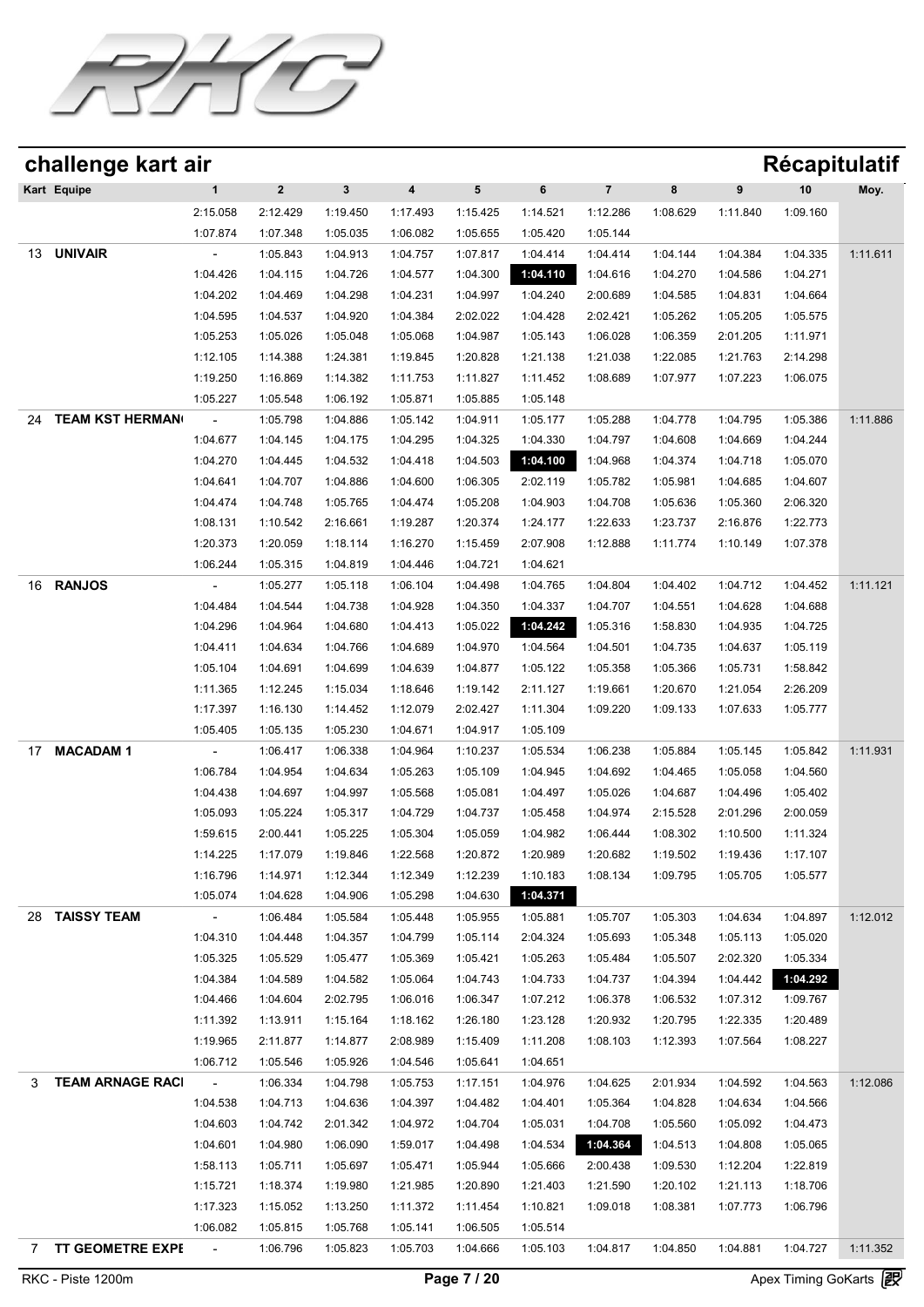

| challenge kart air           |                                  |             |          |                  |          |          |                         |          |          | Récapitulatif |          |
|------------------------------|----------------------------------|-------------|----------|------------------|----------|----------|-------------------------|----------|----------|---------------|----------|
| Kart Equipe                  | $\mathbf{1}$                     | $\mathbf 2$ | 3        | $\boldsymbol{4}$ | 5        | 6        | $\overline{\mathbf{7}}$ | 8        | 9        | 10            | Moy.     |
|                              | 2:15.058                         | 2:12.429    | 1:19.450 | 1:17.493         | 1:15.425 | 1:14.521 | 1:12.286                | 1:08.629 | 1:11.840 | 1:09.160      |          |
|                              | 1:07.874                         | 1:07.348    | 1:05.035 | 1:06.082         | 1:05.655 | 1:05.420 | 1:05.144                |          |          |               |          |
| <b>UNIVAIR</b><br>13         |                                  | 1:05.843    | 1:04.913 | 1:04.757         | 1:07.817 | 1:04.414 | 1:04.414                | 1:04.144 | 1:04.384 | 1:04.335      | 1:11.611 |
|                              | 1:04.426                         | 1:04.115    | 1:04.726 | 1:04.577         | 1:04.300 | 1:04.110 | 1:04.616                | 1:04.270 | 1:04.586 | 1:04.271      |          |
|                              | 1:04.202                         | 1:04.469    | 1:04.298 | 1:04.231         | 1:04.997 | 1:04.240 | 2:00.689                | 1:04.585 | 1:04.831 | 1:04.664      |          |
|                              | 1:04.595                         | 1:04.537    | 1:04.920 | 1:04.384         | 2:02.022 | 1:04.428 | 2:02.421                | 1:05.262 | 1:05.205 | 1:05.575      |          |
|                              | 1:05.253                         | 1:05.026    | 1:05.048 | 1:05.068         | 1:04.987 | 1:05.143 | 1:06.028                | 1:06.359 | 2:01.205 | 1:11.971      |          |
|                              | 1:12.105                         | 1:14.388    | 1:24.381 | 1:19.845         | 1:20.828 | 1:21.138 | 1:21.038                | 1:22.085 | 1:21.763 | 2:14.298      |          |
|                              | 1:19.250                         | 1:16.869    | 1:14.382 | 1:11.753         | 1:11.827 | 1:11.452 | 1:08.689                | 1:07.977 | 1:07.223 | 1:06.075      |          |
|                              | 1:05.227                         | 1:05.548    | 1:06.192 | 1:05.871         | 1:05.885 | 1:05.148 |                         |          |          |               |          |
| <b>TEAM KST HERMAN</b><br>24 |                                  | 1:05.798    | 1:04.886 | 1:05.142         | 1:04.911 | 1:05.177 | 1:05.288                | 1:04.778 | 1:04.795 | 1:05.386      | 1:11.886 |
|                              | 1:04.677                         | 1:04.145    | 1:04.175 | 1:04.295         | 1:04.325 | 1:04.330 | 1:04.797                | 1:04.608 | 1:04.669 | 1:04.244      |          |
|                              | 1:04.270                         | 1:04.445    | 1:04.532 | 1:04.418         | 1:04.503 | 1:04.100 | 1:04.968                | 1:04.374 | 1:04.718 | 1:05.070      |          |
|                              | 1:04.641                         | 1:04.707    | 1:04.886 | 1:04.600         | 1:06.305 | 2:02.119 | 1:05.782                | 1:05.981 | 1:04.685 | 1:04.607      |          |
|                              | 1:04.474                         | 1:04.748    | 1:05.765 | 1:04.474         | 1:05.208 | 1:04.903 | 1:04.708                | 1:05.636 | 1:05.360 | 2:06.320      |          |
|                              | 1:08.131                         | 1:10.542    | 2:16.661 | 1:19.287         | 1:20.374 | 1:24.177 | 1:22.633                | 1:23.737 | 2:16.876 | 1:22.773      |          |
|                              | 1:20.373                         | 1:20.059    | 1:18.114 | 1:16.270         | 1:15.459 | 2:07.908 | 1:12.888                | 1:11.774 | 1:10.149 | 1:07.378      |          |
|                              | 1:06.244                         | 1:05.315    | 1:04.819 | 1:04.446         | 1:04.721 | 1:04.621 |                         |          |          |               |          |
| <b>RANJOS</b><br>16          |                                  | 1:05.277    | 1:05.118 | 1:06.104         | 1:04.498 | 1:04.765 | 1:04.804                | 1:04.402 | 1:04.712 | 1:04.452      | 1:11.121 |
|                              | 1:04.484                         | 1:04.544    | 1:04.738 | 1:04.928         | 1:04.350 | 1:04.337 | 1:04.707                | 1:04.551 | 1:04.628 | 1:04.688      |          |
|                              | 1:04.296                         | 1:04.964    | 1:04.680 | 1:04.413         | 1:05.022 | 1:04.242 | 1:05.316                | 1:58.830 | 1:04.935 | 1:04.725      |          |
|                              | 1:04.411                         | 1:04.634    | 1:04.766 | 1:04.689         | 1:04.970 | 1:04.564 | 1:04.501                | 1:04.735 | 1:04.637 | 1:05.119      |          |
|                              | 1:05.104                         | 1:04.691    | 1:04.699 | 1:04.639         | 1:04.877 | 1:05.122 | 1:05.358                | 1:05.366 | 1:05.731 | 1:58.842      |          |
|                              | 1:11.365                         | 1:12.245    | 1:15.034 | 1:18.646         | 1:19.142 | 2:11.127 | 1:19.661                |          | 1:21.054 | 2:26.209      |          |
|                              |                                  |             |          |                  |          |          |                         | 1:20.670 |          |               |          |
|                              | 1:17.397                         | 1:16.130    | 1:14.452 | 1:12.079         | 2:02.427 | 1:11.304 | 1:09.220                | 1:09.133 | 1:07.633 | 1:05.777      |          |
|                              | 1:05.405                         | 1:05.135    | 1:05.230 | 1:04.671         | 1:04.917 | 1:05.109 |                         |          |          |               |          |
| <b>MACADAM1</b><br>17        |                                  | 1:06.417    | 1:06.338 | 1:04.964         | 1:10.237 | 1:05.534 | 1:06.238                | 1:05.884 | 1:05.145 | 1:05.842      | 1:11.931 |
|                              | 1:06.784                         | 1:04.954    | 1:04.634 | 1:05.263         | 1:05.109 | 1:04.945 | 1:04.692                | 1:04.465 | 1:05.058 | 1:04.560      |          |
|                              | 1:04.438                         | 1:04.697    | 1:04.997 | 1:05.568         | 1:05.081 | 1:04.497 | 1:05.026                | 1:04.687 | 1:04.496 | 1:05.402      |          |
|                              | 1:05.093                         | 1:05.224    | 1:05.317 | 1:04.729         | 1:04.737 | 1:05.458 | 1:04.974                | 2:15.528 | 2:01.296 | 2:00.059      |          |
|                              | 1:59.615                         | 2:00.441    | 1:05.225 | 1:05.304         | 1:05.059 | 1:04.982 | 1:06.444                | 1:08.302 | 1:10.500 | 1:11.324      |          |
|                              | 1:14.225                         | 1:17.079    | 1:19.846 | 1:22.568         | 1:20.872 | 1:20.989 | 1:20.682                | 1:19.502 | 1:19.436 | 1:17.107      |          |
|                              | 1:16.796                         | 1:14.971    | 1:12.344 | 1:12.349         | 1:12.239 | 1:10.183 | 1:08.134                | 1:09.795 | 1:05.705 | 1:05.577      |          |
|                              | 1:05.074                         | 1:04.628    | 1:04.906 | 1:05.298         | 1:04.630 | 1:04.371 |                         |          |          |               |          |
| 28 TAISSY TEAM               | $\sim 100$                       | 1:06.484    | 1:05.584 | 1:05.448         | 1:05.955 | 1:05.881 | 1:05.707                | 1:05.303 | 1:04.634 | 1:04.897      | 1:12.012 |
|                              | 1:04.310                         | 1:04.448    | 1:04.357 | 1:04.799         | 1:05.114 | 2:04.324 | 1:05.693                | 1:05.348 | 1:05.113 | 1:05.020      |          |
|                              | 1:05.325                         | 1:05.529    | 1:05.477 | 1:05.369         | 1:05.421 | 1:05.263 | 1:05.484                | 1:05.507 | 2:02.320 | 1:05.334      |          |
|                              | 1:04.384                         | 1:04.589    | 1:04.582 | 1:05.064         | 1:04.743 | 1:04.733 | 1:04.737                | 1:04.394 | 1:04.442 | 1:04.292      |          |
|                              | 1:04.466                         | 1:04.604    | 2:02.795 | 1:06.016         | 1:06.347 | 1:07.212 | 1:06.378                | 1:06.532 | 1:07.312 | 1:09.767      |          |
|                              | 1:11.392                         | 1:13.911    | 1:15.164 | 1:18.162         | 1:26.180 | 1:23.128 | 1:20.932                | 1:20.795 | 1:22.335 | 1:20.489      |          |
|                              | 1:19.965                         | 2:11.877    | 1:14.877 | 2:08.989         | 1:15.409 | 1:11.208 | 1:08.103                | 1:12.393 | 1:07.564 | 1:08.227      |          |
|                              | 1:06.712                         | 1:05.546    | 1:05.926 | 1:04.546         | 1:05.641 | 1:04.651 |                         |          |          |               |          |
| <b>TEAM ARNAGE RACI</b><br>3 | $\sim 100$                       | 1:06.334    | 1:04.798 | 1:05.753         | 1:17.151 | 1:04.976 | 1:04.625                | 2:01.934 | 1:04.592 | 1:04.563      | 1:12.086 |
|                              | 1:04.538                         | 1:04.713    | 1:04.636 | 1:04.397         | 1:04.482 | 1:04.401 | 1:05.364                | 1:04.828 | 1:04.634 | 1:04.566      |          |
|                              | 1:04.603                         | 1:04.742    | 2:01.342 | 1:04.972         | 1:04.704 | 1:05.031 | 1:04.708                | 1:05.560 | 1:05.092 | 1:04.473      |          |
|                              | 1:04.601                         | 1:04.980    | 1:06.090 | 1:59.017         | 1:04.498 | 1:04.534 | 1:04.364                | 1:04.513 | 1:04.808 | 1:05.065      |          |
|                              | 1:58.113                         | 1:05.711    | 1:05.697 | 1:05.471         | 1:05.944 | 1:05.666 | 2:00.438                | 1:09.530 | 1:12.204 | 1:22.819      |          |
|                              | 1:15.721                         | 1:18.374    | 1:19.980 | 1:21.985         | 1:20.890 | 1:21.403 | 1:21.590                | 1:20.102 | 1:21.113 | 1:18.706      |          |
|                              | 1:17.323                         | 1:15.052    | 1:13.250 | 1:11.372         | 1:11.454 | 1:10.821 | 1:09.018                | 1:08.381 | 1:07.773 | 1:06.796      |          |
|                              | 1:06.082                         | 1:05.815    | 1:05.768 | 1:05.141         | 1:06.505 | 1:05.514 |                         |          |          |               |          |
|                              | 7 TT GEOMETRE EXPE<br>$\sim 100$ | 1:06.796    | 1:05.823 | 1:05.703         | 1:04.666 | 1:05.103 | 1:04.817                | 1:04.850 | 1:04.881 | 1:04.727      | 1:11.352 |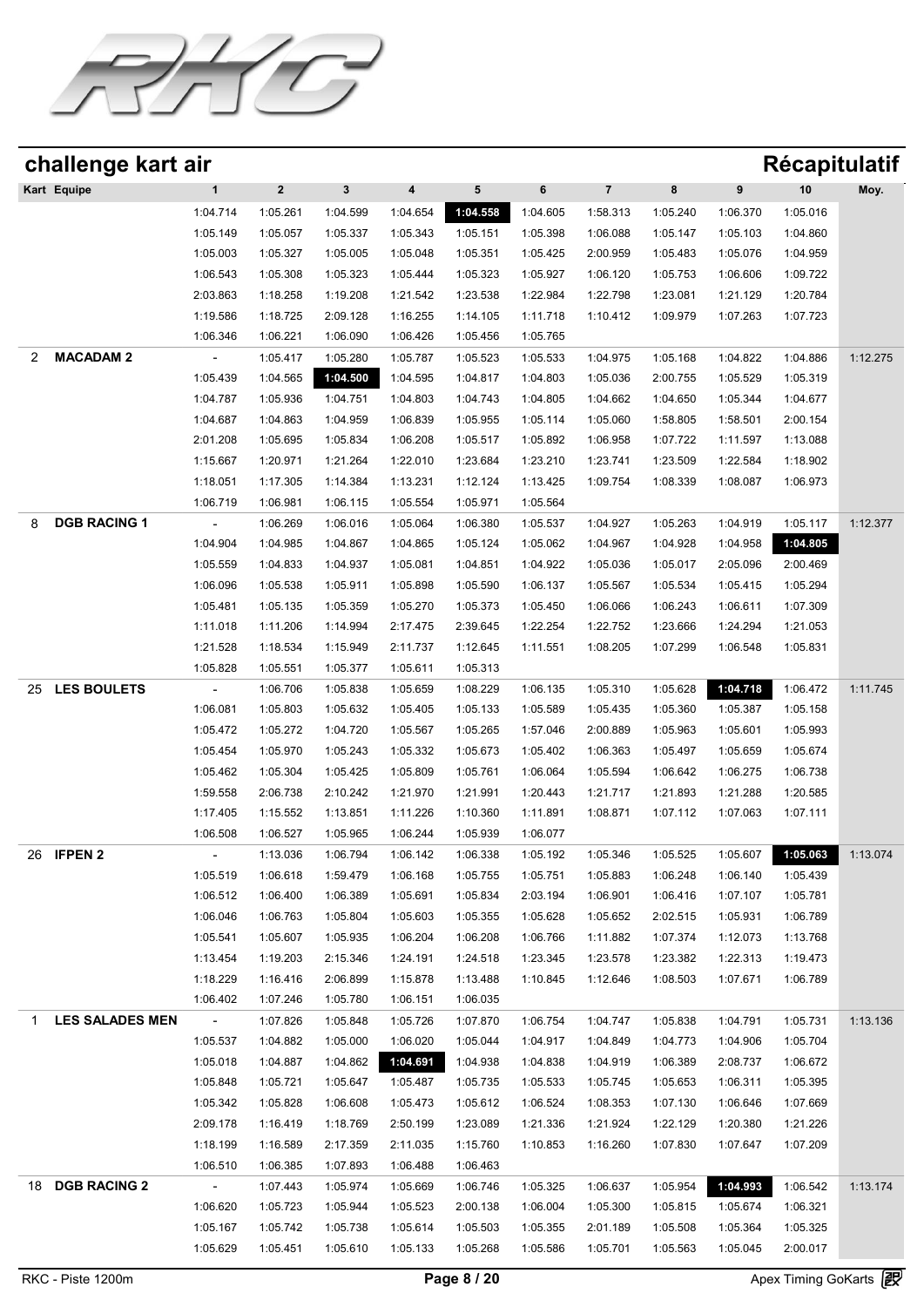

|    | challenge kart air     |                          |             |              |          |          |          |                |          |          | <b>Récapitulatif</b> |          |
|----|------------------------|--------------------------|-------------|--------------|----------|----------|----------|----------------|----------|----------|----------------------|----------|
|    | Kart Equipe            | $\mathbf{1}$             | $\mathbf 2$ | $\mathbf{3}$ | 4        | 5        | 6        | $\overline{7}$ | 8        | 9        | 10                   | Moy.     |
|    |                        | 1:04.714                 | 1:05.261    | 1:04.599     | 1:04.654 | 1:04.558 | 1:04.605 | 1:58.313       | 1:05.240 | 1:06.370 | 1:05.016             |          |
|    |                        | 1:05.149                 | 1:05.057    | 1:05.337     | 1:05.343 | 1:05.151 | 1:05.398 | 1:06.088       | 1:05.147 | 1:05.103 | 1:04.860             |          |
|    |                        | 1:05.003                 | 1:05.327    | 1:05.005     | 1:05.048 | 1:05.351 | 1:05.425 | 2:00.959       | 1:05.483 | 1:05.076 | 1:04.959             |          |
|    |                        | 1:06.543                 | 1:05.308    | 1:05.323     | 1:05.444 | 1:05.323 | 1:05.927 | 1:06.120       | 1:05.753 | 1:06.606 | 1:09.722             |          |
|    |                        | 2:03.863                 | 1:18.258    | 1:19.208     | 1:21.542 | 1:23.538 | 1:22.984 | 1:22.798       | 1:23.081 | 1:21.129 | 1:20.784             |          |
|    |                        | 1:19.586                 | 1:18.725    | 2:09.128     | 1:16.255 | 1:14.105 | 1:11.718 | 1:10.412       | 1:09.979 | 1:07.263 | 1:07.723             |          |
|    |                        | 1:06.346                 | 1:06.221    | 1:06.090     | 1:06.426 | 1:05.456 | 1:05.765 |                |          |          |                      |          |
| 2  | <b>MACADAM 2</b>       |                          | 1:05.417    | 1:05.280     | 1:05.787 | 1:05.523 | 1:05.533 | 1:04.975       | 1:05.168 | 1:04.822 | 1:04.886             | 1:12.275 |
|    |                        | 1:05.439                 | 1:04.565    | 1:04.500     | 1:04.595 | 1:04.817 | 1:04.803 | 1:05.036       | 2:00.755 | 1:05.529 | 1:05.319             |          |
|    |                        | 1:04.787                 | 1:05.936    | 1:04.751     | 1:04.803 | 1:04.743 | 1:04.805 | 1:04.662       | 1:04.650 | 1:05.344 | 1:04.677             |          |
|    |                        | 1:04.687                 | 1:04.863    | 1:04.959     | 1:06.839 | 1:05.955 | 1:05.114 | 1:05.060       | 1:58.805 | 1:58.501 | 2:00.154             |          |
|    |                        | 2:01.208                 | 1:05.695    | 1:05.834     | 1:06.208 | 1:05.517 | 1:05.892 | 1:06.958       | 1:07.722 | 1:11.597 | 1:13.088             |          |
|    |                        | 1:15.667                 | 1:20.971    | 1:21.264     | 1:22.010 | 1:23.684 | 1:23.210 | 1:23.741       | 1:23.509 | 1:22.584 | 1:18.902             |          |
|    |                        | 1:18.051                 | 1:17.305    | 1:14.384     | 1:13.231 | 1:12.124 | 1:13.425 | 1:09.754       | 1:08.339 | 1:08.087 | 1:06.973             |          |
|    |                        | 1:06.719                 | 1:06.981    | 1:06.115     | 1:05.554 | 1:05.971 | 1:05.564 |                |          |          |                      |          |
| 8  | <b>DGB RACING 1</b>    | $\overline{\phantom{a}}$ | 1:06.269    | 1:06.016     | 1:05.064 | 1:06.380 | 1:05.537 | 1:04.927       | 1:05.263 | 1:04.919 | 1:05.117             | 1:12.377 |
|    |                        | 1:04.904                 | 1:04.985    | 1:04.867     | 1:04.865 | 1:05.124 | 1:05.062 | 1:04.967       | 1:04.928 | 1:04.958 | 1:04.805             |          |
|    |                        | 1:05.559                 | 1:04.833    | 1:04.937     | 1:05.081 | 1:04.851 | 1:04.922 | 1:05.036       | 1:05.017 | 2:05.096 | 2:00.469             |          |
|    |                        | 1:06.096                 | 1:05.538    | 1:05.911     | 1:05.898 | 1:05.590 | 1:06.137 | 1:05.567       | 1:05.534 | 1:05.415 | 1:05.294             |          |
|    |                        | 1:05.481                 | 1:05.135    | 1:05.359     | 1:05.270 | 1:05.373 | 1:05.450 | 1:06.066       | 1:06.243 | 1:06.611 | 1:07.309             |          |
|    |                        | 1:11.018                 | 1:11.206    | 1:14.994     | 2:17.475 | 2:39.645 | 1:22.254 | 1:22.752       | 1:23.666 | 1:24.294 | 1:21.053             |          |
|    |                        | 1:21.528                 | 1:18.534    | 1:15.949     | 2:11.737 | 1:12.645 | 1:11.551 | 1:08.205       | 1:07.299 | 1:06.548 | 1:05.831             |          |
|    |                        | 1:05.828                 | 1:05.551    | 1:05.377     | 1:05.611 | 1:05.313 |          |                |          |          |                      |          |
| 25 | <b>LES BOULETS</b>     | $\overline{a}$           | 1:06.706    | 1:05.838     | 1:05.659 | 1:08.229 | 1:06.135 | 1:05.310       | 1:05.628 | 1:04.718 | 1:06.472             | 1:11.745 |
|    |                        | 1:06.081                 | 1:05.803    | 1:05.632     | 1:05.405 | 1:05.133 | 1:05.589 | 1:05.435       | 1:05.360 | 1:05.387 | 1:05.158             |          |
|    |                        | 1:05.472                 | 1:05.272    | 1:04.720     | 1:05.567 | 1:05.265 | 1:57.046 | 2:00.889       | 1:05.963 | 1:05.601 | 1:05.993             |          |
|    |                        | 1:05.454                 | 1:05.970    | 1:05.243     | 1:05.332 | 1:05.673 | 1:05.402 | 1:06.363       | 1:05.497 | 1:05.659 | 1:05.674             |          |
|    |                        | 1:05.462                 | 1:05.304    | 1:05.425     | 1:05.809 | 1:05.761 | 1:06.064 | 1:05.594       | 1:06.642 | 1:06.275 | 1:06.738             |          |
|    |                        | 1:59.558                 | 2:06.738    | 2:10.242     | 1:21.970 | 1:21.991 | 1:20.443 | 1:21.717       | 1:21.893 | 1:21.288 | 1:20.585             |          |
|    |                        | 1:17.405                 | 1:15.552    | 1:13.851     | 1:11.226 | 1:10.360 | 1:11.891 | 1:08.871       | 1:07.112 | 1:07.063 | 1:07.111             |          |
|    |                        | 1:06.508                 | 1:06.527    | 1:05.965     | 1:06.244 | 1:05.939 | 1:06.077 |                |          |          |                      |          |
|    | 26 <b>IFPEN 2</b>      | $\sim$                   | 1:13.036    | 1:06.794     | 1:06.142 | 1:06.338 | 1:05.192 | 1:05.346       | 1:05.525 | 1:05.607 | 1:05.063             | 1:13.074 |
|    |                        | 1:05.519                 | 1:06.618    | 1:59.479     | 1:06.168 | 1:05.755 | 1:05.751 | 1:05.883       | 1:06.248 | 1:06.140 | 1:05.439             |          |
|    |                        | 1:06.512                 | 1:06.400    | 1:06.389     | 1:05.691 | 1:05.834 | 2:03.194 | 1:06.901       | 1:06.416 | 1:07.107 | 1:05.781             |          |
|    |                        | 1:06.046                 | 1:06.763    | 1:05.804     | 1:05.603 | 1:05.355 | 1:05.628 | 1:05.652       | 2:02.515 | 1:05.931 | 1:06.789             |          |
|    |                        | 1:05.541                 | 1:05.607    | 1:05.935     | 1:06.204 | 1:06.208 | 1:06.766 | 1:11.882       | 1:07.374 | 1:12.073 | 1:13.768             |          |
|    |                        | 1:13.454                 | 1:19.203    | 2:15.346     | 1:24.191 | 1:24.518 | 1:23.345 | 1:23.578       | 1:23.382 | 1:22.313 | 1:19.473             |          |
|    |                        | 1:18.229                 | 1:16.416    | 2:06.899     | 1:15.878 | 1:13.488 | 1:10.845 | 1:12.646       | 1:08.503 | 1:07.671 | 1:06.789             |          |
|    |                        | 1:06.402                 | 1:07.246    | 1:05.780     | 1:06.151 | 1:06.035 |          |                |          |          |                      |          |
| 1  | <b>LES SALADES MEN</b> | $\sim$                   | 1:07.826    | 1:05.848     | 1:05.726 | 1:07.870 | 1:06.754 | 1:04.747       | 1:05.838 | 1:04.791 | 1:05.731             | 1:13.136 |
|    |                        | 1:05.537                 | 1:04.882    | 1:05.000     | 1:06.020 | 1:05.044 | 1:04.917 | 1:04.849       | 1:04.773 | 1:04.906 | 1:05.704             |          |
|    |                        | 1:05.018                 | 1:04.887    | 1:04.862     | 1:04.691 | 1:04.938 | 1:04.838 | 1:04.919       | 1:06.389 | 2:08.737 | 1:06.672             |          |
|    |                        | 1:05.848                 | 1:05.721    | 1:05.647     | 1:05.487 | 1:05.735 | 1:05.533 | 1:05.745       | 1:05.653 | 1:06.311 | 1:05.395             |          |
|    |                        | 1:05.342                 | 1:05.828    | 1:06.608     | 1:05.473 | 1:05.612 | 1:06.524 | 1:08.353       | 1:07.130 | 1:06.646 | 1:07.669             |          |
|    |                        | 2:09.178                 | 1:16.419    | 1:18.769     | 2:50.199 | 1:23.089 | 1:21.336 | 1:21.924       | 1:22.129 | 1:20.380 | 1:21.226             |          |
|    |                        | 1:18.199                 | 1:16.589    | 2:17.359     | 2:11.035 | 1:15.760 | 1:10.853 | 1:16.260       | 1:07.830 | 1:07.647 | 1:07.209             |          |
|    |                        | 1:06.510                 | 1:06.385    | 1:07.893     | 1:06.488 | 1:06.463 |          |                |          |          |                      |          |
| 18 | <b>DGB RACING 2</b>    | $\sim$                   | 1:07.443    | 1:05.974     | 1:05.669 | 1:06.746 | 1:05.325 | 1:06.637       | 1:05.954 | 1:04.993 | 1:06.542             | 1:13.174 |
|    |                        | 1:06.620                 | 1:05.723    | 1:05.944     | 1:05.523 | 2:00.138 | 1:06.004 | 1:05.300       | 1:05.815 | 1:05.674 | 1:06.321             |          |
|    |                        | 1:05.167                 | 1:05.742    | 1:05.738     | 1:05.614 | 1:05.503 | 1:05.355 | 2:01.189       | 1:05.508 | 1:05.364 | 1:05.325             |          |
|    |                        | 1:05.629                 | 1:05.451    | 1:05.610     | 1:05.133 | 1:05.268 | 1:05.586 | 1:05.701       | 1:05.563 | 1:05.045 | 2:00.017             |          |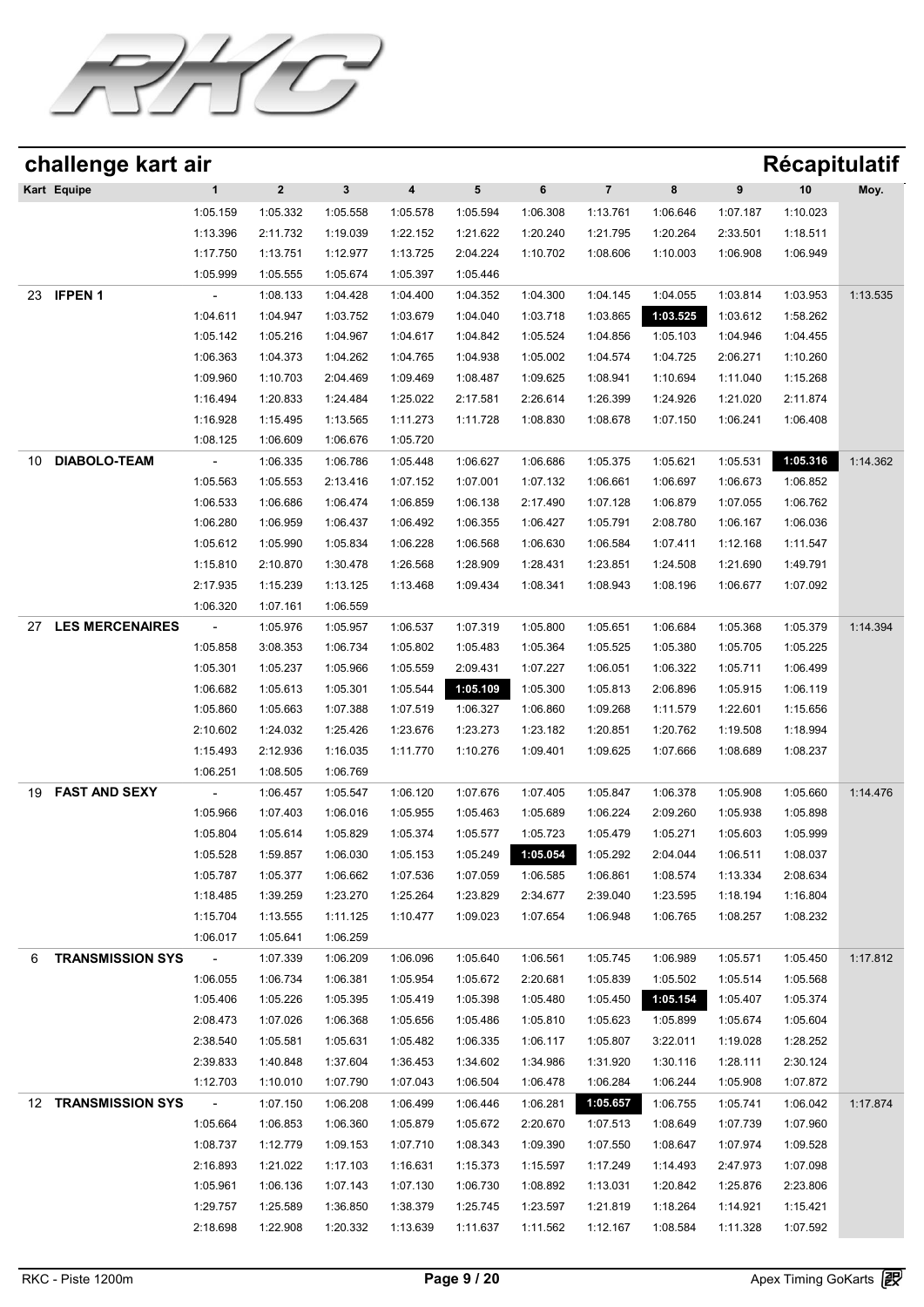

| challenge kart air           |                 |             |              |                         |           |          |                |          |          | <b>Récapitulatif</b> |          |
|------------------------------|-----------------|-------------|--------------|-------------------------|-----------|----------|----------------|----------|----------|----------------------|----------|
| Kart Equipe                  | 1               | $\mathbf 2$ | $\mathbf{3}$ | $\overline{\mathbf{4}}$ | ${\bf 5}$ | 6        | $\overline{7}$ | 8        | 9        | 10                   | Moy.     |
|                              | 1:05.159        | 1:05.332    | 1:05.558     | 1:05.578                | 1:05.594  | 1:06.308 | 1:13.761       | 1:06.646 | 1:07.187 | 1:10.023             |          |
|                              | 1:13.396        | 2:11.732    | 1:19.039     | 1:22.152                | 1:21.622  | 1:20.240 | 1:21.795       | 1:20.264 | 2:33.501 | 1:18.511             |          |
|                              | 1:17.750        | 1:13.751    | 1:12.977     | 1:13.725                | 2:04.224  | 1:10.702 | 1:08.606       | 1:10.003 | 1:06.908 | 1:06.949             |          |
|                              | 1:05.999        | 1:05.555    | 1:05.674     | 1:05.397                | 1:05.446  |          |                |          |          |                      |          |
| <b>IFPEN1</b><br>23          |                 | 1:08.133    | 1:04.428     | 1:04.400                | 1:04.352  | 1:04.300 | 1:04.145       | 1:04.055 | 1:03.814 | 1:03.953             | 1:13.535 |
|                              | 1:04.611        | 1:04.947    | 1:03.752     | 1:03.679                | 1:04.040  | 1:03.718 | 1:03.865       | 1:03.525 | 1:03.612 | 1:58.262             |          |
|                              | 1:05.142        | 1:05.216    | 1:04.967     | 1:04.617                | 1:04.842  | 1:05.524 | 1:04.856       | 1:05.103 | 1:04.946 | 1:04.455             |          |
|                              | 1:06.363        | 1:04.373    | 1:04.262     | 1:04.765                | 1:04.938  | 1:05.002 | 1:04.574       | 1:04.725 | 2:06.271 | 1:10.260             |          |
|                              | 1:09.960        | 1:10.703    | 2:04.469     | 1:09.469                | 1:08.487  | 1:09.625 | 1:08.941       | 1:10.694 | 1:11.040 | 1:15.268             |          |
|                              | 1:16.494        | 1:20.833    | 1:24.484     | 1:25.022                | 2:17.581  | 2:26.614 | 1:26.399       | 1:24.926 | 1:21.020 | 2:11.874             |          |
|                              | 1:16.928        | 1:15.495    | 1:13.565     | 1:11.273                | 1:11.728  | 1:08.830 | 1:08.678       | 1:07.150 | 1:06.241 | 1:06.408             |          |
|                              | 1:08.125        | 1:06.609    | 1:06.676     | 1:05.720                |           |          |                |          |          |                      |          |
| <b>DIABOLO-TEAM</b><br>10    |                 | 1:06.335    | 1:06.786     | 1:05.448                | 1:06.627  | 1:06.686 | 1:05.375       | 1:05.621 | 1:05.531 | 1:05.316             | 1:14.362 |
|                              | 1:05.563        | 1:05.553    | 2:13.416     | 1:07.152                | 1:07.001  | 1:07.132 | 1:06.661       | 1:06.697 | 1:06.673 | 1:06.852             |          |
|                              | 1:06.533        | 1:06.686    | 1:06.474     | 1:06.859                | 1:06.138  | 2:17.490 | 1:07.128       | 1:06.879 | 1:07.055 | 1:06.762             |          |
|                              | 1:06.280        | 1:06.959    | 1:06.437     | 1:06.492                | 1:06.355  | 1:06.427 | 1:05.791       | 2:08.780 | 1:06.167 | 1:06.036             |          |
|                              | 1:05.612        | 1:05.990    | 1:05.834     | 1:06.228                | 1:06.568  | 1:06.630 | 1:06.584       | 1:07.411 | 1:12.168 | 1:11.547             |          |
|                              | 1:15.810        | 2:10.870    | 1:30.478     | 1:26.568                | 1:28.909  | 1:28.431 | 1:23.851       | 1:24.508 | 1:21.690 | 1:49.791             |          |
|                              | 2:17.935        | 1:15.239    | 1:13.125     | 1:13.468                | 1:09.434  | 1:08.341 | 1:08.943       | 1:08.196 | 1:06.677 | 1:07.092             |          |
|                              | 1:06.320        | 1:07.161    | 1:06.559     |                         |           |          |                |          |          |                      |          |
| <b>LES MERCENAIRES</b><br>27 |                 | 1:05.976    | 1:05.957     | 1:06.537                | 1:07.319  | 1:05.800 | 1:05.651       | 1:06.684 | 1:05.368 | 1:05.379             | 1:14.394 |
|                              | 1:05.858        | 3:08.353    | 1:06.734     | 1:05.802                | 1:05.483  | 1:05.364 | 1:05.525       | 1:05.380 | 1:05.705 | 1:05.225             |          |
|                              | 1:05.301        | 1:05.237    | 1:05.966     | 1:05.559                | 2:09.431  | 1:07.227 | 1:06.051       | 1:06.322 | 1:05.711 | 1:06.499             |          |
|                              | 1:06.682        | 1:05.613    | 1:05.301     | 1:05.544                | 1:05.109  | 1:05.300 | 1:05.813       | 2:06.896 | 1:05.915 | 1:06.119             |          |
|                              | 1:05.860        | 1:05.663    | 1:07.388     | 1:07.519                | 1:06.327  | 1:06.860 | 1:09.268       | 1:11.579 | 1:22.601 | 1:15.656             |          |
|                              | 2:10.602        | 1:24.032    | 1:25.426     | 1:23.676                | 1:23.273  | 1:23.182 | 1:20.851       | 1:20.762 | 1:19.508 | 1:18.994             |          |
|                              | 1:15.493        | 2:12.936    | 1:16.035     | 1:11.770                | 1:10.276  | 1:09.401 | 1:09.625       | 1:07.666 | 1:08.689 | 1:08.237             |          |
|                              | 1:06.251        | 1:08.505    | 1:06.769     |                         |           |          |                |          |          |                      |          |
| <b>FAST AND SEXY</b><br>19   |                 | 1:06.457    | 1:05.547     | 1:06.120                | 1:07.676  | 1:07.405 | 1:05.847       | 1:06.378 | 1:05.908 | 1:05.660             | 1:14.476 |
|                              | 1:05.966        | 1:07.403    | 1:06.016     | 1:05.955                | 1:05.463  | 1:05.689 | 1:06.224       | 2:09.260 | 1:05.938 | 1:05.898             |          |
|                              | 1:05.804        | 1:05.614    | 1:05.829     | 1:05.374                | 1:05.577  | 1:05.723 | 1:05.479       | 1:05.271 | 1:05.603 | 1:05.999             |          |
|                              | 1:05.528        | 1:59.857    | 1:06.030     | 1:05.153                | 1:05.249  | 1:05.054 | 1:05.292       | 2:04.044 | 1:06.511 | 1:08.037             |          |
|                              | 1:05.787        | 1:05.377    | 1:06.662     | 1:07.536                | 1:07.059  | 1:06.585 | 1:06.861       | 1:08.574 | 1:13.334 | 2:08.634             |          |
|                              | 1:18.485        | 1:39.259    | 1:23.270     | 1:25.264                | 1:23.829  | 2:34.677 | 2:39.040       | 1:23.595 | 1:18.194 | 1:16.804             |          |
|                              | 1:15.704        | 1:13.555    | 1:11.125     | 1:10.477                | 1:09.023  | 1:07.654 | 1:06.948       | 1:06.765 | 1:08.257 | 1:08.232             |          |
|                              | 1:06.017        | 1:05.641    | 1:06.259     |                         |           |          |                |          |          |                      |          |
| <b>TRANSMISSION SYS</b><br>6 | $\sim 10^{-10}$ | 1:07.339    | 1:06.209     | 1:06.096                | 1:05.640  | 1:06.561 | 1:05.745       | 1:06.989 | 1:05.571 | 1:05.450             | 1:17.812 |
|                              | 1:06.055        | 1:06.734    | 1:06.381     | 1:05.954                | 1:05.672  | 2:20.681 | 1:05.839       | 1:05.502 | 1:05.514 | 1:05.568             |          |
|                              | 1:05.406        | 1:05.226    | 1:05.395     | 1:05.419                | 1:05.398  | 1:05.480 | 1:05.450       | 1:05.154 | 1:05.407 | 1:05.374             |          |
|                              | 2:08.473        | 1:07.026    | 1:06.368     | 1:05.656                | 1:05.486  | 1:05.810 | 1:05.623       | 1:05.899 | 1:05.674 | 1:05.604             |          |
|                              | 2:38.540        | 1:05.581    | 1:05.631     | 1:05.482                | 1:06.335  | 1:06.117 | 1:05.807       | 3:22.011 | 1:19.028 | 1:28.252             |          |
|                              | 2:39.833        | 1:40.848    | 1:37.604     | 1:36.453                | 1:34.602  | 1:34.986 | 1:31.920       | 1:30.116 | 1:28.111 | 2:30.124             |          |
|                              | 1:12.703        | 1:10.010    | 1:07.790     | 1:07.043                | 1:06.504  | 1:06.478 | 1:06.284       | 1:06.244 | 1:05.908 | 1:07.872             |          |
| 12 TRANSMISSION SYS          | $\sim$ $-$      | 1:07.150    | 1:06.208     | 1:06.499                | 1:06.446  | 1:06.281 | 1:05.657       | 1:06.755 | 1:05.741 | 1:06.042             | 1:17.874 |
|                              | 1:05.664        | 1:06.853    | 1:06.360     | 1:05.879                | 1:05.672  | 2:20.670 | 1:07.513       | 1:08.649 | 1:07.739 | 1:07.960             |          |
|                              | 1:08.737        |             |              | 1:07.710                |           |          |                |          |          |                      |          |
|                              |                 | 1:12.779    | 1:09.153     |                         | 1:08.343  | 1:09.390 | 1:07.550       | 1:08.647 | 1:07.974 | 1:09.528             |          |
|                              | 2:16.893        | 1:21.022    | 1:17.103     | 1:16.631                | 1:15.373  | 1:15.597 | 1:17.249       | 1:14.493 | 2:47.973 | 1:07.098             |          |
|                              | 1:05.961        | 1:06.136    | 1:07.143     | 1:07.130                | 1:06.730  | 1:08.892 | 1:13.031       | 1:20.842 | 1:25.876 | 2:23.806             |          |
|                              | 1:29.757        | 1:25.589    | 1:36.850     | 1:38.379                | 1:25.745  | 1:23.597 | 1:21.819       | 1:18.264 | 1:14.921 | 1:15.421             |          |
|                              | 2:18.698        | 1:22.908    | 1:20.332     | 1:13.639                | 1:11.637  | 1:11.562 | 1:12.167       | 1:08.584 | 1:11.328 | 1:07.592             |          |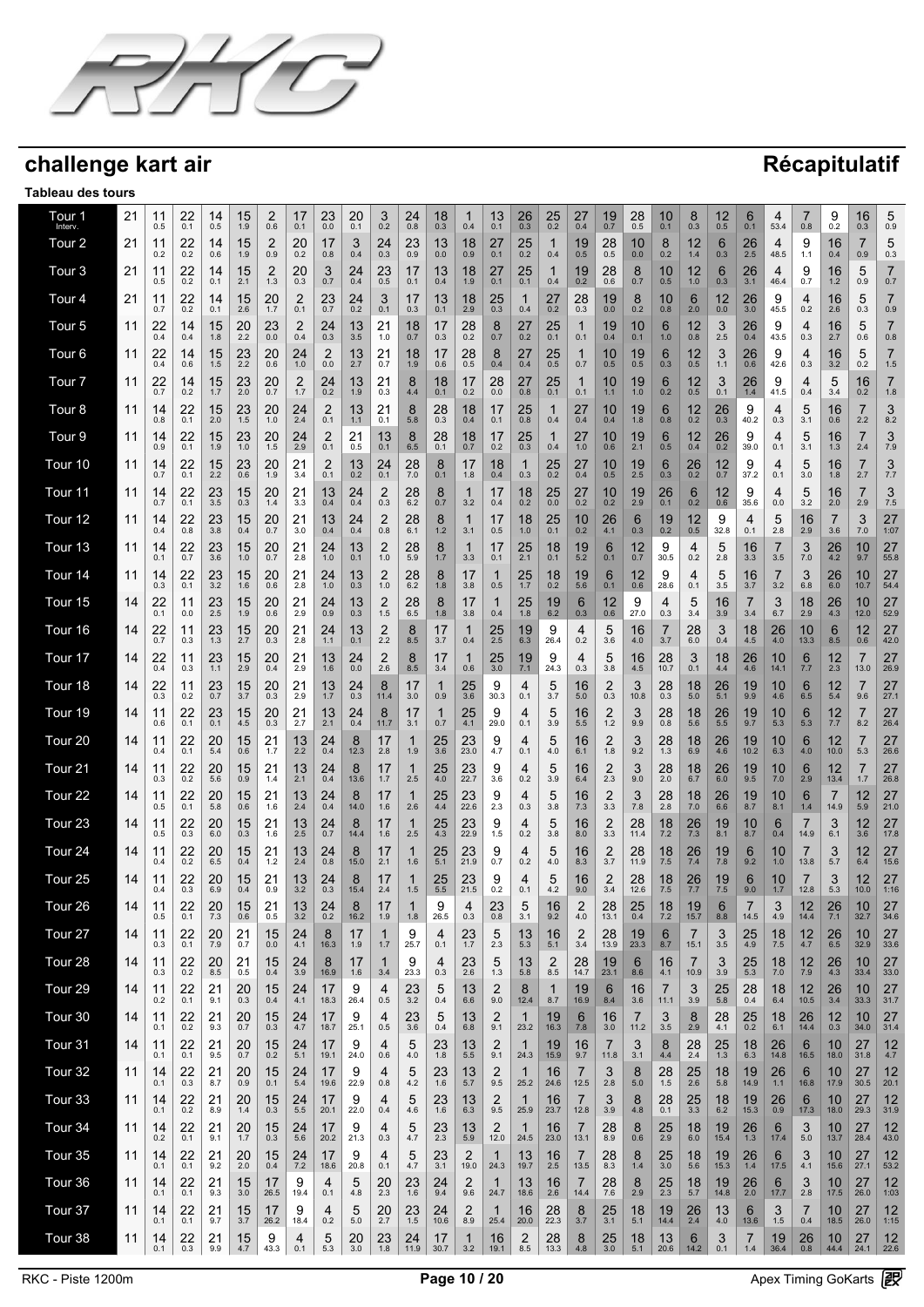

| Tour 1<br>Interv.  | 21 | 11<br>0.5 | 22<br>0.1     | 14<br>0.5              | 15<br>1.9     | 2<br>0.6               | 17<br>0.1             | 23<br>0.0             | 20<br>0.1 | 3<br>0.2              | 24<br>0.8             | 18<br>0.3     | 1<br>0.4      | 13<br>0.1              | 26<br>0.3           | $25$ <sub>0.2</sub>    | 27<br>0.4             | 19<br>0.7             | 28<br>0.5  | 10<br>0.1    | 8<br>0.3         | 12<br>0.5              | 6<br>0.1               | 4<br>53.4         | 0.8          | 9<br>0.2         | 16<br>0.3               | 5<br>0.9              |
|--------------------|----|-----------|---------------|------------------------|---------------|------------------------|-----------------------|-----------------------|-----------|-----------------------|-----------------------|---------------|---------------|------------------------|---------------------|------------------------|-----------------------|-----------------------|------------|--------------|------------------|------------------------|------------------------|-------------------|--------------|------------------|-------------------------|-----------------------|
| Tour <sub>2</sub>  | 21 | 11<br>0.2 | 22<br>0.2     | 14<br>0.6              | 15<br>1.9     | 2<br>0.9               | 20<br>0.2             | 17<br>0.8             | 3<br>0.4  | 24<br>0.3             | 23<br>0.9             | 13<br>0.0     | 18<br>0.9     | 27<br>0.1              | 25<br>0.2           | $\mathbf{1}$<br>0.4    | 19<br>0.5             | 28<br>0.5             | 10<br>0.0  | 8<br>0.2     | 12<br>1.4        | 6<br>0.3               | 26<br>2.5              | 4<br>48.5         | 9<br>1.1     | 16<br>0.4        | 7<br>0.9                | 5<br>0.3              |
| Tour <sub>3</sub>  | 21 | 11<br>0.5 | 22<br>0.2     | 14<br>0.1              | 15<br>2.1     | 2<br>1.3               | 20<br>0.3             | 3<br>0.7              | 24<br>0.4 | 23<br>0.5             | 17<br>0.1             | 13<br>0.4     | 18<br>1.9     | 27<br>0.1              | 25<br>0.1           | $\mathbf{1}$<br>0.4    | 19<br>0.2             | 28<br>0.6             | 8<br>0.7   | 10<br>0.5    | 12<br>1.0        | 6<br>0.3               | 26<br>3.1              | 4<br>46.4         | 9<br>0.7     | 16<br>$1.2$      | 5<br>0.9                | $\overline{7}$<br>0.7 |
| Tour 4             | 21 | 11<br>0.7 | 22<br>0.2     | 14<br>0.1              | 15<br>2.6     | 20<br>1.7              | $\overline{2}$<br>0.1 | 23<br>0.7             | 24<br>0.2 | 3<br>0.1              | 17<br>0.3             | 13<br>0.1     | 18<br>2.9     | 25<br>0.3              | $\mathbf 1$<br>0.4  | 27<br>0.2              | 28<br>0.3             | 19<br>0.0             | 8<br>0.2   | 10<br>0.8    | 6<br>2.0         | 12<br>0.0              | 26<br>3.0              | 9<br>45.5         | 4<br>0.2     | 16<br>2.6        | 5<br>0.3                | $\overline{7}$<br>0.9 |
| Tour 5             | 11 | 22<br>0.4 | 14<br>0.4     | 15<br>1.8              | 20<br>2.2     | 23<br>0.0              | $\overline{c}$<br>0.4 | 24<br>0.3             | 13<br>3.5 | 21<br>1.0             | 18<br>0.7             | 17<br>0.3     | 28<br>0.2     | 8<br>0.7               | 27<br>0.2           | 25<br>0.1              | 1<br>0.1              | 19<br>0.4             | 10<br>0.1  | 6<br>1.0     | 12<br>0.8        | 3<br>2.5               | 26<br>0.4              | 9<br>43.5         | 4<br>0.3     | 16<br>2.7        | 5<br>0.6                | $\overline{7}$<br>0.8 |
| Tour <sub>6</sub>  | 11 | 22<br>0.4 | 14<br>0.6     | 15<br>1.5              | 23<br>2.2     | 20<br>0.6              | 24<br>1.0             | $\overline{2}$<br>0.0 | 13<br>2.7 | 21<br>0.7             | 18<br>1.9             | 17<br>0.6     | 28<br>0.5     | 8<br>0.4               | 27<br>0.4           | 25<br>0.5              | 1<br>0.7              | 10<br>0.5             | 19<br>0.5  | 6<br>0.3     | 12<br>0.5        | 3<br>1.1               | 26<br>0.6              | 9<br>42.6         | 4<br>0.3     | 16<br>3.2        | 5<br>0.2                | $\overline{7}$<br>1.5 |
| Tour <sub>7</sub>  | 11 | 22<br>0.7 | 14<br>0.2     | $15 \atop 1.7$         | 23<br>2.0     | 20<br>$0.\overline{7}$ | $\frac{2}{1.7}$       | 24<br>0.2             | 13<br>1.9 | 21<br>0.3             | 8<br>4.4              | 18<br>0.1     | 17<br>0.2     | 28<br>$0.\overline{0}$ | 27<br>0.8           | 25<br>0.1              | 1<br>0.1              | 10<br>1.1             | 19<br>1.0  | 6<br>0.2     | 12<br>0.5        | 3<br>0.1               | 26<br>1.4              | 9<br>41.5         | 4<br>0.4     | 5<br>3.4         | 16<br>0.2               | $\overline{7}$<br>1.8 |
| Tour 8             | 11 | 14<br>0.8 | 22<br>0.1     | 15<br>2.0              | 23<br>1.5     | 20<br>1.0              | 24<br>2.4             | $\overline{2}$<br>0.1 | 13<br>1.1 | 21<br>0.1             | 8<br>5.8              | 28<br>0.3     | 18<br>0.4     | 17<br>0.1              | 25<br>0.8           | 1<br>0.4               | 27<br>0.4             | 10<br>0.4             | 19<br>1.8  | 6<br>0.8     | 12<br>0.2        | 26<br>0.3              | 9<br>40.2              | 4<br>0.3          | 5<br>3.1     | 16<br>0.6        | 7<br>2.2                | 3<br>8.2              |
| Tour 9             | 11 | 14<br>0.9 | 22<br>0.1     | 15<br>1.9              | 23<br>1.0     | 20<br>1.5              | 24<br>2.9             | $\overline{2}$<br>0.1 | 21<br>0.5 | 13<br>0.1             | 8<br>6.5              | 28<br>0.1     | 18<br>0.7     | 17<br>0.2              | 25<br>0.3           | 0.4                    | 27<br>1.0             | 10<br>0.6             | 19<br>2.1  | 6<br>0.5     | 12<br>0.4        | 26<br>0.2              | 9<br>39.0              | 4<br>0.1          | 5<br>3.1     | 16<br>1.3        | 7<br>2.4                | 3<br>7.9              |
| Tour 10            | 11 | 14<br>0.7 | 22<br>0.1     | 15<br>2.2              | 23<br>0.6     | 20<br>1.9              | 21<br>3.4             | 2<br>0.1              | 13<br>0.2 | 24<br>0.1             | 28<br>$7.0$           | 8<br>0.1      | 17<br>1.8     | 18<br>0.4              | $\mathbf 1$<br>0.3  | 25<br>0.2              | 27<br>0.4             | 10<br>0.5             | 19<br>2.5  | 6<br>0.3     | 26<br>0.2        | 12<br>0.7              | 9<br>37.2              | 4<br>0.1          | 5<br>3.0     | 16<br>1.8        | 7<br>2.7                | 3<br>7.7              |
| Tour 11            | 11 | 14<br>0.7 | 22<br>0.1     | 23<br>3.5              | 15<br>0.3     | 20<br>1.4              | 21<br>3.3             | 13<br>0.4             | 24<br>0.4 | 2<br>0.3              | 28<br>6.2             | 8<br>0.7      | 1<br>3.2      | 17<br>0.4              | 18<br>0.2           | 25<br>0.0              | 27<br>0.2             | 10<br>0.2             | 19<br>2.9  | 26<br>0.1    | 6<br>0.2         | 12<br>0.6              | 9<br>35.6              | 4<br>0.0          | 5<br>3.2     | 16<br>2.0        | 7<br>2.9                | 3<br>$7.5\,$          |
| Tour 12            | 11 | 14<br>0.4 | 22<br>0.8     | 23<br>3.8              | 15<br>0.4     | 20<br>0.7              | 21<br>3.0             | 13<br>0.4             | 24<br>0.4 | 2<br>0.8              | 28<br>6.1             | 8<br>1.2      | 1<br>3.1      | 17<br>0.5              | 18<br>1.0           | 25<br>0.1              | 10<br>0.2             | 26<br>4.1             | 6<br>0.3   | $19_{0.2}$   | $^{12}_{0.5}$    | 9<br>32.8              | 4<br>0.1               | 5<br>2.8          | 16<br>2.9    | 7<br>3.6         | 3<br>$7.0\,$            | 27<br>1:07            |
| Tour <sub>13</sub> | 11 | 14<br>0.1 | $^{22}_{0.7}$ | 23<br>3.6              | 15<br>1.0     | 20<br>0.7              | $^{21}_{2.8}$         | 24<br>1.0             | 13<br>0.1 | 2<br>1.0              | 28<br>5.9             | 8<br>1.7      | 1<br>3.3      | 17<br>0.1              | $25$ <sub>2.1</sub> | 18<br>0.1              | 19<br>5.2             | 6<br>0.1              | 12<br>0.7  | 9<br>30.5    | 4<br>0.2         | 5<br>2.8               | 16<br>3.3              | 7<br>3.5          | 3<br>7.0     | 26<br>4.2        | 10<br>9.7               | 27<br>55.8            |
| Tour 14            | 11 | 14<br>0.3 | $^{22}_{0.1}$ | 23<br>3.2              | 15<br>1.6     | 20<br>0.6              | $\frac{21}{2.8}$      | $^{24}_{1.0}$         | 13<br>0.3 | $^{2}_{1.0}$          | 28<br>$6.2\,$         | 8<br>1.8      | 17<br>3.8     | $\mathbf 1$<br>0.5     | $25$ <sub>1.7</sub> | 18<br>0.2              | 19<br>5.6             | 6<br>0.1              | 12<br>0.6  | 9<br>28.6    | 4<br>0.1         | 5<br>3.5               | 16<br>3.7              | 7<br>3.2          | 3<br>6.8     | 26<br>$6.0\,$    | 10<br>10.7              | 27<br>54.4            |
| Tour 15            | 14 | 22<br>0.1 | 11<br>0.0     | 23<br>2.5              | 15<br>1.9     | 20<br>0.6              | $^{21}_{2.9}$         | 24<br>0.9             | 13<br>0.3 | 2<br>1.5              | 28<br>6.5             | 8<br>1.8      | 17<br>3.8     | 1<br>0.4               | 25<br>1.8           | 19<br>$6.\overline{2}$ | 6<br>0.3              | 12<br>0.6             | 9<br>27.0  | 4<br>0.3     | $\frac{5}{3.4}$  | 16<br>3.9              | 3.4                    | 3<br>6.7          | 18<br>2.9    | 26<br>4.3        | 10<br>12.0              | 27<br>52.9            |
| Tour 16            | 14 | 22<br>0.7 | 11<br>0.3     | 23<br>1.3              | 15<br>2.7     | 20<br>0.3              | $^{21}_{2.8}$         | 24<br>1.1             | 13<br>0.1 | $\overline{c}$<br>2.2 | 8<br>8.5              | 17<br>3.7     | 1<br>0.4      | $\frac{25}{2.5}$       | 19<br>6.3           | 9<br>26.4              | 4<br>0.2              | 5<br>3.6              | 16<br>4.0  | 7<br>3.7     | $^{28}_{6.0}$    | 3<br>0.4               | 18<br>4.5              | $^{26}_{4.0}$     | 10<br>13.3   | 6<br>8.5         | 12<br>0.6               | 27<br>42.0            |
| Tour 17            | 14 | 22<br>0.4 | 11<br>0.3     | 23<br>1.1              | 15<br>2.9     | 20<br>0.4              | 21<br>2.9             | 13<br>1.6             | 24<br>0.0 | 2<br>2.6              | 8<br>8.5              | 17<br>3.4     | 1<br>0.6      | 25<br>3.0              | 19<br>7.1           | 9<br>24.3              | 4<br>0.3              | 5<br>3.8              | 16<br>4.5  | 28<br>10.7   | 3<br>0.1         | 18<br>4.4              | 26<br>4.6              | 10<br>14.1        | 6<br>7.7     | 12<br>2.3        | 7<br>13.0               | 27<br>26.9            |
| Tour 18            | 14 | 22<br>0.3 | 11<br>0.2     | 23<br>0.7              | 15<br>3.7     | 20<br>0.3              | 21<br>2.9             | 13<br>1.7             | 24<br>0.3 | 8<br>11.4             | 17<br>3.0             | 1<br>0.9      | 25<br>3.6     | 9<br>30.3              | 4<br>0.1            | 5<br>3.7               | 16<br>5.0             | $\overline{2}$<br>0.3 | 3<br>10.8  | 28<br>0.3    | 18<br>5.0        | 26<br>5.1              | 19<br>9.9              | 10<br>4.6         | 6<br>6.5     | 12<br>5.4        | 7<br>9.6                | 27<br>27.1            |
| Tour 19            | 14 | 11<br>0.6 | 22<br>0.1     | 23<br>0.1              | 15<br>4.5     | 20<br>0.3              | 21<br>2.7             | 13<br>2.1             | 24<br>0.4 | 8<br>11.7             | 17<br>3.1             | 1<br>0.7      | 25<br>4.1     | 9<br>29.0              | 4<br>0.1            | 5<br>3.9               | 16<br>5.5             | 2<br>$1.2$            | 3<br>9.9   | 28<br>0.8    | 18<br>5.6        | 26<br>5.5              | 19<br>9.7              | 10<br>5.3         | 6<br>5.3     | 12<br>7.7        | 7<br>8.2                | 27<br>26.4            |
| Tour <sub>20</sub> | 14 | 11<br>0.4 | 22<br>0.1     | 20<br>5.4              | 15<br>0.6     | 21<br>1.7              | $13 \atop 2.2$        | 24<br>0.4             | 8<br>12.3 | 17<br>2.8             | 1<br>1.9              | 25<br>3.6     | 23<br>23.0    | 9<br>4.7               | 4<br>0.1            | 5<br>4.0               | 16<br>6.1             | 2<br>1.8              | 3<br>9.2   | 28<br>1.3    | 18<br>6.9        | 26<br>4.6              | 19<br>10.2             | 10<br>6.3         | 6<br>4.0     | 12<br>10.0       | 7<br>5.3                | 27<br>26.6            |
| Tour <sub>21</sub> | 14 | 11<br>0.3 | 22<br>0.2     | 20<br>5.6              | 15<br>0.9     | 21<br>1.4              | 13<br>2.1             | 24<br>0.4             | 8<br>13.6 | 17<br>1.7             | $\mathbf{1}$<br>2.5   | 25<br>4.0     | 23<br>22.7    | 9<br>3.6               | 4<br>0.2            | 5<br>3.9               | 16<br>6.4             | $\overline{2}$<br>2.3 | 3<br>9.0   | 28<br>2.0    | 18<br>6.7        | 26<br>6.0              | 19<br>9.5              | 10<br>7.0         | 6<br>2.9     | 12<br>13.4       | $\overline{7}$<br>$1.7$ | 27<br>26.8            |
| Tour <sub>22</sub> | 14 | 11<br>0.5 | 22<br>0.1     | 20<br>$5.\overline{8}$ | 15<br>0.6     | $^{21}_{1.6}$          | $13 \atop 2.4$        | 24<br>0.4             | 8<br>14.0 | 17<br>1.6             | 1<br>2.6              | 25<br>4.4     | 23<br>22.6    | 9<br>2.3               | 4<br>0.3            | 5<br>3.8               | 16<br>7.3             | $\frac{2}{3.3}$       | 3<br>7.8   | 28<br>2.8    | 18<br>$7.0$      | 26<br>$6.\overline{6}$ | 19<br>8.7              | 10<br>8.1         | 6<br>1.4     | 7<br>14.9        | 12<br>5.9               | 27<br>21.0            |
| Tour <sub>23</sub> | 14 | 11<br>0.5 | 22<br>0.3     | 20<br>6.0              | 15<br>0.3     | 21<br>1.6              | 13<br>2.5             | 24<br>0.7             | 8<br>14.4 | 17<br>1.6             | 1<br>2.5              | 25<br>4.3     | 23<br>22.9    | 9<br>1.5               | 4<br>0.2            | 5<br>3.8               | 16<br>8.0             | $\overline{2}$<br>3.3 | 28<br>11.4 | 18<br>7.2    | 26<br>7.3        | 19<br>8.1              | 10<br>8.7              | 6<br>0.4          | 7<br>14.9    | 3<br>6.1         | 12<br>3.6               | 27<br>17.8            |
| Tour <sub>24</sub> | 14 | 11<br>0.4 | 22<br>0.2     | 20<br>6.5              | 15<br>0.4     | $^{21}_{1.2}$          | 13<br>2.4             | 24<br>0.8             | 8<br>15.0 | 17<br>2.1             | $\mathbf 1$<br>1.6    | 25<br>5.1     | 23<br>21.9    | 9<br>0.7               | 4<br>0.2            | 5<br>4.0               | 16<br>8.3             | $\frac{2}{3.7}$       | 28<br>11.9 | 18<br>7.5    | 26<br>7.4        | 19<br>7.8              | 6<br>9.2               | 10<br>1.0         | 7<br>13.8    | 3<br>5.7         | 12<br>6.4               | 27<br>15.6            |
| Tour <sub>25</sub> | 14 | 11<br>0.4 | 22<br>0.3     | 20<br>6.9              | 15<br>0.4     | 21<br>0.9              | 13<br>3.2             | 24<br>0.3             | 8<br>15.4 | 17<br>2.4             | 1<br>1.5              | 25<br>5.5     | 23<br>21.5    | 9<br>0.2               | 4<br>0.1            | 5<br>4.2               | 16<br>9.0             | $\overline{2}$<br>3.4 | 28<br>12.6 | 18<br>7.5    | 26<br>7.7        | 19<br>7.5              | 6<br>9.0               | 10<br>1.7         | 7<br>12.8    | 3<br>5.3         | 12<br>10.0              | 27<br>1:16            |
| Tour <sub>26</sub> | 14 | 11<br>0.5 | 22<br>0.1     | 20<br>7.3              | 15<br>0.6     | 21<br>0.5              | 13<br>3.2             | 24<br>0.2             | 8<br>16.2 | 17<br>1.9             | $\overline{ }$<br>1.8 | 9<br>26.5     | 4<br>0.3      | 23<br>0.8              | 5<br>3.1            | 16<br>9.2              | $\overline{c}$<br>4.0 | 28<br>13.1            | 25<br>0.4  | 18<br>7.2    | 19<br>15.7       | $6\phantom{1}$<br>8.8  | $\overline{7}$<br>14.5 | 3<br>4.9          | 12<br>14.4   | 26<br>7.1        | 10<br>32.7              | 27<br>34.6            |
| Tour 27            | 14 | 11<br>0.3 | 22<br>0.1     | 20<br>7.9              | 21<br>0.7     | 15<br>0.0              | 24<br>4.1             | 8<br>16.3             | 17<br>1.9 | 1.7                   | 9<br>25.7             | 4<br>0.1      | 23<br>1.7     | 5<br>2.3               | 13<br>5.3           | 16<br>$5.1$            | $\overline{c}$<br>3.4 | 28<br>13.9            | 19<br>23.3 | 6<br>8.7     | 7<br>15.1        | 3<br>3.5               | 25<br>4.9              | 18<br>7.5         | 12<br>4.7    | 26<br>6.5        | 10<br>32.9              | 27<br>33.6            |
| Tour 28            | 14 | 11<br>0.3 | 22<br>0.2     | 20<br>8.5              | 21<br>0.5     | 15<br>0.4              | 24<br>3.9             | 8<br>16.9             | 17<br>1.6 | 3.4                   | 9<br>23.3             | 4<br>0.3      | $^{23}_{2.6}$ | 5<br>1.3               | 13<br>5.8           | $^{2}_{8.5}$           | 28<br>14.7            | 19<br>23.1            | 6<br>8.6   | 16<br>4.1    | 7<br>10.9        | 3<br>3.9               | $\frac{25}{5.3}$       | 18<br>7.0         | 12<br>7.9    | $^{26}_{4.3}$    | 10<br>33.4              | 27<br>33.0            |
| Tour 29            | 14 | 11<br>0.2 | $^{22}_{0.1}$ | 21<br>9.1              | $^{20}_{0.3}$ | $^{15}_{0.4}$          | $^{24}_{4.1}$         | 17<br>18.3            | 9<br>26.4 | 4<br>0.5              | 23<br>3.2             | 5<br>0.4      | 13<br>6.6     | $^{2}_{9.0}$           | 8<br>12.4           | 1<br>8.7               | 19<br>16.9            | 6<br>8.4              | 16<br>3.6  | 7<br>11.1    | 3<br>3.9         | $25$ <sub>5.8</sub>    | $^{28}_{0.4}$          | 18<br>6.4         | 12<br>10.5   | $\frac{26}{3.4}$ | 10<br>33.3              | 27<br>31.7            |
| Tour 30            | 14 | 11<br>0.1 | $^{22}_{0.2}$ | 21<br>9.3              | $^{20}_{0.7}$ | $\frac{15}{0.3}$       | $^{24}_{4.7}$         | 17<br>18.7            | 9<br>25.1 | 4<br>0.5              | 23<br>3.6             | 5<br>0.4      | 13<br>6.8     | 2<br>9.1               | 23.2                | $\frac{19}{16.3}$      | 6<br>7.8              | 16<br>3.0             | 7<br>11.2  | 3<br>$3.5\,$ | 8<br>2.9         | $^{28}_{4.1}$          | $^{25}_{0.2}$          | $^{18}_{6.1}$     | $26$<br>14.4 | $\frac{12}{0.3}$ | 10<br>34.0              | 27<br>31.4            |
| Tour 31            | 14 | 11<br>0.1 | 22<br>0.1     | 21<br>9.5              | 20<br>0.7     | 15<br>0.2              | 24<br>5.1             | 17<br>19.1            | 9<br>24.0 | 4<br>0.6              | 5<br>4.0              | 23<br>$1.8$   | 13<br>$5.5\,$ | 2<br>9.1               | -1<br>24.3          | 19<br>15.9             | 16<br>9.7             | 7<br>11.8             | 3<br>3.1   | 8<br>4.4     | 28<br>2.4        | 25<br>1.3              | 18<br>6.3              | $\frac{26}{14.8}$ | 6<br>16.5    | 10<br>18.0       | 27<br>31.8              | 12<br>4.7             |
| Tour 32            | 11 | 14<br>0.1 | 22<br>0.3     | 21<br>8.7              | 20<br>0.9     | 15<br>0.1              | 24<br>5.4             | 17<br>19.6            | 9<br>22.9 | 4<br>0.8              | 5<br>4.2              | $^{23}_{1.6}$ | 13<br>5.7     | 2<br>9.5               | 1<br>25.2           | 16<br>24.6             | 12.5                  | 3<br>2.8              | 8<br>$5.0$ | 28<br>1.5    | $\frac{25}{2.6}$ | 18<br>5.8              | 19<br>14.9             | $^{26}_{1.1}$     | 6<br>16.8    | 10<br>17.9       | 27<br>30.5              | 12<br>20.1            |
| Tour <sub>33</sub> | 11 | 14<br>0.1 | 22<br>0.2     | 21<br>8.9              | 20<br>1.4     | 15<br>0.3              | 24<br>$5.5$           | 17<br>20.1            | 9<br>22.0 | 4<br>0.4              | 5<br>4.6              | 23<br>1.6     | 13<br>6.3     | 2<br>9.5               | 1<br>25.9           | 16<br>23.7             | 7<br>12.8             | 3<br>3.9              | 8<br>4.8   | 28<br>0.1    | 25<br>3.3        | 18<br>6.2              | 19<br>15.3             | 26<br>0.9         | 6<br>17.3    | 10<br>18.0       | 27<br>29.3              | 12<br>31.9            |
| Tour <sub>34</sub> | 11 | 14<br>0.2 | 22<br>0.1     | 21<br>9.1              | 20<br>1.7     | 15<br>0.3              | 24<br>5.6             | 17<br>20.2            | 9<br>21.3 | 4<br>0.3              | 5<br>4.7              | 23<br>2.3     | 13<br>5.9     | 2<br>12.0              | -1<br>24.5          | 16<br>23.0             | 7<br>13.1             | 28<br>8.9             | 8<br>0.6   | 25<br>2.9    | 18<br>6.0        | 19<br>15.4             | 26<br>1.3              | 6<br>17.4         | 3<br>5.0     | 10<br>13.7       | 27<br>28.4              | 12<br>43.0            |
| Tour 35            | 11 | 14<br>0.1 | 22<br>0.1     | 21<br>9.2              | 20<br>2.0     | 15<br>0.4              | 24<br>7.2             | 17<br>18.6            | 9<br>20.8 | 4<br>0.1              | 5<br>4.7              | 23<br>3.1     | 2<br>19.0     | 1<br>24.3              | 13<br>19.7          | 16<br>2.5              | 7<br>13.5             | 28<br>8.3             | 8<br>1.4   | 25<br>3.0    | 18<br>5.6        | 19<br>15.3             | 26<br>1.4              | 6<br>17.5         | 3<br>4.1     | 10<br>15.6       | $\frac{27}{27.1}$       | 12<br>53.2            |
| Tour 36            | 11 | 14<br>0.1 | 22<br>0.1     | 21<br>9.3              | 15<br>3.0     | 17<br>26.5             | 9<br>19.4             | 4<br>0.1              | 5<br>4.8  | 20<br>2.3             | 23<br>1.6             | 24<br>9.4     | 2<br>9.6      | 1<br>24.7              | 13<br>18.6          | 16<br>2.6              | 7<br>14.4             | 28<br>7.6             | 8<br>2.9   | 25<br>2.3    | 18<br>5.7        | 19<br>14.8             | 26<br>2.0              | 6<br>17.7         | 3<br>2.8     | 10<br>17.5       | 27<br>26.0              | 12<br>1:03            |
| Tour <sub>37</sub> | 11 | 14<br>0.1 | 22<br>0.1     | 21<br>9.7              | 15<br>3.7     | 17<br>26.2             | 9<br>18.4             | 4<br>0.2              | 5<br>5.0  | 20<br>2.7             | $^{23}_{1.5}$         | 24<br>10.6    | 2<br>8.9      | 1<br>25.4              | 16<br>20.0          | $\frac{28}{22.3}$      | 8<br>3.7              | $25$ <sub>3.1</sub>   | 18<br>5.1  | 19<br>14.4   | 26<br>2.4        | 13<br>4.0              | 6<br>13.6              | 3<br>1.5          | 7<br>0.4     | 10<br>18.5       | 27<br>26.0              | 12<br>1:15            |
| Tour 38            | 11 | 14<br>0.1 | 22<br>0.3     | 21<br>9.9              | 15<br>4.7     | 9<br>43.3              | 4<br>0.1              | 5<br>5.3              | 20<br>3.0 | 23<br>1.8             | 24<br>11.9            | 17<br>30.7    | 1<br>3.2      | 16<br>19.1             | 2<br>8.5            | 28<br>13.3             | 8<br>$4.8\,$          | 25<br>3.0             | 18<br>5.1  | 13<br>20.6   | 6<br>14.2        | 3<br>0.1               | 7<br>1.4               | 19<br>36.4        | 26<br>0.8    | 10<br>44.4       | 27<br>24.1              | 12<br>22.6            |
|                    |    |           |               |                        |               |                        |                       |                       |           |                       |                       |               |               |                        |                     |                        |                       |                       |            |              |                  |                        |                        |                   |              |                  |                         |                       |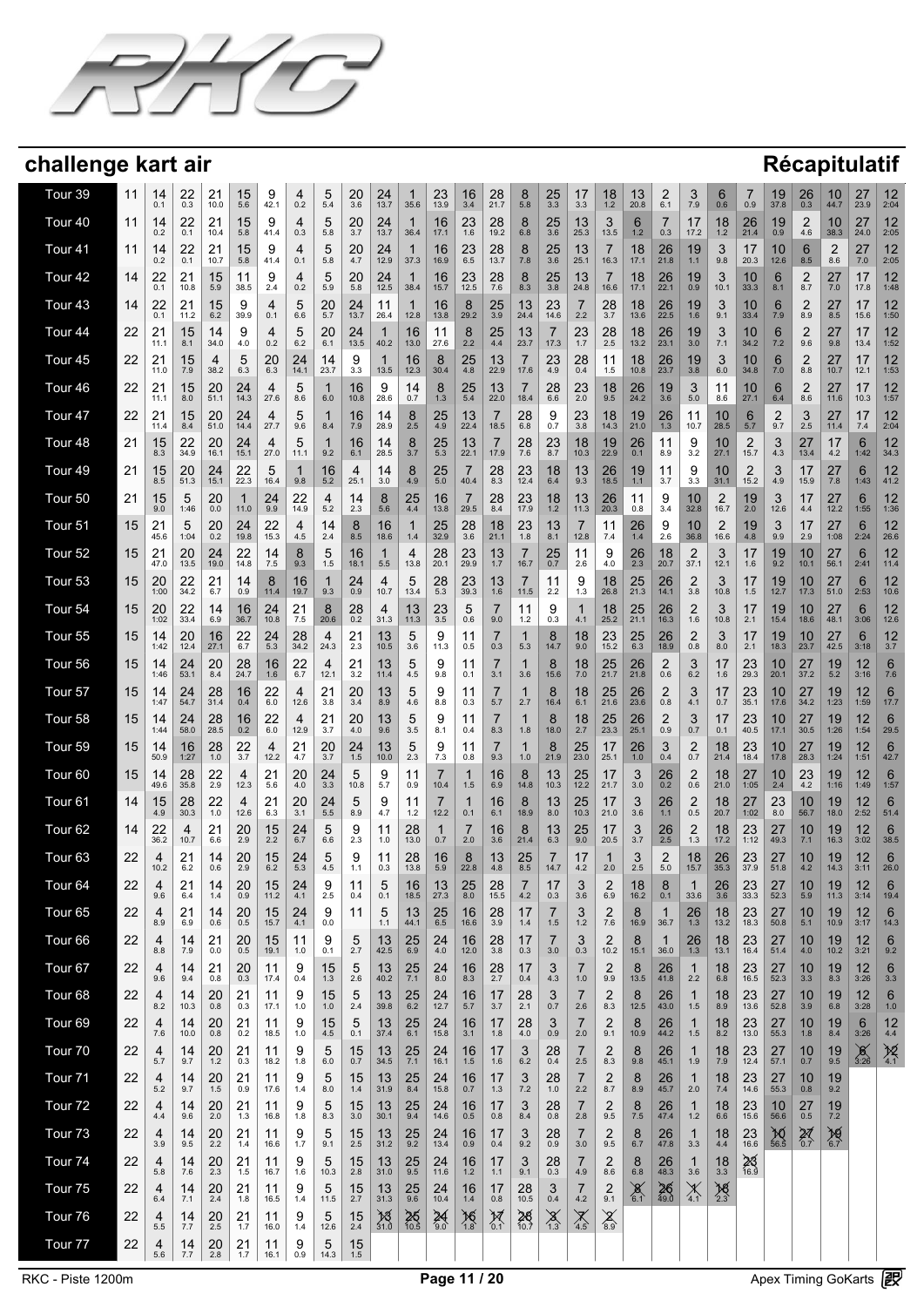

| Tour 39            | 11 | 14<br>0.1  | 22<br>0.3         | 21<br>10.0    | 15<br>5.6        | 9<br>42.1       | 4<br>0.2         | 5<br>5.4            | 20<br>$3.\overline{6}$ | $24$ <sub>13.7</sub> | 1<br>35.6            | 23<br>13.9       | $\frac{16}{3.4}$       | 28<br>21.7          | 8<br>5.8              | $\frac{25}{3.3}$  | 17<br>3.3              | 18<br>1.2             | 13<br>20.8           | $^{2}_{6.1}$      | 3<br>7.9               | 6<br>0.6         | 7<br>0.9               | 19<br>37.8                                                        | 26<br>0.3        | 10<br>44.7            | 27<br>23.9       | 12<br>2:04             |
|--------------------|----|------------|-------------------|---------------|------------------|-----------------|------------------|---------------------|------------------------|----------------------|----------------------|------------------|------------------------|---------------------|-----------------------|-------------------|------------------------|-----------------------|----------------------|-------------------|------------------------|------------------|------------------------|-------------------------------------------------------------------|------------------|-----------------------|------------------|------------------------|
| Tour 40            | 11 | 14<br>0.2  | 22<br>0.1         | 21<br>10.4    | 15<br>5.8        | 9<br>41.4       | 4<br>0.3         | 5<br>5.8            | $^{20}_{3.7}$          | $24$ <sub>13.7</sub> | -1<br>36.4           | 16<br>17.1       | 23<br>$1.\overline{6}$ | 28<br>19.2          | 8<br>6.8              | $\frac{25}{3.6}$  | $13 \atop 25.3$        | 3<br>13.5             | 6<br>1.2             | 7<br>0.3          | 17<br>17.2             | 18<br>$1.2$      | $^{26}_{21.4}$         | $19_{0.9}$                                                        | 2<br>4.6         | 10<br>38.3            | 27<br>24.0       | 12<br>2:05             |
| Tour <sub>41</sub> | 11 | 14<br>0.2  | 22<br>0.1         | 21<br>10.7    | 15<br>5.8        | 9<br>41.4       | 4<br>0.1         | 5<br>5.8            | 20<br>4.7              | 24<br>12.9           | -1<br>37.3           | 16<br>16.9       | 23<br>6.5              | 28<br>13.7          | 8<br>7.8              | 25<br>3.6         | 13<br>25.1             | 7<br>16.3             | 18<br>17.1           | 26<br>21.8        | 19<br>1.1              | 3<br>9.8         | 17<br>20.3             | 10<br>12.6                                                        | 6<br>8.5         | $\overline{2}$<br>8.6 | 27<br>7.0        | 12<br>2:05             |
| Tour <sub>42</sub> | 14 | 22<br>0.1  | 21<br>10.8        | 15<br>5.9     | 11<br>38.5       | 9<br>2.4        | 4<br>0.2         | 5<br>5.9            | 20<br>5.8              | 24<br>12.5           | 1<br>38.4            | 16<br>15.7       | 23<br>12.5             | 28<br>7.6           | 8<br>8.3              | 25<br>3.8         | 13<br>24.8             | 7<br>16.6             | 18<br>17.1           | 26<br>22.1        | 19<br>0.9              | 3<br>10.1        | 10<br>33.3             | 6<br>8.1                                                          | 2<br>8.7         | 27<br>7.0             | 17<br>17.8       | 12<br>1:48             |
| Tour <sub>43</sub> | 14 | 22<br>0.1  | 21<br>11.2        | 15<br>6.2     | 9<br>39.9        | 4<br>0.1        | 5<br>6.6         | 20<br>5.7           | 24<br>13.7             | 11<br>26.4           | 1<br>12.8            | 16<br>13.8       | 8<br>29.2              | 25<br>3.9           | 13<br>24.4            | 23<br>14.6        | $\overline{7}$<br>2.2  | 28<br>3.7             | 18<br>13.6           | 26<br>22.5        | 19<br>1.6              | 3<br>9.1         | 10<br>33.4             | 6<br>7.9                                                          | 2<br>8.9         | 27<br>8.5             | 17<br>15.6       | 12<br>1:50             |
| Tour <sub>44</sub> | 22 | 21<br>11.1 | 15<br>8.1         | 14<br>34.0    | 9<br>4.0         | 4<br>0.2        | 5<br>6.2         | 20<br>6.1           | 24<br>13.5             | $\mathbf 1$<br>40.2  | 16<br>13.0           | 11<br>27.6       | 8<br>2.2               | 25<br>4.4           | 13<br>23.7            | 7<br>17.3         | 23<br>1.7              | 28<br>2.5             | 18<br>13.2           | 26<br>23.1        | 19<br>3.0              | 3<br>7.1         | 10<br>34.2             | 6<br>7.2                                                          | 2<br>9.6         | 27<br>9.8             | 17<br>13.4       | 12<br>1:52             |
| Tour <sub>45</sub> | 22 | 21<br>11.0 | 15<br>7.9         | 4<br>38.2     | 5<br>6.3         | 20<br>6.3       | 24<br>14.1       | 14<br>23.7          | 9<br>3.3               | 1<br>13.5            | 16<br>12.3           | 8<br>30.4        | 25<br>4.8              | 13<br>22.9          | 7<br>17.6             | 23<br>4.9         | 28<br>0.4              | 11<br>1.5             | 18<br>10.8           | 26<br>23.7        | 19<br>3.8              | 3<br>6.0         | 10<br>34.8             | 6<br>7.0                                                          | 2<br>8.8         | 27<br>10.7            | 17<br>12.1       | 12<br>1:53             |
| Tour <sub>46</sub> | 22 | 21<br>11.1 | 15<br>8.0         | 20<br>51.1    | 24<br>14.3       | 4<br>27.6       | 5<br>8.6         | 1<br>6.0            | 16<br>10.8             | 9<br>28.6            | 14<br>0.7            | 8<br>1.3         | 25<br>5.4              | 13<br>22.0          | 7<br>18.4             | 28<br>6.6         | 23<br>2.0              | 18<br>9.5             | 26<br>24.2           | 19<br>3.6         | 3<br>5.0               | 11<br>8.6        | 10<br>27.1             | 6<br>6.4                                                          | 2<br>8.6         | 27<br>11.6            | 17<br>10.3       | 12<br>1:57             |
| Tour <sub>47</sub> | 22 | 21<br>11.4 | 15<br>8.4         | 20<br>51.0    | 24<br>14.4       | 4<br>27.7       | 5<br>9.6         | 1<br>8.4            | 16<br>7.9              | 14<br>28.9           | 8<br>2.5             | 25<br>4.9        | 13<br>22.4             | 7<br>18.5           | 28<br>6.8             | 9<br>0.7          | 23<br>$3.\overline{8}$ | 18<br>14.3            | 19<br>21.0           | $^{26}_{1.3}$     | 11<br>10.7             | 10<br>28.5       | 6<br>5.7               | 2<br>9.7                                                          | 3<br>2.5         | 27<br>11.4            | 17<br>7.4        | 12<br>2:04             |
| Tour 48            | 21 | 15<br>8.3  | 22<br>34.9        | 20<br>16.1    | 24<br>15.1       | 4<br>27.0       | 5<br>11.1        | 1<br>9.2            | 16<br>6.1              | 14<br>28.5           | 8<br>3.7             | 25<br>5.3        | 13<br>22.1             | 7<br>17.9           | 28<br>7.6             | 23<br>8.7         | 18<br>10.3             | 19<br>22.9            | 26<br>0.1            | 11<br>8.9         | 9<br>3.2               | 10<br>27.1       | $\overline{2}$<br>15.7 | 3<br>4.3                                                          | 27<br>13.4       | 17<br>4.2             | 6<br>1:42        | 12<br>34.3             |
| Tour 49            | 21 | 15<br>8.5  | 20<br>51.3        | 24<br>15.1    | 22<br>22.3       | 5<br>16.4       | 1<br>9.8         | 16<br>5.2           | 4<br>25.1              | 14<br>3.0            | 8<br>4.9             | 25<br>5.0        | 40.4                   | 28<br>8.3           | 23<br>12.4            | 18<br>6.4         | 13<br>9.3              | 26<br>18.5            | 19<br>1.1            | 11<br>3.7         | 9<br>3.3               | 10<br>31.1       | $\overline{2}$<br>15.2 | 3<br>4.9                                                          | 17<br>15.9       | 27<br>7.8             | 6<br>1:43        | 12<br>41.2             |
| Tour <sub>50</sub> | 21 | 15<br>9.0  | 5<br>1:46         | 20<br>0.0     | 11.0             | 24<br>9.9       | 22<br>14.9       | 4<br>5.2            | 14<br>2.3              | 8<br>5.6             | 25<br>4.4            | 16<br>13.8       | 7<br>29.5              | 28<br>8.4           | 23<br>17.9            | 18<br>1.2         | 13<br>11.3             | 26<br>20.3            | 11<br>0.8            | 9<br>3.4          | 10<br>32.8             | 2<br>16.7        | 19<br>2.0              | 3<br>12.6                                                         | 17<br>4.4        | 27<br>12.2            | 6<br>1:55        | 12<br>1:36             |
| Tour <sub>51</sub> | 15 | 21<br>45.6 | 5<br>1:04         | 20<br>0.2     | 24<br>19.8       | 22<br>15.3      | 4<br>4.5         | 14<br>2.4           | 8<br>8.5               | 16<br>18.6           | 1<br>1.4             | 25<br>32.9       | 28<br>3.6              | 18<br>21.1          | 23<br>1.8             | 13<br>8.1         | 7<br>12.8              | 11<br>7.4             | 26<br>$1.4$          | 9<br>2.6          | 10<br>36.8             | 2<br>16.6        | 19<br>4.8              | 3<br>9.9                                                          | 17<br>2.9        | 27<br>1:08            | 6<br>2:24        | 12<br>26.6             |
| Tour 52            | 15 | 21<br>47.0 | <b>20</b><br>13.5 | 24<br>19.0    | $22$<br>14.8     | 14<br>7.5       | 8<br>9.3         | 5<br>1.5            | 16<br>18.1             | 1<br>5.5             | 4<br>13.8            | 28<br>20.1       | 23<br>29.9             | 13<br>1.7           | 16.7                  | 25<br>0.7         | 11<br>2.6              | 9<br>4.0              | $\frac{26}{2.3}$     | 18<br>20.7        | $\frac{2}{37.1}$       | 3<br>12.1        | 17<br>1.6              | 19.2                                                              | 10<br>10.1       | 27<br>56.1            | 6<br>2:41        | 12<br>11.4             |
| Tour <sub>53</sub> | 15 | 20<br>1:00 | 22<br>34.2        | 21<br>6.7     | 14<br>0.9        | 8<br>11.4       | 16<br>19.7       | 1<br>9.3            | 24<br>0.9              | 4<br>10.7            | 5<br>13.4            | 28<br>5.3        | 23<br>39.3             | 13<br>1.6           | 11.5                  | 11<br>2.2         | 9<br>1.3               | $18$ <sub>26.8</sub>  | $25$ <sub>21.3</sub> | 26<br>14.1        | $\frac{2}{3.8}$        | 3<br>10.8        | 17<br>1.5              | 19<br>12.7                                                        | 10<br>17.3       | 27<br>51.0            | 6<br>2:53        | 12<br>10.6             |
| Tour <sub>54</sub> | 15 | 20<br>1:02 | $22$<br>33.4      | 14<br>6.9     | 16<br>36.7       | $24 \atop 10.8$ | $\frac{21}{7.5}$ | 8<br>20.6           | 28<br>$0.\overline{2}$ | $\frac{4}{31.3}$     | $13$ <sub>11.3</sub> | $23 \atop 3.5$   | 5<br>0.6               | 7<br>9.0            | 11<br>1.2             | 9<br>0.3          | 1<br>4.1               | 18<br>25.2            | $25$ <sub>21.1</sub> | 26<br>16.3        | $^{2}_{1.6}$           | 3<br>10.8        | 17<br>2.1              | 19<br>15.4                                                        | 10<br>18.6       | 27<br>48.1            | 6<br>3:06        | 12<br>12.6             |
| Tour 55            | 15 | 14<br>1:42 | $20$<br>$12.4$    | 16<br>27.1    | $^{22}_{6.7}$    | $^{24}_{5.3}$   | $28_{34.2}$      | 4<br>24.3           | 21<br>2.3              | 13<br>10.5           | 5<br>3.6             | 9<br>11.3        | 11<br>0.5              | 7<br>0.3            | 5.3                   | 8<br>14.7         | 18<br>9.0              | 23<br>15.2            | $25$ <sub>6.3</sub>  | 26<br>18.9        | $_{0.8}^{2}$           | 3<br>8.0         | 17<br>2.1              | 19<br>18.3                                                        | 10<br>23.7       | 27<br>42.5            | 6<br>3:18        | 12<br>3.7              |
| Tour 56            | 15 | 14<br>1:46 | 24<br>53.1        | 20<br>8.4     | 28<br>24.7       | 16<br>1.6       | 22<br>6.7        | 4<br>12.1           | 21<br>3.2              | 13<br>11.4           | 5<br>4.5             | 9<br>9.8         | 11<br>0.1              | 7<br>3.1            | 3.6                   | 8<br>15.6         | 18<br>7.0              | 25<br>21.7            | 26<br>21.8           | 2<br>0.6          | 3<br>6.2               | 17<br>1.6        | 23<br>29.3             | 10<br>20.1                                                        | 27<br>37.2       | 19<br>5.2             | 12<br>3:16       | 6<br>7.6               |
| Tour 57            | 15 | 14<br>1:47 | 24<br>54.7        | 28<br>31.4    | 16<br>0.4        | 22<br>6.0       | 4<br>12.6        | 21<br>3.8           | 20<br>3.4              | 13<br>8.9            | 5<br>4.6             | 9<br>8.8         | 11<br>0.3              | 7<br>5.7            | 2.7                   | 8<br>16.4         | 18<br>6.1              | 25<br>21.6            | 26<br>23.6           | 2<br>0.8          | 3<br>4.1               | 17<br>0.7        | 23<br>35.1             | 10<br>17.6                                                        | 27<br>34.2       | 19<br>1:23            | 12<br>1:59       | 6<br>17.7              |
| Tour 58            | 15 | 14<br>1:44 | 24<br>58.0        | 28<br>28.5    | $\frac{16}{0.2}$ | 22<br>6.0       | 4<br>12.9        | 21<br>3.7           | 20<br>4.0              | 13<br>9.6            | 5<br>3.5             | 9<br>8.1         | 11<br>0.4              | 7<br>8.3            | 1<br>1.8              | 8<br>18.0         | 18<br>2.7              | 25<br>23.3            | 26<br>25.1           | 2<br>0.9          | 3<br>0.7               | 17<br>0.1        | 23<br>40.5             | 10<br>17.1                                                        | 27<br>30.5       | 19<br>1:26            | 12<br>1:54       | 6<br>29.5              |
| Tour 59            | 15 | 14<br>50.9 | 16<br>1:27        | 28<br>1.0     | 22<br>3.7        | 4<br>12.2       | 21<br>4.7        | 20<br>3.7           | 24<br>1.5              | 13<br>10.0           | 5<br>2.3             | 9<br>7.3         | 11<br>0.8              | 7<br>9.3            | 1<br>1.0              | 8<br>21.9         | 25<br>23.0             | 17<br>25.1            | 26<br>1.0            | 3<br>0.4          | $\overline{2}$<br>0.7  | 18<br>21.4       | 23<br>18.4             | 10<br>17.8                                                        | 27<br>28.3       | 19<br>1:24            | 12<br>1:51       | 6<br>42.7              |
| Tour <sub>60</sub> | 15 | 14<br>49.6 | 28<br>35.8        | 22<br>2.9     | 4<br>12.3        | 21<br>5.6       | 20<br>4.0        | 24<br>3.3           | 5<br>10.8              | 9<br>5.7             | 11<br>0.9            | 7<br>10.4        | $\mathbf{1}$<br>1.5    | 16<br>6.9           | 8<br>14.8             | 13<br>10.3        | $25$<br>$12.2$         | 17<br>21.7            | 3<br>3.0             | $26_{0.2}$        | $_{0.6}^{2}$           | 18<br>21.0       | 27<br>1:05             | $10^{2.4}$                                                        | 23<br>4.2        | 19<br>1:16            | 12<br>1:49       | 6<br>1:57              |
| Tour <sub>61</sub> | 14 | 15<br>4.9  | 28<br>30.3        | 22<br>1.0     | 4<br>12.6        | 21<br>6.3       | 20<br>3.1        | 24<br>5.5           | 5<br>8.9               | 9<br>4.7             | 11<br>$1.2$          | 7<br>12.2        | 1<br>0.1               | 16<br>6.1           | 8<br>18.9             | 13<br>8.0         | 25<br>10.3             | 17<br>21.0            | 3<br>3.6             | 26<br>$1.1$       | $\overline{2}$<br>0.5  | 18<br>20.7       | 27<br>1:02             | 23<br>8.0                                                         | 10<br>56.7       | 19<br>18.0            | 12<br>2:52       | 6<br>51.4              |
| Tour <sub>62</sub> | 14 | 22<br>36.2 | 4<br>10.7         | $^{21}_{6.6}$ | 20<br>2.9        | 15<br>2.2       | 24<br>6.7        | 5<br>6.6            | 9<br>2.3               | 11<br>1.0            | 28<br>13.0           | 1<br>0.7         | 7<br>2.0               | 16<br>3.6           | 8<br>21.4             | 13 <sub>6.3</sub> | 25<br>9.0              | 17<br>20.5            | 3.7                  | $\frac{26}{2.5}$  | $2_{1.3}$              | 18<br>17.2       | 23<br>1:12             | 27<br>49.3                                                        | 10<br>7.1        | 19<br>16.3            | 12<br>3:02       | 6<br>38.5              |
| Tour <sub>63</sub> | 22 | 4<br>10.2  | 21<br>6.2         | 14<br>0.6     | 20<br>2.9        | 15<br>6.2       | 24<br>5.3        | 5<br>4.5            | 9<br>1.1               | 11<br>0.3            | 28<br>13.8           | 16<br>5.9        | 8<br>22.8              | 13<br>4.8           | 25<br>8.5             | 7<br>14.7         | 17<br>4.2              | 1<br>2.0              | 3<br>2.5             | 2<br>5.0          | 18<br>15.7             | 26<br>35.3       | 23<br>37.9             | 27<br>51.8                                                        | 10<br>4.2        | 19<br>14.3            | 12<br>3:11       | 6<br>26.0              |
| Tour <sub>64</sub> | 22 | 4<br>9.6   | 21<br>6.4         | 14<br>1.4     | 20<br>0.9        | 15<br>11.2      | 24<br>4.1        | 9<br>2.5            | 11<br>0.4              | 5<br>0.1             | 16<br>18.5           | 13<br>27.3       | 25<br>$8.0\,$          | 28<br>15.5          | $\overline{ }$<br>4.2 | 17<br>0.3         | 3<br>3.6               | $\overline{2}$<br>6.9 | 18<br>16.2           | 8<br>0.1          | $\overline{A}$<br>33.6 | 26<br>$3.6\,$    | 23<br>33.3             | 27<br>52.3                                                        | 10<br>5.9        | 19<br>11.3            | 12<br>3:14       | $6\phantom{1}$<br>19.4 |
| Tour 65            | 22 | 4<br>8.9   | 21<br>6.9         | 14<br>0.6     | 20<br>0.5        | 15<br>15.7      | 24<br>4.1        | 9<br>0.0            | 11                     | 5<br>1.1             | 13<br>44.1           | 25<br>$6.5\,$    | 16<br>16.6             | 28<br>3.9           | 17<br>1.4             | 7<br>$1.5$        | 3<br>$1.2$             | 2<br>$7.6\,$          | 8<br>16.9            | 36.7              | 26<br>1.3              | 18<br>13.2       | 23<br>18.3             | 27<br>50.8                                                        | 10<br>5.1        | 19<br>10.9            | 12<br>3:17       | 6<br>14.3              |
| Tour <sub>66</sub> | 22 | 4<br>8.8   | 14<br>7.9         | 21<br>0.0     | 20<br>0.5        | 15<br>19.1      | 11<br>1.0        | 9<br>0.1            | 5<br>2.7               | 13<br>42.5           | 25<br>6.9            | 24<br>4.0        | 16<br>12.0             | $\frac{28}{3.8}$    | 17<br>0.3             | 7<br>3.0          | 3<br>0.3               | 2<br>10.2             | 8<br>15.1            | 36.0              | $^{26}_{1.3}$          | 18<br>13.1       | 23<br>16.4             | 27<br>51.4                                                        | 10<br>4.0        | 19<br>10.2            | 12<br>3:21       | 6<br>9.2               |
| Tour <sub>67</sub> | 22 | 4<br>9.6   | 14<br>9.4         | 21<br>0.8     | 20<br>0.3        | 11<br>17.4      | 9<br>0.4         | 15<br>1.3           | 5<br>2.6               | 13<br>40.2           | 25<br>7.1            | 24<br>8.0        | 16<br>8.3              | 28<br>2.7           | 17<br>0.4             | 3<br>4.3          | 7<br>$1.0$             | 2<br>9.9              | 8<br>13.5            | 26<br>41.8        | 1<br>2.2               | 18<br>6.8        | 23<br>16.5             | 27<br>52.3                                                        | 10<br>3.3        | 19<br>8.3             | 12<br>3:26       | 6<br>3.3               |
| Tour <sub>68</sub> | 22 | 4<br>8.2   | 14<br>10.3        | 20<br>0.8     | 21<br>0.3        | 11<br>17.1      | 9<br>1.0         | 15<br>1.0           | 5<br>2.4               | 13<br>39.8           | $25$ <sub>6.2</sub>  | $24$<br>12.7     | $^{16}_{\ 5.7}$        | $\frac{17}{3.7}$    | $^{28}_{2.1}$         | 3<br>0.7          | 7<br>2.6               | $\overline{c}$<br>8.3 | 8<br>12.5            | 26<br>43.0        | $\mathbf{1}$<br>1.5    | 18<br>8.9        | $23$ <sub>13.6</sub>   | $27$ <sub>52.8</sub>                                              | 10<br>3.9        | 19<br>6.8             | 12<br>3:28       | 6<br>1.0               |
| Tour <sub>69</sub> | 22 | 4<br>7.6   | 14<br>10.0        | $^{20}_{0.8}$ | $^{21}_{0.2}$    | 11<br>18.5      | 9<br>1.0         | $15$ <sub>4.5</sub> | 5<br>0.1               | $\frac{13}{37.4}$    | $25$ <sub>6.1</sub>  | $24$<br>15.8     | $\frac{16}{3.1}$       | 17<br>1.8           | $^{28}_{4.0}$         | 3<br>0.9          | 7<br>2.0               | $\frac{2}{9.1}$       | 8<br>10.9            | 26<br>44.2        | 1<br>1.5               | $18_{8.2}$       | $23$ <sub>13.0</sub>   | 27<br>55.3                                                        | 10<br>1.8        | $^{19}_{8.4}$         | 6<br>3:26        | 12<br>4.4              |
| Tour 70            | 22 | 4<br>5.7   | 14<br>9.7         | $^{20}_{1.2}$ | $^{21}_{0.3}$    | 11<br>18.2      | 9<br>1.8         | 5<br>6.0            | $^{15}_{0.7}$          | $\frac{13}{34.5}$    | $\frac{25}{7.1}$     | $24$<br>16.1     | $\frac{16}{1.5}$       | 17<br>1.6           | 3<br>$6.2\,$          | $^{28}_{0.4}$     | 7<br>2.5               | 2<br>8.3              | 8<br>9.8             | $26$<br>45.1      | $\mathbf{1}$<br>1.9    | $\frac{18}{7.9}$ | $23$<br>12.4           | 27<br>57.1                                                        | $10_{0.7}$       | $^{19}_{9.5}$         | $\frac{8}{3:26}$ | $\frac{12}{4.1}$       |
| Tour <sub>71</sub> | 22 | 4<br>5.2   | 14<br>9.7         | 20<br>1.5     | 21<br>0.9        | 11<br>17.6      | 9<br>1.4         | 5<br>8.0            | 15<br>1.4              | 13<br>31.9           | $\frac{25}{8.4}$     | 24<br>15.8       | 16<br>0.7              | 17<br>1.3           | 3<br>7.2              | 28<br>1.0         | 7<br>2.2               | $\frac{2}{8.7}$       | 8<br>8.9             | 26<br>45.7        | $\mathbf{1}$<br>2.0    | 18<br>7.4        | $23$<br>14.6           | 27<br>55.3                                                        | 10<br>0.8        | 19<br>9.2             |                  |                        |
| Tour <sub>72</sub> | 22 | 4<br>4.4   | 14<br>9.6         | $^{20}_{2.0}$ | 21<br>1.3        | 11<br>16.8      | 9<br>1.8         | 5<br>8.3            | 15<br>3.0              | 13<br>30.1           | 25<br>9.4            | 24<br>14.6       | 16<br>0.5              | 17<br>0.8           | 3<br>8.4              | 28<br>0.8         | 7<br>2.8               | $\overline{2}$<br>9.5 | 8<br>$7.5\,$         | 26<br>47.4        | $\mathbf{1}$<br>1.2    | 18<br>6.6        | $23$<br>15.6           | 10<br>56.6                                                        | 27<br>0.5        | 19<br>$7.2$           |                  |                        |
| Tour <sub>73</sub> | 22 | 4<br>3.9   | 14<br>9.5         | $^{20}_{2.2}$ | 21<br>1.4        | 11<br>16.6      | 9<br>1.7         | 5<br>9.1            | 15<br>2.5              | 13<br>31.2           | $\frac{25}{9.2}$     | 24<br>13.4       | 16<br>0.9              | 17<br>0.4           | 3<br>9.2              | 28<br>0.9         | 7<br>3.0               | $\overline{2}$<br>9.5 | 8<br>6.7             | 26<br>47.8        | 1<br>3.3               | 18<br>4.4        | 23<br>16.6             | $^{30}_{\phantom{1}\phantom{1}\phantom{1}\phantom{1}\phantom{1}}$ | $\frac{27}{0.7}$ | $\frac{10}{6.7}$      |                  |                        |
| Tour <sub>74</sub> | 22 | 4<br>5.8   | 14<br>7.6         | 20<br>2.3     | 21<br>1.5        | 11<br>16.7      | 9<br>1.6         | 5<br>10.3           | 15<br>2.8              | 13<br>31.0           | 25<br>9.5            | 24<br>11.6       | 16<br>1.2              | 17<br>1.1           | 3<br>9.1              | 28<br>0.3         | 7<br>4.9               | $\overline{2}$<br>8.6 | 8<br>$6.8\,$         | 26<br>48.3        | $\mathbf{1}$<br>3.6    | 18<br>3.3        | $\frac{23}{16.9}$      |                                                                   |                  |                       |                  |                        |
| Tour <sub>75</sub> | 22 | 4<br>6.4   | 14<br>7.1         | 20<br>2.4     | 21<br>1.8        | 11<br>16.5      | 9<br>1.4         | 5<br>11.5           | $\frac{15}{2.7}$       | 13<br>31.3           | $\frac{25}{9.6}$     | 24<br>10.4       | 16<br>1.4              | 17<br>0.8           | 28<br>10.5            | 3<br>$0.4\,$      | $\frac{7}{4.2}$        | $\overline{c}$<br>9.1 | $\frac{8}{6.1}$      | $\frac{26}{49.0}$ | $\chi$ <sup>4.1</sup>  | $\frac{18}{2.3}$ |                        |                                                                   |                  |                       |                  |                        |
| Tour 76            | 22 | 4<br>5.5   | 14<br>7.7         | $^{20}_{2.5}$ | 21<br>1.7        | 11<br>16.0      | 9                | 5<br>12.6           | $\frac{15}{2.4}$       | $\frac{13}{31.0}$    | $26$ <sub>10.5</sub> | $\frac{24}{9.0}$ | $\frac{16}{1.8}$       | $\mathcal{X}_{0.1}$ | $28$ <sub>10.7</sub>  | $\sum_{1.3}$      | $\sum_{4.5}$           | $\chi$ <sub>8.9</sub> |                      |                   |                        |                  |                        |                                                                   |                  |                       |                  |                        |
| Tour 77            | 22 | 4          | $\frac{14}{1}$    | $^{20}_{2.8}$ | $^{21}_{1.7}$    | 11              | 1.4<br>9         | 5                   | 15<br>$1.5\,$          |                      |                      |                  |                        |                     |                       |                   |                        |                       |                      |                   |                        |                  |                        |                                                                   |                  |                       |                  |                        |
|                    |    | 5.6        | 7.7               |               |                  | 16.1            | 0.9              | 14.3                |                        |                      |                      |                  |                        |                     |                       |                   |                        |                       |                      |                   |                        |                  |                        |                                                                   |                  |                       |                  |                        |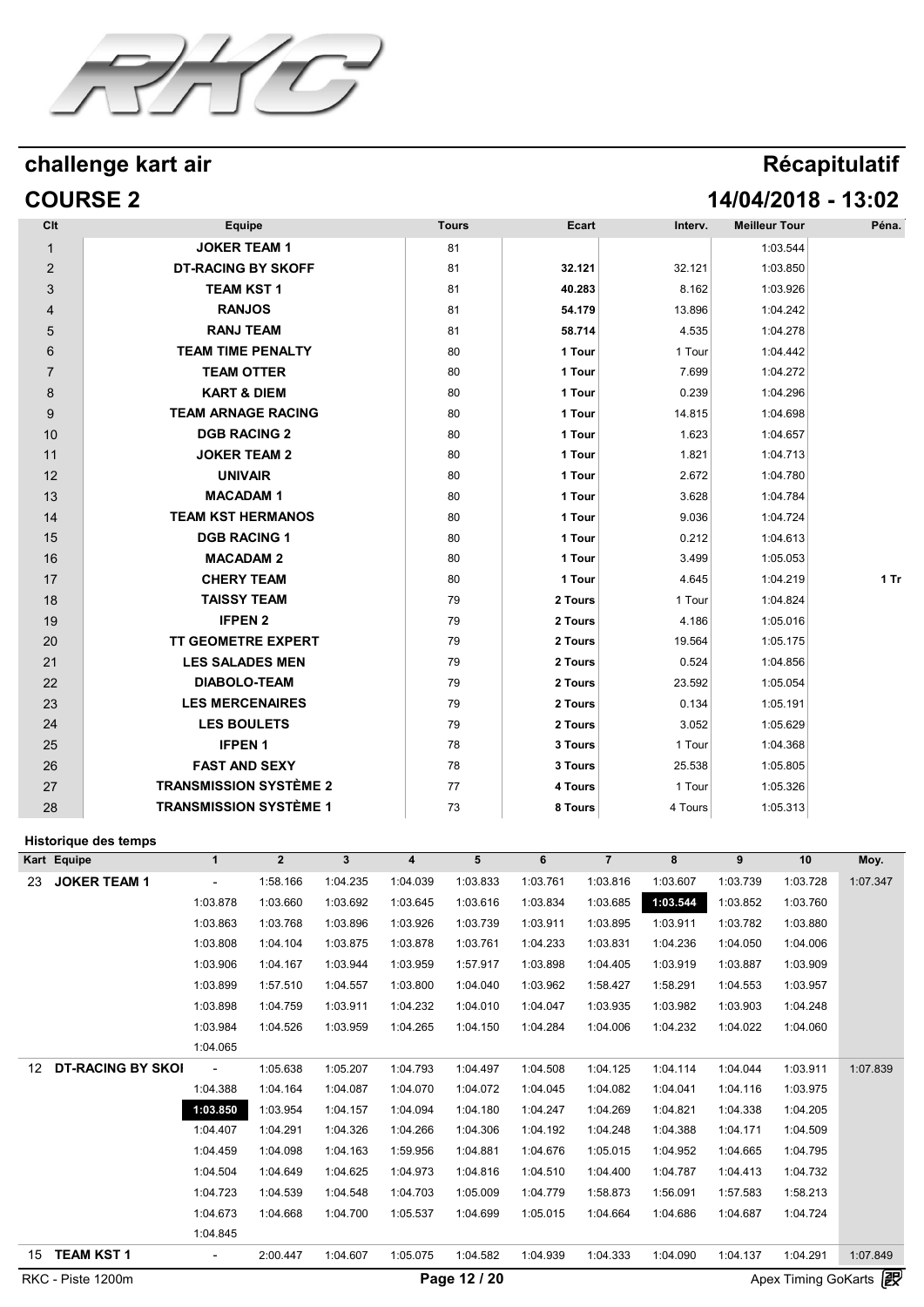

## **COURSE 2 14/04/2018 - 13:02**

| Clt                         |                          | <b>Equipe</b>                 |                |              |                         | <b>Tours</b>   |          | Ecart          | Interv.  | <b>Meilleur Tour</b> |          | Péna.    |
|-----------------------------|--------------------------|-------------------------------|----------------|--------------|-------------------------|----------------|----------|----------------|----------|----------------------|----------|----------|
| $\mathbf{1}$                |                          | <b>JOKER TEAM 1</b>           |                |              |                         | 81             |          |                |          |                      | 1:03.544 |          |
| $\overline{2}$              |                          | <b>DT-RACING BY SKOFF</b>     |                |              |                         | 81             |          | 32.121         | 32.121   |                      | 1:03.850 |          |
| 3                           |                          | <b>TEAM KST 1</b>             |                |              |                         | 81             |          | 40.283         | 8.162    |                      | 1:03.926 |          |
| 4                           |                          | <b>RANJOS</b>                 |                |              |                         | 81             |          | 54.179         | 13.896   |                      | 1:04.242 |          |
| 5                           |                          | <b>RANJ TEAM</b>              |                |              |                         | 81             |          | 58.714         | 4.535    |                      | 1:04.278 |          |
| 6                           |                          | <b>TEAM TIME PENALTY</b>      |                |              |                         | 80             |          | 1 Tour         | 1 Tour   |                      | 1:04.442 |          |
| 7                           |                          | <b>TEAM OTTER</b>             |                |              |                         | 80             |          | 1 Tour         | 7.699    |                      | 1:04.272 |          |
| 8                           |                          | <b>KART &amp; DIEM</b>        |                |              |                         | 80             |          | 1 Tour         | 0.239    |                      | 1:04.296 |          |
| 9                           |                          | <b>TEAM ARNAGE RACING</b>     |                |              |                         | 80             | 1 Tour   |                | 14.815   |                      | 1:04.698 |          |
| 10                          |                          | <b>DGB RACING 2</b>           |                |              |                         | 80             |          | 1 Tour         | 1.623    |                      | 1:04.657 |          |
| 11                          |                          | <b>JOKER TEAM 2</b>           |                |              |                         | 80             |          | 1 Tour         | 1.821    |                      | 1:04.713 |          |
| 12                          |                          | <b>UNIVAIR</b>                |                |              |                         | 80             |          | 1 Tour         | 2.672    |                      | 1:04.780 |          |
| 13                          |                          | <b>MACADAM1</b>               |                |              |                         | 80             | 1 Tour   |                | 3.628    |                      | 1:04.784 |          |
| 14                          |                          | <b>TEAM KST HERMANOS</b>      |                |              |                         | 80             |          | 1 Tour         | 9.036    |                      | 1:04.724 |          |
| 15                          |                          | <b>DGB RACING 1</b>           |                |              |                         | 80             |          | 1 Tour         | 0.212    |                      | 1:04.613 |          |
| 16                          |                          | <b>MACADAM 2</b>              |                |              |                         | 80             |          | 1 Tour         | 3.499    |                      | 1:05.053 |          |
| 17                          |                          | <b>CHERY TEAM</b>             |                |              |                         | 80             |          | 1 Tour         | 4.645    |                      | 1:04.219 | $1$ Tr   |
| 18                          |                          | <b>TAISSY TEAM</b>            |                |              |                         | 79             | 2 Tours  |                | 1 Tour   |                      | 1:04.824 |          |
| 19                          |                          | <b>IFPEN 2</b>                |                |              |                         | 79             | 2 Tours  |                | 4.186    |                      | 1:05.016 |          |
| 20                          |                          | <b>TT GEOMETRE EXPERT</b>     |                |              |                         | 79             | 2 Tours  |                | 19.564   |                      | 1:05.175 |          |
| 21                          |                          | <b>LES SALADES MEN</b>        |                |              |                         | 79             | 2 Tours  |                | 0.524    |                      | 1:04.856 |          |
| 22                          |                          | <b>DIABOLO-TEAM</b>           |                |              |                         | 79             | 2 Tours  |                | 23.592   |                      | 1:05.054 |          |
| 23                          |                          | <b>LES MERCENAIRES</b>        |                |              |                         | 79             | 2 Tours  |                | 0.134    |                      | 1:05.191 |          |
| 24                          |                          | <b>LES BOULETS</b>            |                |              |                         | 79             | 2 Tours  |                | 3.052    |                      | 1:05.629 |          |
| 25                          |                          | <b>IFPEN1</b>                 |                |              |                         | 78             | 3 Tours  |                | 1 Tour   |                      | 1:04.368 |          |
| 26                          |                          | <b>FAST AND SEXY</b>          |                |              |                         | 78             | 3 Tours  |                | 25.538   |                      | 1:05.805 |          |
| 27                          |                          | <b>TRANSMISSION SYSTÈME 2</b> |                |              |                         | 77             | 4 Tours  |                | 1 Tour   |                      | 1:05.326 |          |
| 28                          |                          | <b>TRANSMISSION SYSTÈME 1</b> |                |              |                         | 73             | 8 Tours  |                | 4 Tours  |                      | 1:05.313 |          |
|                             |                          |                               |                |              |                         |                |          |                |          |                      |          |          |
| <b>Historique des temps</b> |                          |                               |                |              |                         |                |          |                |          |                      |          |          |
| Kart Equipe                 |                          | $\mathbf{1}$                  | $\overline{2}$ | $\mathbf{3}$ | $\overline{\mathbf{4}}$ | $5\phantom{1}$ | 6        | $\overline{7}$ | 8        | $\boldsymbol{9}$     | 10       | Moy.     |
| 23                          | <b>JOKER TEAM 1</b>      |                               | 1:58.166       | 1:04.235     | 1:04.039                | 1:03.833       | 1:03.761 | 1:03.816       | 1:03.607 | 1:03.739             | 1:03.728 | 1:07.347 |
|                             |                          | 1:03.878                      | 1:03.660       | 1:03.692     | 1:03.645                | 1:03.616       | 1:03.834 | 1:03.685       | 1:03.544 | 1:03.852             | 1:03.760 |          |
|                             |                          | 1:03.863                      | 1:03.768       | 1:03.896     | 1:03.926                | 1:03.739       | 1:03.911 | 1:03.895       | 1:03.911 | 1:03.782             | 1:03.880 |          |
|                             |                          | 1:03.808                      | 1:04.104       | 1:03.875     | 1:03.878                | 1:03.761       | 1:04.233 | 1:03.831       | 1:04.236 | 1:04.050             | 1:04.006 |          |
|                             |                          | 1:03.906                      | 1:04.167       | 1:03.944     | 1:03.959                | 1:57.917       | 1:03.898 | 1:04.405       | 1:03.919 | 1:03.887             | 1:03.909 |          |
|                             |                          | 1:03.899                      | 1:57.510       | 1:04.557     | 1:03.800                | 1:04.040       | 1:03.962 | 1:58.427       | 1:58.291 | 1:04.553             | 1:03.957 |          |
|                             |                          | 1:03.898                      | 1:04.759       | 1:03.911     | 1:04.232                | 1:04.010       | 1:04.047 | 1:03.935       | 1:03.982 | 1:03.903             | 1:04.248 |          |
|                             |                          | 1:03.984                      | 1:04.526       | 1:03.959     | 1:04.265                | 1:04.150       | 1:04.284 | 1:04.006       | 1:04.232 | 1:04.022             | 1:04.060 |          |
|                             |                          | 1:04.065                      |                |              |                         |                |          |                |          |                      |          |          |
| 12                          | <b>DT-RACING BY SKOI</b> | $\sim$                        | 1:05.638       | 1:05.207     | 1:04.793                | 1:04.497       | 1:04.508 | 1:04.125       | 1:04.114 | 1:04.044             | 1:03.911 | 1:07.839 |
|                             |                          | 1:04.388                      | 1:04.164       | 1:04.087     | 1:04.070                | 1:04.072       | 1:04.045 | 1:04.082       | 1:04.041 | 1:04.116             | 1:03.975 |          |
|                             |                          | 1:03.850                      | 1:03.954       | 1:04.157     | 1:04.094                | 1:04.180       | 1:04.247 | 1:04.269       | 1:04.821 | 1:04.338             | 1:04.205 |          |
|                             |                          | 1:04.407                      | 1:04.291       | 1:04.326     | 1:04.266                | 1:04.306       | 1:04.192 | 1:04.248       | 1:04.388 | 1:04.171             | 1:04.509 |          |
|                             |                          | 1:04.459                      | 1:04.098       | 1:04.163     | 1:59.956                | 1:04.881       | 1:04.676 | 1:05.015       | 1:04.952 | 1:04.665             | 1:04.795 |          |
|                             |                          | 1:04.504                      | 1:04.649       | 1:04.625     | 1:04.973                | 1:04.816       | 1:04.510 | 1:04.400       | 1:04.787 | 1:04.413             | 1:04.732 |          |
|                             |                          | 1:04.723                      | 1:04.539       | 1:04.548     | 1:04.703                | 1:05.009       | 1:04.779 | 1:58.873       | 1:56.091 | 1:57.583             | 1:58.213 |          |
|                             |                          | 1:04.673                      | 1:04.668       | 1:04.700     | 1:05.537                | 1:04.699       | 1:05.015 | 1:04.664       | 1:04.686 | 1:04.687             | 1:04.724 |          |
|                             |                          | 1.04.04E                      |                |              |                         |                |          |                |          |                      |          |          |

1:04.845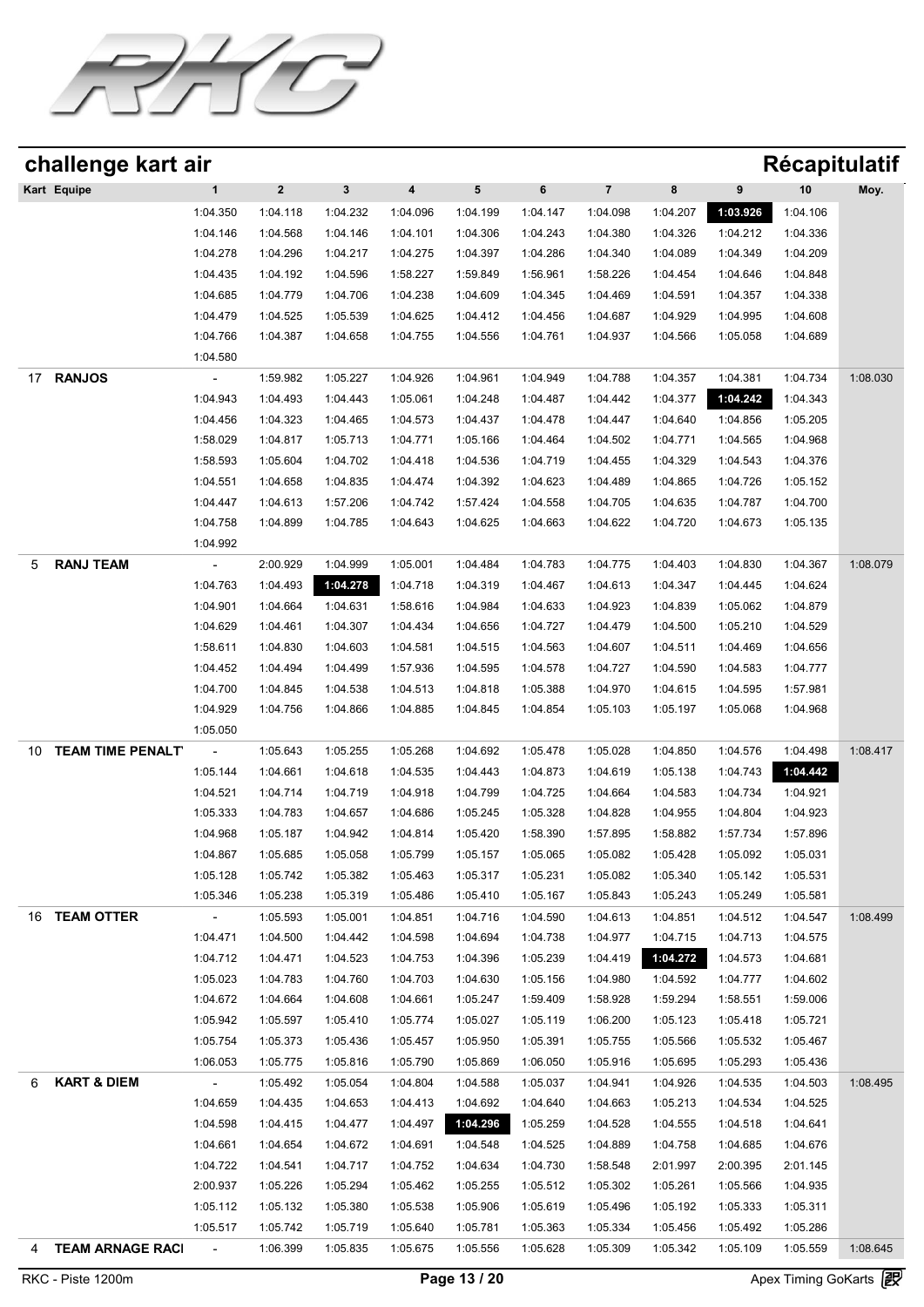

| challenge kart air            |                |             |          |          |           |          |                         |          |          | Récapitulatif |          |
|-------------------------------|----------------|-------------|----------|----------|-----------|----------|-------------------------|----------|----------|---------------|----------|
| Kart Equipe                   | 1              | $\mathbf 2$ | 3        | 4        | ${\bf 5}$ | 6        | $\overline{\mathbf{7}}$ | 8        | 9        | 10            | Moy.     |
|                               | 1:04.350       | 1:04.118    | 1:04.232 | 1:04.096 | 1:04.199  | 1:04.147 | 1:04.098                | 1:04.207 | 1:03.926 | 1:04.106      |          |
|                               | 1:04.146       | 1:04.568    | 1:04.146 | 1:04.101 | 1:04.306  | 1:04.243 | 1:04.380                | 1:04.326 | 1:04.212 | 1:04.336      |          |
|                               | 1:04.278       | 1:04.296    | 1:04.217 | 1:04.275 | 1:04.397  | 1:04.286 | 1:04.340                | 1:04.089 | 1:04.349 | 1:04.209      |          |
|                               | 1:04.435       | 1:04.192    | 1:04.596 | 1:58.227 | 1:59.849  | 1:56.961 | 1:58.226                | 1:04.454 | 1:04.646 | 1:04.848      |          |
|                               | 1:04.685       | 1:04.779    | 1:04.706 | 1:04.238 | 1:04.609  | 1:04.345 | 1:04.469                | 1:04.591 | 1:04.357 | 1:04.338      |          |
|                               | 1:04.479       | 1:04.525    | 1:05.539 | 1:04.625 | 1:04.412  | 1:04.456 | 1:04.687                | 1:04.929 | 1:04.995 | 1:04.608      |          |
|                               | 1:04.766       | 1:04.387    | 1:04.658 | 1:04.755 | 1:04.556  | 1:04.761 | 1:04.937                | 1:04.566 | 1:05.058 | 1:04.689      |          |
| <b>RANJOS</b><br>17           | 1:04.580       |             |          |          |           |          |                         |          |          |               |          |
|                               |                | 1:59.982    | 1:05.227 | 1:04.926 | 1:04.961  | 1:04.949 | 1:04.788                | 1:04.357 | 1:04.381 | 1:04.734      | 1:08.030 |
|                               | 1:04.943       | 1:04.493    | 1:04.443 | 1:05.061 | 1:04.248  | 1:04.487 | 1:04.442                | 1:04.377 | 1:04.242 | 1:04.343      |          |
|                               | 1:04.456       | 1:04.323    | 1:04.465 | 1:04.573 | 1:04.437  | 1:04.478 | 1:04.447                | 1:04.640 | 1:04.856 | 1:05.205      |          |
|                               | 1:58.029       | 1:04.817    | 1:05.713 | 1:04.771 | 1:05.166  | 1:04.464 | 1:04.502                | 1:04.771 | 1:04.565 | 1:04.968      |          |
|                               | 1:58.593       | 1:05.604    | 1:04.702 | 1:04.418 | 1:04.536  | 1:04.719 | 1:04.455                | 1:04.329 | 1:04.543 | 1:04.376      |          |
|                               | 1:04.551       | 1:04.658    | 1:04.835 | 1:04.474 | 1:04.392  | 1:04.623 | 1:04.489                | 1:04.865 | 1:04.726 | 1:05.152      |          |
|                               | 1:04.447       | 1:04.613    | 1:57.206 | 1:04.742 | 1:57.424  | 1:04.558 | 1:04.705                | 1:04.635 | 1:04.787 | 1:04.700      |          |
|                               | 1:04.758       | 1:04.899    | 1:04.785 | 1:04.643 | 1:04.625  | 1:04.663 | 1:04.622                | 1:04.720 | 1:04.673 | 1:05.135      |          |
|                               | 1:04.992       |             |          |          |           |          |                         |          |          |               |          |
| <b>RANJ TEAM</b><br>5         |                | 2:00.929    | 1:04.999 | 1:05.001 | 1:04.484  | 1:04.783 | 1:04.775                | 1:04.403 | 1:04.830 | 1:04.367      | 1:08.079 |
|                               | 1:04.763       | 1:04.493    | 1:04.278 | 1:04.718 | 1:04.319  | 1:04.467 | 1:04.613                | 1:04.347 | 1:04.445 | 1:04.624      |          |
|                               | 1:04.901       | 1:04.664    | 1:04.631 | 1:58.616 | 1:04.984  | 1:04.633 | 1:04.923                | 1:04.839 | 1:05.062 | 1:04.879      |          |
|                               | 1:04.629       | 1:04.461    | 1:04.307 | 1:04.434 | 1:04.656  | 1:04.727 | 1:04.479                | 1:04.500 | 1:05.210 | 1:04.529      |          |
|                               | 1:58.611       | 1:04.830    | 1:04.603 | 1:04.581 | 1:04.515  | 1:04.563 | 1:04.607                | 1:04.511 | 1:04.469 | 1:04.656      |          |
|                               | 1:04.452       | 1:04.494    | 1:04.499 | 1:57.936 | 1:04.595  | 1:04.578 | 1:04.727                | 1:04.590 | 1:04.583 | 1:04.777      |          |
|                               | 1:04.700       | 1:04.845    | 1:04.538 | 1:04.513 | 1:04.818  | 1:05.388 | 1:04.970                | 1:04.615 | 1:04.595 | 1:57.981      |          |
|                               | 1:04.929       | 1:04.756    | 1:04.866 | 1:04.885 | 1:04.845  | 1:04.854 | 1:05.103                | 1:05.197 | 1:05.068 | 1:04.968      |          |
|                               | 1:05.050       |             |          |          |           |          |                         |          |          |               |          |
| <b>TEAM TIME PENALT</b><br>10 |                | 1:05.643    | 1:05.255 | 1:05.268 | 1:04.692  | 1:05.478 | 1:05.028                | 1:04.850 | 1:04.576 | 1:04.498      | 1:08.417 |
|                               | 1:05.144       | 1:04.661    | 1:04.618 | 1:04.535 | 1:04.443  | 1:04.873 | 1:04.619                | 1:05.138 | 1:04.743 | 1:04.442      |          |
|                               | 1:04.521       | 1:04.714    | 1:04.719 | 1:04.918 | 1:04.799  | 1:04.725 | 1:04.664                | 1:04.583 | 1:04.734 | 1:04.921      |          |
|                               | 1:05.333       | 1:04.783    | 1:04.657 | 1:04.686 | 1:05.245  | 1:05.328 | 1:04.828                | 1:04.955 | 1:04.804 | 1:04.923      |          |
|                               | 1:04.968       | 1:05.187    | 1:04.942 | 1:04.814 | 1:05.420  | 1:58.390 | 1:57.895                | 1:58.882 | 1:57.734 | 1:57.896      |          |
|                               | 1:04.867       | 1:05.685    | 1:05.058 | 1:05.799 | 1:05.157  | 1:05.065 | 1:05.082                | 1:05.428 | 1:05.092 | 1:05.031      |          |
|                               |                |             |          |          |           |          |                         |          |          |               |          |
|                               | 1:05.128       | 1:05.742    | 1:05.382 | 1:05.463 | 1:05.317  | 1:05.231 | 1:05.082                | 1:05.340 | 1:05.142 | 1:05.531      |          |
|                               | 1:05.346       | 1:05.238    | 1:05.319 | 1:05.486 | 1:05.410  | 1:05.167 | 1:05.843                | 1:05.243 | 1:05.249 | 1:05.581      |          |
| <b>TEAM OTTER</b><br>16       | $\sim$ $-$     | 1:05.593    | 1:05.001 | 1:04.851 | 1:04.716  | 1:04.590 | 1:04.613                | 1:04.851 | 1:04.512 | 1:04.547      | 1:08.499 |
|                               | 1:04.471       | 1:04.500    | 1:04.442 | 1:04.598 | 1:04.694  | 1:04.738 | 1:04.977                | 1:04.715 | 1:04.713 | 1:04.575      |          |
|                               | 1:04.712       | 1:04.471    | 1:04.523 | 1:04.753 | 1:04.396  | 1:05.239 | 1:04.419                | 1:04.272 | 1:04.573 | 1:04.681      |          |
|                               | 1:05.023       | 1:04.783    | 1:04.760 | 1:04.703 | 1:04.630  | 1:05.156 | 1:04.980                | 1:04.592 | 1:04.777 | 1:04.602      |          |
|                               | 1:04.672       | 1:04.664    | 1:04.608 | 1:04.661 | 1:05.247  | 1:59.409 | 1:58.928                | 1:59.294 | 1:58.551 | 1:59.006      |          |
|                               | 1:05.942       | 1:05.597    | 1:05.410 | 1:05.774 | 1:05.027  | 1:05.119 | 1:06.200                | 1:05.123 | 1:05.418 | 1:05.721      |          |
|                               | 1:05.754       | 1:05.373    | 1:05.436 | 1:05.457 | 1:05.950  | 1:05.391 | 1:05.755                | 1:05.566 | 1:05.532 | 1:05.467      |          |
|                               | 1:06.053       | 1:05.775    | 1:05.816 | 1:05.790 | 1:05.869  | 1:06.050 | 1:05.916                | 1:05.695 | 1:05.293 | 1:05.436      |          |
| <b>KART &amp; DIEM</b>        | $\sim$ $-$     | 1:05.492    | 1:05.054 | 1:04.804 | 1:04.588  | 1:05.037 | 1:04.941                | 1:04.926 | 1:04.535 | 1:04.503      | 1:08.495 |
|                               | 1:04.659       | 1:04.435    | 1:04.653 | 1:04.413 | 1:04.692  | 1:04.640 | 1:04.663                | 1:05.213 | 1:04.534 | 1:04.525      |          |
|                               | 1:04.598       | 1:04.415    | 1:04.477 | 1:04.497 | 1:04.296  | 1:05.259 | 1:04.528                | 1:04.555 | 1:04.518 | 1:04.641      |          |
|                               | 1:04.661       | 1:04.654    | 1:04.672 | 1:04.691 | 1:04.548  | 1:04.525 | 1:04.889                | 1:04.758 | 1:04.685 | 1:04.676      |          |
|                               | 1:04.722       | 1:04.541    | 1:04.717 | 1:04.752 | 1:04.634  | 1:04.730 | 1:58.548                | 2:01.997 | 2:00.395 | 2:01.145      |          |
|                               | 2:00.937       | 1:05.226    | 1:05.294 | 1:05.462 | 1:05.255  | 1:05.512 | 1:05.302                | 1:05.261 | 1:05.566 | 1:04.935      |          |
|                               | 1:05.112       | 1:05.132    | 1:05.380 | 1:05.538 | 1:05.906  | 1:05.619 | 1:05.496                | 1:05.192 | 1:05.333 | 1:05.311      |          |
|                               | 1:05.517       | 1:05.742    | 1:05.719 | 1:05.640 | 1:05.781  | 1:05.363 | 1:05.334                | 1:05.456 | 1:05.492 | 1:05.286      |          |
| 4 TEAM ARNAGE RACI            | $\sim 10^{-1}$ | 1:06.399    | 1:05.835 | 1:05.675 | 1:05.556  | 1:05.628 | 1:05.309                | 1:05.342 | 1:05.109 | 1:05.559      | 1:08.645 |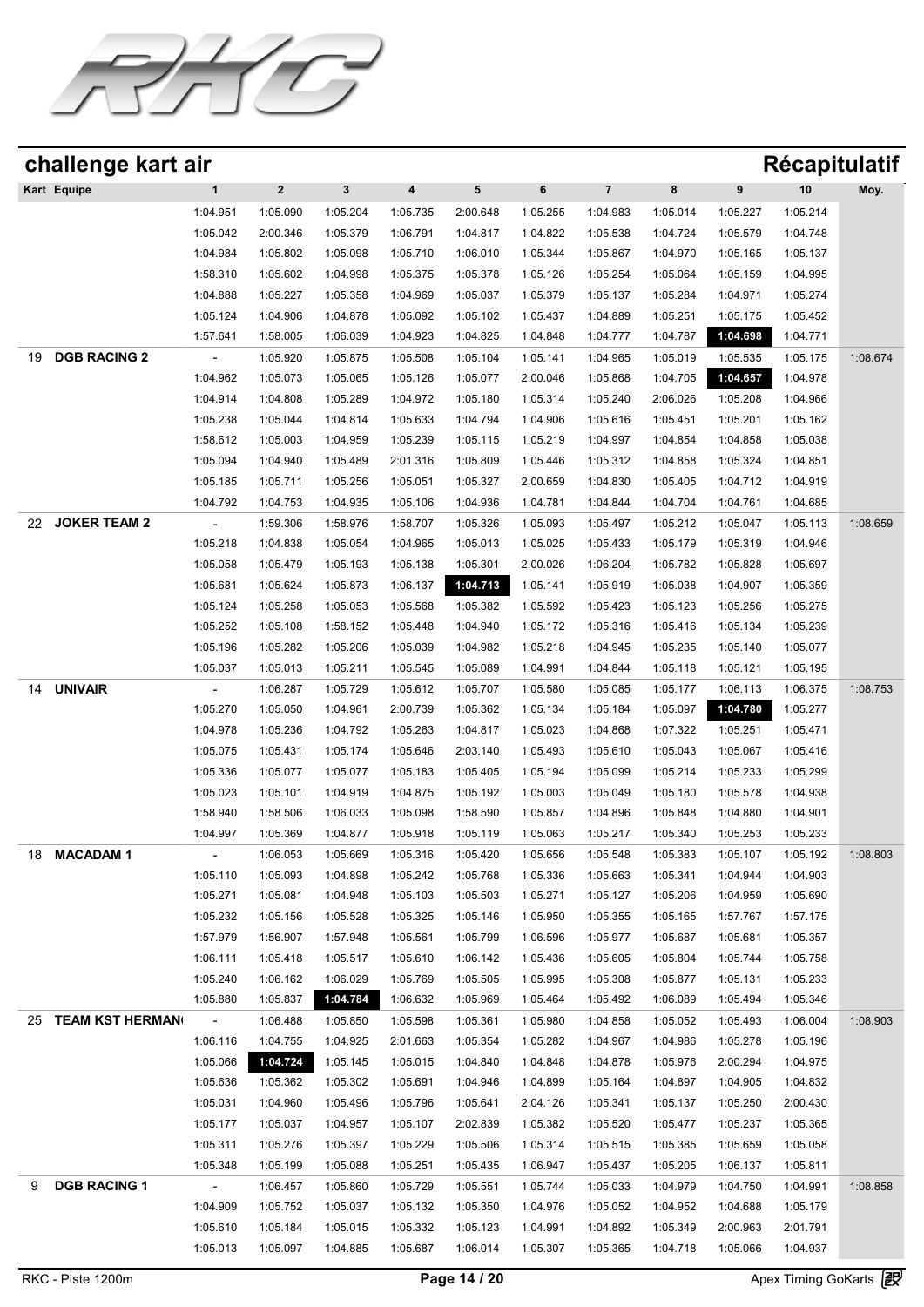

| challenge kart air           |                          |                      |                      |                      |                      |                      |                         |                      |                      |                      | <b>Récapitulatif</b> |
|------------------------------|--------------------------|----------------------|----------------------|----------------------|----------------------|----------------------|-------------------------|----------------------|----------------------|----------------------|----------------------|
| Kart Equipe                  | $\mathbf{1}$             | $\boldsymbol{2}$     | 3                    | 4                    | 5                    | 6                    | $\overline{\mathbf{7}}$ | $\bf8$               | 9                    | 10                   | Moy.                 |
|                              | 1:04.951                 | 1:05.090             | 1:05.204             | 1:05.735             | 2:00.648             | 1:05.255             | 1:04.983                | 1:05.014             | 1:05.227             | 1:05.214             |                      |
|                              | 1:05.042                 | 2:00.346             | 1:05.379             | 1:06.791             | 1:04.817             | 1:04.822             | 1:05.538                | 1:04.724             | 1:05.579             | 1:04.748             |                      |
|                              | 1:04.984                 | 1:05.802             | 1:05.098             | 1:05.710             | 1:06.010             | 1:05.344             | 1:05.867                | 1:04.970             | 1:05.165             | 1:05.137             |                      |
|                              | 1:58.310                 | 1:05.602             | 1:04.998             | 1:05.375             | 1:05.378             | 1:05.126             | 1:05.254                | 1:05.064             | 1:05.159             | 1:04.995             |                      |
|                              | 1:04.888                 | 1:05.227             | 1:05.358             | 1:04.969             | 1:05.037             | 1:05.379             | 1:05.137                | 1:05.284             | 1:04.971             | 1:05.274             |                      |
|                              | 1:05.124                 | 1:04.906             | 1:04.878             | 1:05.092             | 1:05.102             | 1:05.437             | 1:04.889                | 1:05.251             | 1:05.175             | 1:05.452             |                      |
|                              | 1:57.641                 | 1:58.005             | 1:06.039             | 1:04.923             | 1:04.825             | 1:04.848             | 1:04.777                | 1:04.787             | 1:04.698             | 1:04.771             |                      |
| <b>DGB RACING 2</b><br>19    |                          | 1:05.920             | 1:05.875             | 1:05.508             | 1:05.104             | 1:05.141             | 1:04.965                | 1:05.019             | 1:05.535             | 1:05.175             | 1:08.674             |
|                              | 1:04.962                 | 1:05.073             | 1:05.065             | 1:05.126             | 1:05.077             | 2:00.046             | 1:05.868                | 1:04.705             | 1:04.657             | 1:04.978             |                      |
|                              | 1:04.914                 | 1:04.808             | 1:05.289             | 1:04.972             | 1:05.180             | 1:05.314             | 1:05.240                | 2:06.026             | 1:05.208             | 1:04.966             |                      |
|                              | 1:05.238                 | 1:05.044             | 1:04.814             | 1:05.633             | 1:04.794             | 1:04.906             | 1:05.616                | 1:05.451             | 1:05.201             | 1:05.162             |                      |
|                              | 1:58.612                 | 1:05.003             | 1:04.959             | 1:05.239             | 1:05.115             | 1:05.219             | 1:04.997                | 1:04.854             | 1:04.858             | 1:05.038             |                      |
|                              | 1:05.094                 | 1:04.940             | 1:05.489             | 2:01.316             | 1:05.809             | 1:05.446             | 1:05.312                | 1:04.858             | 1:05.324             | 1:04.851             |                      |
|                              | 1:05.185                 | 1:05.711             | 1:05.256             | 1:05.051             | 1:05.327             | 2:00.659             | 1:04.830                | 1:05.405             | 1:04.712             | 1:04.919             |                      |
|                              | 1:04.792                 | 1:04.753             | 1:04.935             | 1:05.106             | 1:04.936             | 1:04.781             | 1:04.844                | 1:04.704             | 1:04.761             | 1:04.685             |                      |
| <b>JOKER TEAM 2</b><br>22    | $\overline{\phantom{a}}$ | 1:59.306             | 1:58.976             | 1:58.707             | 1:05.326             | 1:05.093             | 1:05.497                | 1:05.212             | 1:05.047             | 1:05.113             | 1:08.659             |
|                              | 1:05.218                 | 1:04.838             | 1:05.054             | 1:04.965             | 1:05.013             | 1:05.025             | 1:05.433                | 1:05.179             | 1:05.319             | 1:04.946             |                      |
|                              | 1:05.058                 | 1:05.479             | 1:05.193             | 1:05.138             | 1:05.301             | 2:00.026             | 1:06.204                | 1:05.782             | 1:05.828             | 1:05.697             |                      |
|                              | 1:05.681                 | 1:05.624             | 1:05.873             | 1:06.137             | 1:04.713             | 1:05.141             | 1:05.919                | 1:05.038             | 1:04.907             | 1:05.359             |                      |
|                              | 1:05.124                 | 1:05.258             | 1:05.053             | 1:05.568             | 1:05.382             | 1:05.592             | 1:05.423                | 1:05.123             | 1:05.256             | 1:05.275             |                      |
|                              | 1:05.252                 | 1:05.108             | 1:58.152             | 1:05.448             | 1:04.940             | 1:05.172             | 1:05.316                | 1:05.416             | 1:05.134             | 1:05.239             |                      |
|                              | 1:05.196                 | 1:05.282             | 1:05.206             | 1:05.039             | 1:04.982             | 1:05.218             | 1:04.945                | 1:05.235             | 1:05.140             | 1:05.077             |                      |
|                              | 1:05.037                 | 1:05.013             | 1:05.211             | 1:05.545             | 1:05.089             | 1:04.991             | 1:04.844                | 1:05.118             | 1:05.121             | 1:05.195             |                      |
| <b>UNIVAIR</b><br>14         | $\overline{\phantom{a}}$ | 1:06.287             | 1:05.729             | 1:05.612             | 1:05.707             | 1:05.580             | 1:05.085                | 1:05.177             | 1:06.113             | 1:06.375             | 1:08.753             |
|                              | 1:05.270                 | 1:05.050             | 1:04.961             | 2:00.739             | 1:05.362             | 1:05.134             | 1:05.184                | 1:05.097             | 1:04.780             | 1:05.277             |                      |
|                              | 1:04.978<br>1:05.075     | 1:05.236<br>1:05.431 | 1:04.792<br>1:05.174 | 1:05.263<br>1:05.646 | 1:04.817<br>2:03.140 | 1:05.023<br>1:05.493 | 1:04.868<br>1:05.610    | 1:07.322<br>1:05.043 | 1:05.251<br>1:05.067 | 1:05.471<br>1:05.416 |                      |
|                              | 1:05.336                 | 1:05.077             | 1:05.077             | 1:05.183             | 1:05.405             | 1:05.194             | 1:05.099                | 1:05.214             | 1:05.233             | 1:05.299             |                      |
|                              | 1:05.023                 | 1:05.101             | 1:04.919             | 1:04.875             | 1:05.192             | 1:05.003             | 1:05.049                | 1:05.180             | 1:05.578             | 1:04.938             |                      |
|                              | 1:58.940                 | 1:58.506             | 1:06.033             | 1:05.098             | 1:58.590             | 1:05.857             | 1:04.896                | 1:05.848             | 1:04.880             | 1:04.901             |                      |
|                              | 1:04.997                 | 1:05.369             | 1:04.877             | 1:05.918             | 1:05.119             | 1:05.063             | 1:05.217                | 1:05.340             | 1:05.253             | 1:05.233             |                      |
| <b>MACADAM1</b><br>18        | $\blacksquare$           | 1:06.053             | 1:05.669             | 1:05.316             | 1:05.420             | 1:05.656             | 1:05.548                | 1:05.383             | 1:05.107             | 1:05.192             | 1:08.803             |
|                              | 1:05.110                 | 1:05.093             | 1:04.898             | 1:05.242             | 1:05.768             | 1:05.336             | 1:05.663                | 1:05.341             | 1:04.944             | 1:04.903             |                      |
|                              | 1:05.271                 | 1:05.081             | 1:04.948             | 1:05.103             | 1:05.503             | 1:05.271             | 1:05.127                | 1:05.206             | 1:04.959             | 1:05.690             |                      |
|                              | 1:05.232                 | 1:05.156             | 1:05.528             | 1:05.325             | 1:05.146             | 1:05.950             | 1:05.355                | 1:05.165             | 1:57.767             | 1:57.175             |                      |
|                              | 1:57.979                 | 1:56.907             | 1:57.948             | 1:05.561             | 1:05.799             | 1:06.596             | 1:05.977                | 1:05.687             | 1:05.681             | 1:05.357             |                      |
|                              | 1:06.111                 | 1:05.418             | 1:05.517             | 1:05.610             | 1:06.142             | 1:05.436             | 1:05.605                | 1:05.804             | 1:05.744             | 1:05.758             |                      |
|                              | 1:05.240                 | 1:06.162             | 1:06.029             | 1:05.769             | 1:05.505             | 1:05.995             | 1:05.308                | 1:05.877             | 1:05.131             | 1:05.233             |                      |
|                              | 1:05.880                 | 1:05.837             | 1:04.784             | 1:06.632             | 1:05.969             | 1:05.464             | 1:05.492                | 1:06.089             | 1:05.494             | 1:05.346             |                      |
| <b>TEAM KST HERMAN</b><br>25 | $\sim$                   | 1:06.488             | 1:05.850             | 1:05.598             | 1:05.361             | 1:05.980             | 1:04.858                | 1:05.052             | 1:05.493             | 1:06.004             | 1:08.903             |
|                              | 1:06.116                 | 1:04.755             | 1:04.925             | 2:01.663             | 1:05.354             | 1:05.282             | 1:04.967                | 1:04.986             | 1:05.278             | 1:05.196             |                      |
|                              | 1:05.066                 | 1:04.724             | 1:05.145             | 1:05.015             | 1:04.840             | 1:04.848             | 1:04.878                | 1:05.976             | 2:00.294             | 1:04.975             |                      |
|                              | 1:05.636                 | 1:05.362             | 1:05.302             | 1:05.691             | 1:04.946             | 1:04.899             | 1:05.164                | 1:04.897             | 1:04.905             | 1:04.832             |                      |
|                              | 1:05.031                 | 1:04.960             | 1:05.496             | 1:05.796             | 1:05.641             | 2:04.126             | 1:05.341                | 1:05.137             | 1:05.250             | 2:00.430             |                      |
|                              | 1:05.177                 | 1:05.037             | 1:04.957             | 1:05.107             | 2:02.839             | 1:05.382             | 1:05.520                | 1:05.477             | 1:05.237             | 1:05.365             |                      |
|                              | 1:05.311                 | 1:05.276             | 1:05.397             | 1:05.229             | 1:05.506             | 1:05.314             | 1:05.515                | 1:05.385             | 1:05.659             | 1:05.058             |                      |
|                              | 1:05.348                 | 1:05.199             | 1:05.088             | 1:05.251             | 1:05.435             | 1:06.947             | 1:05.437                | 1:05.205             | 1:06.137             | 1:05.811             |                      |
| <b>DGB RACING 1</b><br>9     | $\sim$                   | 1:06.457             | 1:05.860             | 1:05.729             | 1:05.551             | 1:05.744             | 1:05.033                | 1:04.979             | 1:04.750             | 1:04.991             | 1:08.858             |
|                              | 1:04.909                 | 1:05.752             | 1:05.037             | 1:05.132             | 1:05.350             | 1:04.976             | 1:05.052                | 1:04.952             | 1:04.688             | 1:05.179             |                      |
|                              | 1:05.610                 | 1:05.184             | 1:05.015             | 1:05.332             | 1:05.123             | 1:04.991             | 1:04.892                | 1:05.349             | 2:00.963             | 2:01.791             |                      |
|                              | 1:05.013                 | 1:05.097             | 1:04.885             | 1:05.687             | 1:06.014             | 1:05.307             | 1:05.365                | 1:04.718             | 1:05.066             | 1:04.937             |                      |
|                              |                          |                      |                      |                      |                      |                      |                         |                      |                      |                      |                      |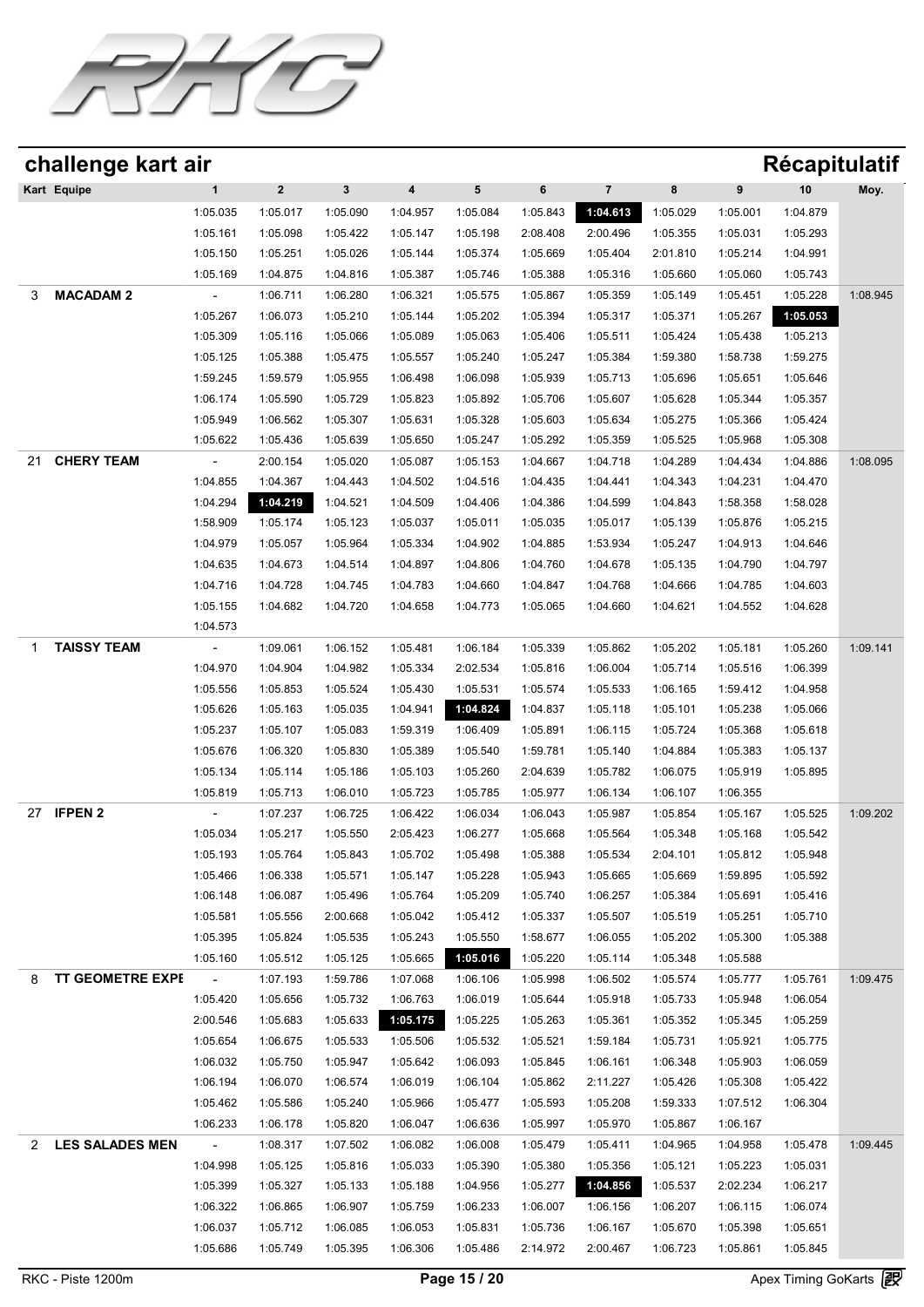

|                | challenge kart air      |                      |                      |                      |                      |                      |                      |                      |                      |                      | <b>Récapitulatif</b> |          |
|----------------|-------------------------|----------------------|----------------------|----------------------|----------------------|----------------------|----------------------|----------------------|----------------------|----------------------|----------------------|----------|
|                | Kart Equipe             | $\mathbf{1}$         | $\mathbf 2$          | $\mathbf{3}$         | 4                    | 5                    | 6                    | $\overline{7}$       | 8                    | 9                    | 10                   | Moy.     |
|                |                         | 1:05.035             | 1:05.017             | 1:05.090             | 1:04.957             | 1:05.084             | 1:05.843             | 1:04.613             | 1:05.029             | 1:05.001             | 1:04.879             |          |
|                |                         | 1:05.161             | 1:05.098             | 1:05.422             | 1:05.147             | 1:05.198             | 2:08.408             | 2:00.496             | 1:05.355             | 1:05.031             | 1:05.293             |          |
|                |                         | 1:05.150             | 1:05.251             | 1:05.026             | 1:05.144             | 1:05.374             | 1:05.669             | 1:05.404             | 2:01.810             | 1:05.214             | 1:04.991             |          |
|                |                         | 1:05.169             | 1:04.875             | 1:04.816             | 1:05.387             | 1:05.746             | 1:05.388             | 1:05.316             | 1:05.660             | 1:05.060             | 1:05.743             |          |
| 3              | <b>MACADAM 2</b>        |                      | 1:06.711             | 1:06.280             | 1:06.321             | 1:05.575             | 1:05.867             | 1:05.359             | 1:05.149             | 1:05.451             | 1:05.228             | 1:08.945 |
|                |                         | 1:05.267             | 1:06.073             | 1:05.210             | 1:05.144             | 1:05.202             | 1:05.394             | 1:05.317             | 1:05.371             | 1:05.267             | 1:05.053             |          |
|                |                         | 1:05.309             | 1:05.116             | 1:05.066             | 1:05.089             | 1:05.063             | 1:05.406             | 1:05.511             | 1:05.424             | 1:05.438             | 1:05.213             |          |
|                |                         | 1:05.125             | 1:05.388             | 1:05.475             | 1:05.557             | 1:05.240             | 1:05.247             | 1:05.384             | 1:59.380             | 1:58.738             | 1:59.275             |          |
|                |                         | 1:59.245             | 1:59.579             | 1:05.955             | 1:06.498             | 1:06.098             | 1:05.939             | 1:05.713             | 1:05.696             | 1:05.651             | 1:05.646             |          |
|                |                         | 1:06.174             | 1:05.590             | 1:05.729             | 1:05.823             | 1:05.892             | 1:05.706             | 1:05.607             | 1:05.628             | 1:05.344             | 1:05.357             |          |
|                |                         | 1:05.949             | 1:06.562             | 1:05.307             | 1:05.631             | 1:05.328             | 1:05.603             | 1:05.634             | 1:05.275             | 1:05.366             | 1:05.424             |          |
|                |                         | 1:05.622             | 1:05.436             | 1:05.639             | 1:05.650             | 1:05.247             | 1:05.292             | 1:05.359             | 1:05.525             | 1:05.968             | 1:05.308             |          |
| 21             | <b>CHERY TEAM</b>       |                      | 2:00.154             | 1:05.020             | 1:05.087             | 1:05.153             | 1:04.667             | 1:04.718             | 1:04.289             | 1:04.434             | 1:04.886             | 1:08.095 |
|                |                         | 1:04.855             | 1:04.367             | 1:04.443             | 1:04.502             | 1:04.516             | 1:04.435             | 1:04.441             | 1:04.343             | 1:04.231             | 1:04.470             |          |
|                |                         | 1:04.294             | 1:04.219             | 1:04.521             | 1:04.509             | 1:04.406             | 1:04.386             | 1:04.599             | 1:04.843             | 1:58.358             | 1:58.028             |          |
|                |                         | 1:58.909             | 1:05.174             | 1:05.123             | 1:05.037             | 1:05.011             | 1:05.035             | 1:05.017             | 1:05.139             | 1:05.876             | 1:05.215             |          |
|                |                         | 1:04.979             | 1:05.057             | 1:05.964             | 1:05.334             | 1:04.902             | 1:04.885             | 1:53.934             | 1:05.247             | 1:04.913             | 1:04.646             |          |
|                |                         | 1:04.635             | 1:04.673             | 1:04.514             | 1:04.897             | 1:04.806             | 1:04.760             | 1:04.678             | 1:05.135             | 1:04.790             | 1:04.797             |          |
|                |                         | 1:04.716             | 1:04.728             | 1:04.745             | 1:04.783             | 1:04.660             | 1:04.847             | 1:04.768             | 1:04.666             | 1:04.785             | 1:04.603             |          |
|                |                         | 1:05.155             | 1:04.682             | 1:04.720             | 1:04.658             | 1:04.773             | 1:05.065             | 1:04.660             | 1:04.621             | 1:04.552             | 1:04.628             |          |
|                |                         | 1:04.573             |                      |                      |                      |                      |                      |                      |                      |                      |                      |          |
| 1              | <b>TAISSY TEAM</b>      |                      | 1:09.061             | 1:06.152             | 1:05.481             | 1:06.184             | 1:05.339             | 1:05.862             | 1:05.202             | 1:05.181             | 1:05.260             | 1:09.141 |
|                |                         | 1:04.970             | 1:04.904             | 1:04.982             | 1:05.334             | 2:02.534             | 1:05.816             | 1:06.004             | 1:05.714             | 1:05.516             | 1:06.399             |          |
|                |                         | 1:05.556<br>1:05.626 | 1:05.853             | 1:05.524             | 1:05.430<br>1:04.941 | 1:05.531<br>1:04.824 | 1:05.574             | 1:05.533             | 1:06.165             | 1:59.412             | 1:04.958             |          |
|                |                         | 1:05.237             | 1:05.163<br>1:05.107 | 1:05.035<br>1:05.083 | 1:59.319             | 1:06.409             | 1:04.837             | 1:05.118<br>1:06.115 | 1:05.101<br>1:05.724 | 1:05.238<br>1:05.368 | 1:05.066             |          |
|                |                         | 1:05.676             | 1:06.320             | 1:05.830             | 1:05.389             | 1:05.540             | 1:05.891<br>1:59.781 | 1:05.140             | 1:04.884             | 1:05.383             | 1:05.618<br>1:05.137 |          |
|                |                         | 1:05.134             | 1:05.114             | 1:05.186             | 1:05.103             | 1:05.260             | 2:04.639             | 1:05.782             | 1:06.075             | 1:05.919             | 1:05.895             |          |
|                |                         | 1:05.819             | 1:05.713             | 1:06.010             | 1:05.723             | 1:05.785             | 1:05.977             | 1:06.134             | 1:06.107             | 1:06.355             |                      |          |
| 27             | <b>IFPEN 2</b>          |                      | 1:07.237             | 1:06.725             | 1:06.422             | 1:06.034             | 1:06.043             | 1:05.987             | 1:05.854             | 1:05.167             | 1:05.525             | 1:09.202 |
|                |                         | 1:05.034             | 1:05.217             | 1:05.550             | 2:05.423             | 1:06.277             | 1:05.668             | 1:05.564             | 1:05.348             | 1:05.168             | 1:05.542             |          |
|                |                         | 1:05.193             | 1:05.764             | 1:05.843             | 1:05.702             | 1:05.498             | 1:05.388             | 1:05.534             | 2:04.101             | 1:05.812             | 1:05.948             |          |
|                |                         | 1:05.466             | 1:06.338             | 1:05.571             | 1:05.147             | 1:05.228             | 1:05.943             | 1:05.665             | 1:05.669             | 1:59.895             | 1:05.592             |          |
|                |                         | 1:06.148             | 1:06.087             | 1:05.496             | 1:05.764             | 1:05.209             | 1:05.740             | 1:06.257             | 1:05.384             | 1:05.691             | 1:05.416             |          |
|                |                         | 1:05.581             | 1:05.556             | 2:00.668             | 1:05.042             | 1:05.412             | 1:05.337             | 1:05.507             | 1:05.519             | 1:05.251             | 1:05.710             |          |
|                |                         | 1:05.395             | 1:05.824             | 1:05.535             | 1:05.243             | 1:05.550             | 1:58.677             | 1:06.055             | 1:05.202             | 1:05.300             | 1:05.388             |          |
|                |                         | 1:05.160             | 1:05.512             | 1:05.125             | 1:05.665             | 1:05.016             | 1:05.220             | 1:05.114             | 1:05.348             | 1:05.588             |                      |          |
| 8              | <b>TT GEOMETRE EXPE</b> | $\sim 100$           | 1:07.193             | 1:59.786             | 1:07.068             | 1:06.106             | 1:05.998             | 1:06.502             | 1:05.574             | 1:05.777             | 1:05.761             | 1:09.475 |
|                |                         | 1:05.420             | 1:05.656             | 1:05.732             | 1:06.763             | 1:06.019             | 1:05.644             | 1:05.918             | 1:05.733             | 1:05.948             | 1:06.054             |          |
|                |                         | 2:00.546             | 1:05.683             | 1:05.633             | 1:05.175             | 1:05.225             | 1:05.263             | 1:05.361             | 1:05.352             | 1:05.345             | 1:05.259             |          |
|                |                         | 1:05.654             | 1:06.675             | 1:05.533             | 1:05.506             | 1:05.532             | 1:05.521             | 1:59.184             | 1:05.731             | 1:05.921             | 1:05.775             |          |
|                |                         | 1:06.032             | 1:05.750             | 1:05.947             | 1:05.642             | 1:06.093             | 1:05.845             | 1:06.161             | 1:06.348             | 1:05.903             | 1:06.059             |          |
|                |                         | 1:06.194             | 1:06.070             | 1:06.574             | 1:06.019             | 1:06.104             | 1:05.862             | 2:11.227             | 1:05.426             | 1:05.308             | 1:05.422             |          |
|                |                         | 1:05.462             | 1:05.586             | 1:05.240             | 1:05.966             | 1:05.477             | 1:05.593             | 1:05.208             | 1:59.333             | 1:07.512             | 1:06.304             |          |
|                |                         | 1:06.233             | 1:06.178             | 1:05.820             | 1:06.047             | 1:06.636             | 1:05.997             | 1:05.970             | 1:05.867             | 1:06.167             |                      |          |
| $\overline{2}$ | <b>LES SALADES MEN</b>  | $\sim 10^{-10}$      | 1:08.317             | 1:07.502             | 1:06.082             | 1:06.008             | 1:05.479             | 1:05.411             | 1:04.965             | 1:04.958             | 1:05.478             | 1:09.445 |
|                |                         | 1:04.998             | 1:05.125             | 1:05.816             | 1:05.033             | 1:05.390             | 1:05.380             | 1:05.356             | 1:05.121             | 1:05.223             | 1:05.031             |          |
|                |                         | 1:05.399             | 1:05.327             | 1:05.133             | 1:05.188             | 1:04.956             | 1:05.277             | 1:04.856             | 1:05.537             | 2:02.234             | 1:06.217             |          |
|                |                         | 1:06.322             | 1:06.865             | 1:06.907             | 1:05.759             | 1:06.233             | 1:06.007             | 1:06.156             | 1:06.207             | 1:06.115             | 1:06.074             |          |
|                |                         | 1:06.037             | 1:05.712             | 1:06.085             | 1:06.053             | 1:05.831             | 1:05.736             | 1:06.167             | 1:05.670             | 1:05.398             | 1:05.651             |          |
|                |                         | 1:05.686             | 1:05.749             | 1:05.395             | 1:06.306             | 1:05.486             | 2:14.972             | 2:00.467             | 1:06.723             | 1:05.861             | 1:05.845             |          |
|                |                         |                      |                      |                      |                      |                      |                      |                      |                      |                      |                      |          |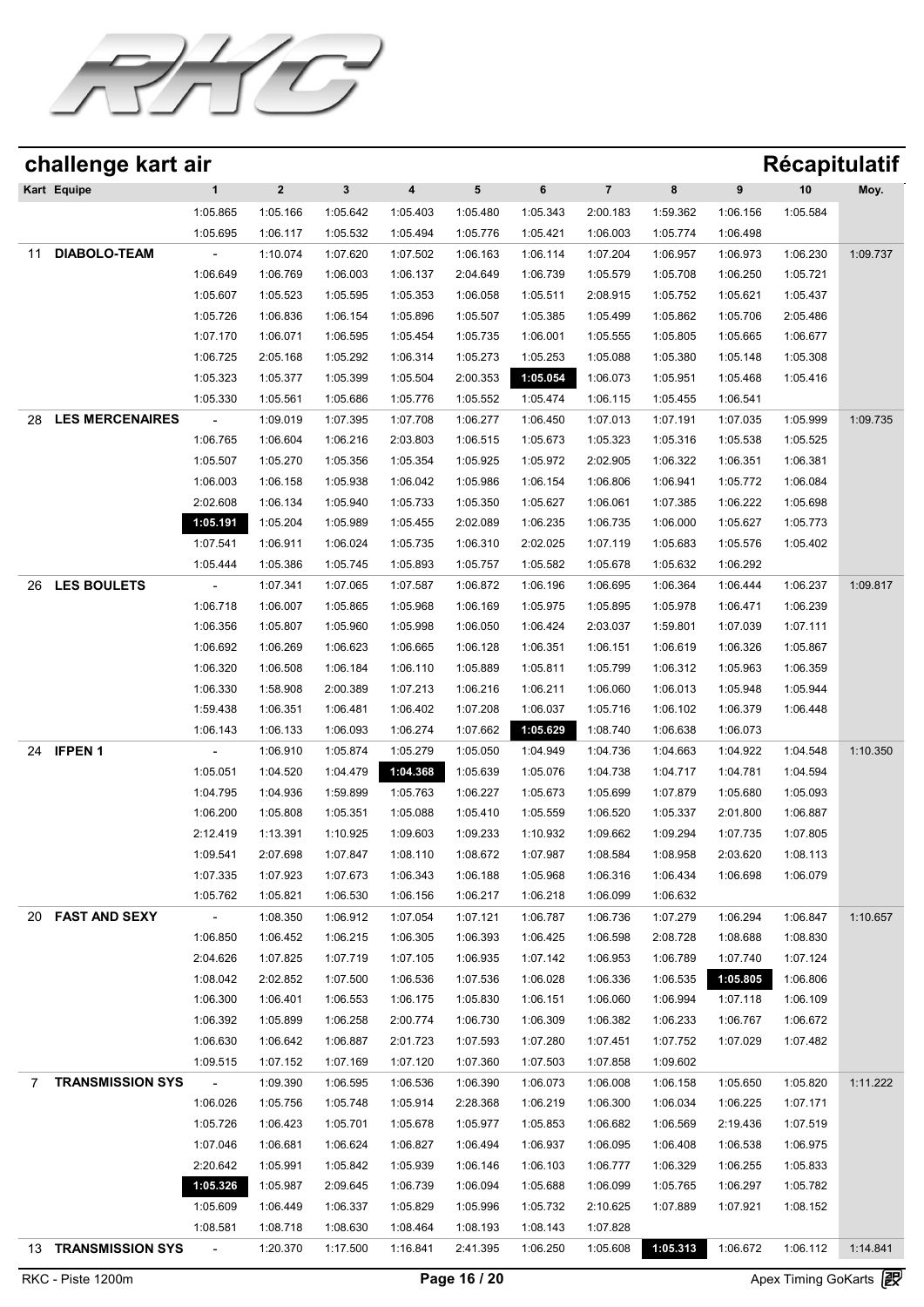

| challenge kart air           |                     |             |              |          |          |          |                         |          |          | <b>Récapitulatif</b> |          |
|------------------------------|---------------------|-------------|--------------|----------|----------|----------|-------------------------|----------|----------|----------------------|----------|
| Kart Equipe                  | $\mathbf{1}$        | $\mathbf 2$ | $\mathbf{3}$ | 4        | 5        | 6        | $\overline{\mathbf{7}}$ | 8        | 9        | 10                   | Moy.     |
|                              | 1:05.865            | 1:05.166    | 1:05.642     | 1:05.403 | 1:05.480 | 1:05.343 | 2:00.183                | 1:59.362 | 1:06.156 | 1:05.584             |          |
|                              | 1:05.695            | 1:06.117    | 1:05.532     | 1:05.494 | 1:05.776 | 1:05.421 | 1:06.003                | 1:05.774 | 1:06.498 |                      |          |
| <b>DIABOLO-TEAM</b><br>11    |                     | 1:10.074    | 1:07.620     | 1:07.502 | 1:06.163 | 1:06.114 | 1:07.204                | 1:06.957 | 1:06.973 | 1:06.230             | 1:09.737 |
|                              | 1:06.649            | 1:06.769    | 1:06.003     | 1:06.137 | 2:04.649 | 1:06.739 | 1:05.579                | 1:05.708 | 1:06.250 | 1:05.721             |          |
|                              | 1:05.607            | 1:05.523    | 1:05.595     | 1:05.353 | 1:06.058 | 1:05.511 | 2:08.915                | 1:05.752 | 1:05.621 | 1:05.437             |          |
|                              | 1:05.726            | 1:06.836    | 1:06.154     | 1:05.896 | 1:05.507 | 1:05.385 | 1:05.499                | 1:05.862 | 1:05.706 | 2:05.486             |          |
|                              | 1:07.170            | 1:06.071    | 1:06.595     | 1:05.454 | 1:05.735 | 1:06.001 | 1:05.555                | 1:05.805 | 1:05.665 | 1:06.677             |          |
|                              | 1:06.725            | 2:05.168    | 1:05.292     | 1:06.314 | 1:05.273 | 1:05.253 | 1:05.088                | 1:05.380 | 1:05.148 | 1:05.308             |          |
|                              | 1:05.323            | 1:05.377    | 1:05.399     | 1:05.504 | 2:00.353 | 1:05.054 | 1:06.073                | 1:05.951 | 1:05.468 | 1:05.416             |          |
|                              | 1:05.330            | 1:05.561    | 1:05.686     | 1:05.776 | 1:05.552 | 1:05.474 | 1:06.115                | 1:05.455 | 1:06.541 |                      |          |
| <b>LES MERCENAIRES</b><br>28 |                     | 1:09.019    | 1:07.395     | 1:07.708 | 1:06.277 | 1:06.450 | 1:07.013                | 1:07.191 | 1:07.035 | 1:05.999             | 1:09.735 |
|                              | 1:06.765            | 1:06.604    | 1:06.216     | 2:03.803 | 1:06.515 | 1:05.673 | 1:05.323                | 1:05.316 | 1:05.538 | 1:05.525             |          |
|                              | 1:05.507            | 1:05.270    | 1:05.356     | 1:05.354 | 1:05.925 | 1:05.972 | 2:02.905                | 1:06.322 | 1:06.351 | 1:06.381             |          |
|                              | 1:06.003            | 1:06.158    | 1:05.938     | 1:06.042 | 1:05.986 | 1:06.154 | 1:06.806                | 1:06.941 | 1:05.772 | 1:06.084             |          |
|                              | 2:02.608            | 1:06.134    | 1:05.940     | 1:05.733 | 1:05.350 | 1:05.627 | 1:06.061                | 1:07.385 | 1:06.222 | 1:05.698             |          |
|                              | 1:05.191            | 1:05.204    | 1:05.989     | 1:05.455 | 2:02.089 | 1:06.235 | 1:06.735                | 1:06.000 | 1:05.627 | 1:05.773             |          |
|                              | 1:07.541            | 1:06.911    | 1:06.024     | 1:05.735 | 1:06.310 | 2:02.025 | 1:07.119                | 1:05.683 | 1:05.576 | 1:05.402             |          |
|                              | 1:05.444            | 1:05.386    | 1:05.745     | 1:05.893 | 1:05.757 | 1:05.582 | 1:05.678                | 1:05.632 | 1:06.292 |                      |          |
|                              |                     |             |              |          |          |          |                         |          |          |                      |          |
| <b>LES BOULETS</b><br>26     |                     | 1:07.341    | 1:07.065     | 1:07.587 | 1:06.872 | 1:06.196 | 1:06.695                | 1:06.364 | 1:06.444 | 1:06.237             | 1:09.817 |
|                              | 1:06.718            | 1:06.007    | 1:05.865     | 1:05.968 | 1:06.169 | 1:05.975 | 1:05.895                | 1:05.978 | 1:06.471 | 1:06.239             |          |
|                              | 1:06.356            | 1:05.807    | 1:05.960     | 1:05.998 | 1:06.050 | 1:06.424 | 2:03.037                | 1:59.801 | 1:07.039 | 1:07.111             |          |
|                              | 1:06.692            | 1:06.269    | 1:06.623     | 1:06.665 | 1:06.128 | 1:06.351 | 1:06.151                | 1:06.619 | 1:06.326 | 1:05.867             |          |
|                              | 1:06.320            | 1:06.508    | 1:06.184     | 1:06.110 | 1:05.889 | 1:05.811 | 1:05.799                | 1:06.312 | 1:05.963 | 1:06.359             |          |
|                              | 1:06.330            | 1:58.908    | 2:00.389     | 1:07.213 | 1:06.216 | 1:06.211 | 1:06.060                | 1:06.013 | 1:05.948 | 1:05.944             |          |
|                              | 1:59.438            | 1:06.351    | 1:06.481     | 1:06.402 | 1:07.208 | 1:06.037 | 1:05.716                | 1:06.102 | 1:06.379 | 1:06.448             |          |
|                              | 1:06.143            | 1:06.133    | 1:06.093     | 1:06.274 | 1:07.662 | 1:05.629 | 1:08.740                | 1:06.638 | 1:06.073 |                      |          |
| <b>IFPEN1</b><br>24          |                     | 1:06.910    | 1:05.874     | 1:05.279 | 1:05.050 | 1:04.949 | 1:04.736                | 1:04.663 | 1:04.922 | 1:04.548             | 1:10.350 |
|                              | 1:05.051            | 1:04.520    | 1:04.479     | 1:04.368 | 1:05.639 | 1:05.076 | 1:04.738                | 1:04.717 | 1:04.781 | 1:04.594             |          |
|                              | 1:04.795            | 1:04.936    | 1:59.899     | 1:05.763 | 1:06.227 | 1:05.673 | 1:05.699                | 1:07.879 | 1:05.680 | 1:05.093             |          |
|                              | 1:06.200            | 1:05.808    | 1:05.351     | 1:05.088 | 1:05.410 | 1:05.559 | 1:06.520                | 1:05.337 | 2:01.800 | 1:06.887             |          |
|                              | 2:12.419            | 1:13.391    | 1:10.925     | 1:09.603 | 1:09.233 | 1:10.932 | 1:09.662                | 1:09.294 | 1:07.735 | 1:07.805             |          |
|                              | 1:09.541            | 2:07.698    | 1:07.847     | 1:08.110 | 1:08.672 | 1:07.987 | 1:08.584                | 1:08.958 | 2:03.620 | 1:08.113             |          |
|                              | 1:07.335            | 1:07.923    | 1:07.673     | 1:06.343 | 1:06.188 | 1:05.968 | 1:06.316                | 1:06.434 | 1:06.698 | 1:06.079             |          |
|                              | 1:05.762            | 1:05.821    | 1:06.530     | 1:06.156 | 1:06.217 | 1:06.218 | 1:06.099                | 1:06.632 |          |                      |          |
| 20 FAST AND SEXY             | $\sim$              | 1:08.350    | 1:06.912     | 1:07.054 | 1:07.121 | 1:06.787 | 1:06.736                | 1:07.279 | 1:06.294 | 1:06.847             | 1:10.657 |
|                              | 1:06.850            | 1:06.452    | 1:06.215     | 1:06.305 | 1:06.393 | 1:06.425 | 1:06.598                | 2:08.728 | 1:08.688 | 1:08.830             |          |
|                              | 2:04.626            | 1:07.825    | 1:07.719     | 1:07.105 | 1:06.935 | 1:07.142 | 1:06.953                | 1:06.789 | 1:07.740 | 1:07.124             |          |
|                              | 1:08.042            | 2:02.852    | 1:07.500     | 1:06.536 | 1:07.536 | 1:06.028 | 1:06.336                | 1:06.535 | 1:05.805 | 1:06.806             |          |
|                              |                     |             |              |          |          |          |                         |          |          |                      |          |
|                              | 1:06.300            | 1:06.401    | 1:06.553     | 1:06.175 | 1:05.830 | 1:06.151 | 1:06.060                | 1:06.994 | 1:07.118 | 1:06.109             |          |
|                              | 1:06.392            | 1:05.899    | 1:06.258     | 2:00.774 | 1:06.730 | 1:06.309 | 1:06.382                | 1:06.233 | 1:06.767 | 1:06.672             |          |
|                              | 1:06.630            | 1:06.642    | 1:06.887     | 2:01.723 | 1:07.593 | 1:07.280 | 1:07.451                | 1:07.752 | 1:07.029 | 1:07.482             |          |
|                              | 1:09.515            | 1:07.152    | 1:07.169     | 1:07.120 | 1:07.360 | 1:07.503 | 1:07.858                | 1:09.602 |          |                      |          |
| <b>TRANSMISSION SYS</b><br>7 | $\omega_{\rm{max}}$ | 1:09.390    | 1:06.595     | 1:06.536 | 1:06.390 | 1:06.073 | 1:06.008                | 1:06.158 | 1:05.650 | 1:05.820             | 1:11.222 |
|                              | 1:06.026            | 1:05.756    | 1:05.748     | 1:05.914 | 2:28.368 | 1:06.219 | 1:06.300                | 1:06.034 | 1:06.225 | 1:07.171             |          |
|                              | 1:05.726            | 1:06.423    | 1:05.701     | 1:05.678 | 1:05.977 | 1:05.853 | 1:06.682                | 1:06.569 | 2:19.436 | 1:07.519             |          |
|                              | 1:07.046            | 1:06.681    | 1:06.624     | 1:06.827 | 1:06.494 | 1:06.937 | 1:06.095                | 1:06.408 | 1:06.538 | 1:06.975             |          |
|                              | 2:20.642            | 1:05.991    | 1:05.842     | 1:05.939 | 1:06.146 | 1:06.103 | 1:06.777                | 1:06.329 | 1:06.255 | 1:05.833             |          |
|                              | 1:05.326            | 1:05.987    | 2:09.645     | 1:06.739 | 1:06.094 | 1:05.688 | 1:06.099                | 1:05.765 | 1:06.297 | 1:05.782             |          |
|                              | 1:05.609            | 1:06.449    | 1:06.337     | 1:05.829 | 1:05.996 | 1:05.732 | 2:10.625                | 1:07.889 | 1:07.921 | 1:08.152             |          |
|                              | 1:08.581            | 1:08.718    | 1:08.630     | 1:08.464 | 1:08.193 | 1:08.143 | 1:07.828                |          |          |                      |          |
| 13 TRANSMISSION SYS          | $\omega_{\rm{max}}$ | 1:20.370    | 1:17.500     | 1:16.841 | 2:41.395 | 1:06.250 | 1:05.608                | 1:05.313 | 1:06.672 | 1:06.112             | 1:14.841 |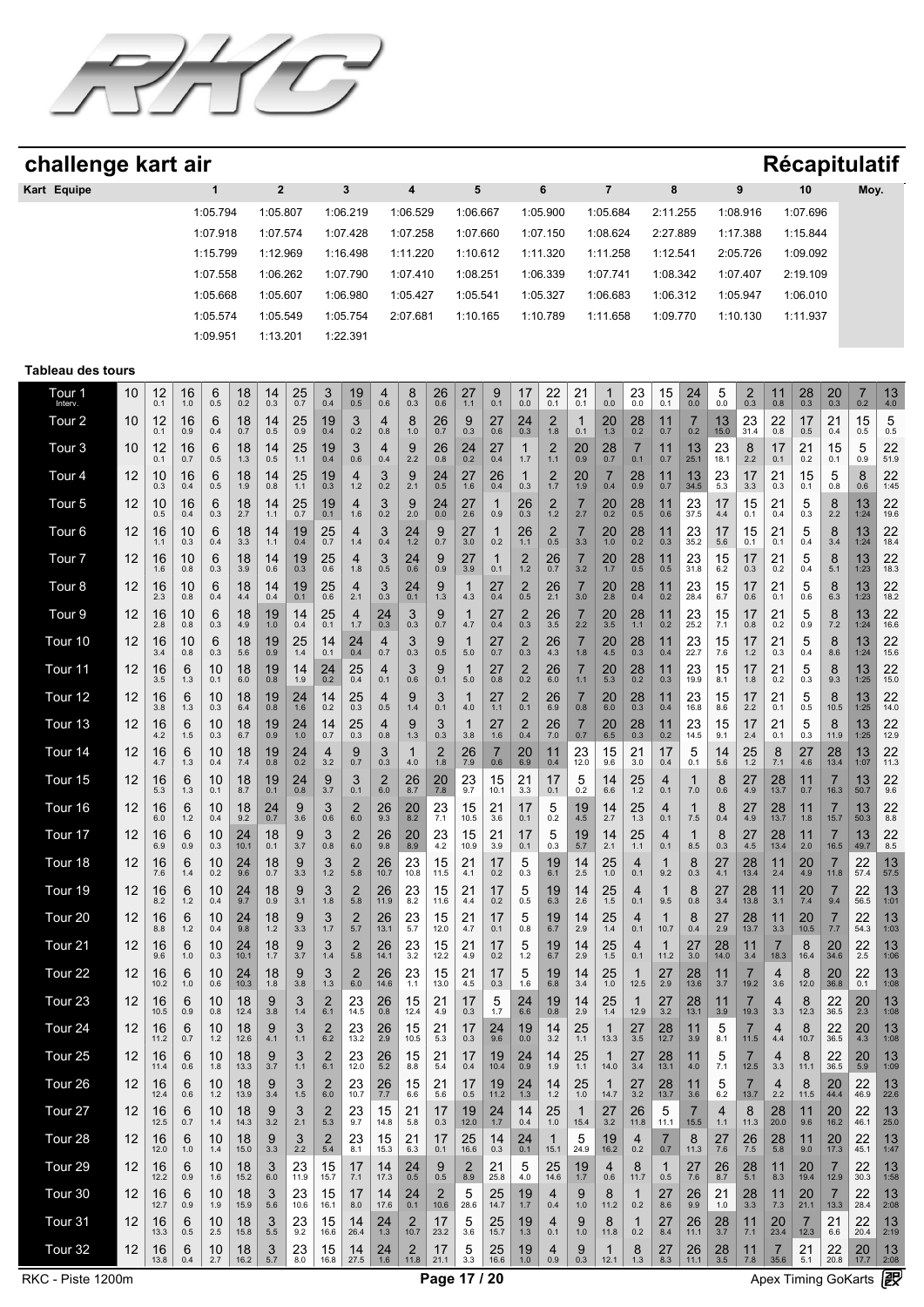

| challenge kart air       |    |            |           |                      |            |                         |                     |                           |                       |                     |                                         |                        |                       |                       |                 |                        |                       |                      |                        |                       |                        |                       |                      |                   |                      |                        | <b>Récapitulatif</b> |                |
|--------------------------|----|------------|-----------|----------------------|------------|-------------------------|---------------------|---------------------------|-----------------------|---------------------|-----------------------------------------|------------------------|-----------------------|-----------------------|-----------------|------------------------|-----------------------|----------------------|------------------------|-----------------------|------------------------|-----------------------|----------------------|-------------------|----------------------|------------------------|----------------------|----------------|
| Kart Equipe              |    |            |           | $\mathbf{1}$         |            | $\overline{\mathbf{2}}$ |                     |                           | $\mathbf{3}$          |                     | 4                                       |                        | 5                     |                       |                 | 6                      |                       | $\overline{7}$       |                        | 8                     |                        |                       | 9                    |                   | 10                   |                        | Moy.                 |                |
|                          |    |            |           | 1:05.794             |            | 1:05.807                |                     |                           | 1:06.219              |                     | 1:06.529                                |                        | 1:06.667              |                       |                 | 1:05.900               |                       | 1:05.684             |                        | 2:11.255              |                        |                       | 1:08.916             |                   | 1:07.696             |                        |                      |                |
|                          |    |            |           | 1:07.918             |            | 1:07.574                |                     |                           | 1:07.428              |                     | 1:07.258                                |                        | 1:07.660              |                       |                 | 1:07.150               |                       | 1:08.624             |                        | 2:27.889              |                        |                       | 1:17.388             |                   | 1:15.844             |                        |                      |                |
|                          |    |            |           | 1:15.799             |            | 1:12.969                |                     |                           | 1:16.498              |                     | 1:11.220                                |                        | 1:10.612              |                       |                 | 1:11.320               |                       | 1:11.258             |                        | 1:12.541              |                        |                       | 2:05.726             |                   | 1:09.092             |                        |                      |                |
|                          |    |            |           | 1:07.558<br>1:05.668 |            | 1:06.262<br>1:05.607    |                     |                           | 1:07.790<br>1:06.980  |                     | 1:07.410<br>1:05.427                    |                        | 1:08.251<br>1:05.541  |                       |                 | 1:06.339<br>1:05.327   |                       | 1:07.741<br>1:06.683 |                        | 1:08.342<br>1:06.312  |                        |                       | 1:07.407<br>1:05.947 |                   | 2:19.109<br>1:06.010 |                        |                      |                |
|                          |    |            |           | 1:05.574             |            | 1:05.549                |                     |                           | 1:05.754              |                     | 2:07.681                                |                        | 1:10.165              |                       |                 | 1:10.789               |                       | 1:11.658             |                        | 1:09.770              |                        |                       | 1:10.130             |                   | 1:11.937             |                        |                      |                |
|                          |    |            |           | 1:09.951             |            | 1:13.201                |                     |                           | 1:22.391              |                     |                                         |                        |                       |                       |                 |                        |                       |                      |                        |                       |                        |                       |                      |                   |                      |                        |                      |                |
| <b>Tableau des tours</b> |    |            |           |                      |            |                         |                     |                           |                       |                     |                                         |                        |                       |                       |                 |                        |                       |                      |                        |                       |                        |                       |                      |                   |                      |                        |                      |                |
| Tour 1<br>Interv.        | 10 | 12<br>0.1  | 16<br>1.0 | 6<br>0.5             | 18<br>0.2  | $14_{0.3}$              | $25$ <sub>0.7</sub> | $\frac{3}{0.4}$           | $19$ <sub>0.5</sub>   | 4<br>0.6            | $\begin{array}{c} 8 \\ 0.3 \end{array}$ | $^{26}_{0.6}$          | 27<br>1.1             | $9_{0.1}$             | $17_{0.0}$      | $^{22}_{0.1}$          | 21<br>0.1             | 1<br>0.0             | $^{23}_{0.0}$          | 15<br>0.1             | $^{24}_{0.0}$          | $\frac{5}{0.0}$       | $^{2}_{0.3}$         | $11_{0.8}$        | $^{28}_{0.3}$        | $^{20}_{0.3}$          | $\frac{7}{0.2}$      | $13 \atop 4.0$ |
| Tour 2                   | 10 | 12<br>0.1  | 16<br>0.9 | 6<br>0.4             | 18<br>0.7  | $^{14}_{0.5}$           | $^{25}_{0.9}$       | $^{19}_{0.4}$             | 3<br>0.2              | 4<br>0.8            | 8<br>$1.0\,$                            | $26_{0.7}$             | 9<br>0.3              | $^{27}_{0.6}$         | $^{24}_{0.3}$   | $^{2}_{1.8}$           | $\mathbf 1$<br>0.1    | $^{20}_{1.3}$        | 28<br>$0.\overline{2}$ | 11<br>0.7             | $\overline{7}$<br>0.2  | $13 \atop 15.0$       | 23<br>31.4           | $^{22}_{0.8}$     | 17<br>0.5            | $^{21}_{0.4}$          | 15<br>0.5            | 5<br>0.5       |
| Tour <sub>3</sub>        | 10 | 12<br>0.1  | 16<br>0.7 | 6<br>0.5             | 18<br>1.3  | $\frac{14}{0.5}$        | $25$ <sub>1.1</sub> | $^{19}_{0.4}$             | 3<br>0.6              | 4<br>0.4            | $\underset{2.2}{9}$                     | $^{26}_{0.8}$          | $^{24}_{0.2}$         | $^{27}_{0.4}$         | 1<br>1.7        | $\frac{2}{1.1}$        | 20<br>0.9             | $28$ <sub>0.7</sub>  | $\overline{7}$<br>0.1  | 11<br>0.7             | $13 \atop 25.1$        | $23$<br>18.1          | 8<br>2.2             | 17<br>0.1         | 21<br>0.2            | 15<br>0.1              | 5<br>0.9             | 22<br>51.9     |
| Tour 4                   | 12 | 10<br>0.3  | 16<br>0.4 | 6<br>0.5             | 18<br>1.9  | 14<br>0.8               | 25<br>1.1           | $19_{0.3}$                | 4<br>1.2              | 3<br>0.2            | 9<br>2.1                                | 24<br>0.5              | 27<br>1.6             | 26<br>0.4             | 1<br>0.3        | $\overline{c}$<br>1.7  | 20<br>1.9             | 7<br>0.4             | 28<br>0.9              | 11<br>0.7             | 13<br>34.5             | $^{23}_{\,5.3}$       | 17<br>3.3            | 21<br>0.3         | 15<br>0.1            | 5<br>0.8               | 8<br>0.6             | 22<br>1:45     |
| Tour <sub>5</sub>        | 12 | 10<br>0.5  | 16<br>0.4 | 6<br>0.3             | 18<br>2.7  | 14<br>1.1               | 25<br>0.7           | 19<br>0.1                 | 4<br>1.6              | 3<br>0.2            | 9<br>2.0                                | 24<br>0.0              | 27<br>2.6             | 1<br>0.9              | 26<br>0.3       | $\overline{2}$<br>1.2  | $\overline{7}$<br>2.7 | 20<br>0.2            | 28<br>0.5              | 11<br>0.6             | 23<br>37.5             | 17<br>4.4             | 15<br>0.1            | 21<br>0.4         | 5<br>0.3             | 8<br>2.2               | 13<br>1:24           | 22<br>19.6     |
| Tour <sub>6</sub>        | 12 | 16<br>1.1  | 10<br>0.3 | 6<br>0.4             | 18<br>3.3  | 14<br>1.1               | 19<br>0.4           | 25<br>0.7                 | 4<br>1.4              | 3<br>0.4            | 24<br>$1.2$                             | 9<br>0.7               | 27<br>3.0             | 1<br>0.2              | 26<br>1.1       | $\overline{2}$<br>0.5  | $\overline{7}$<br>3.3 | 20<br>$1.0$          | 28<br>0.2              | 11<br>0.3             | 23<br>35.2             | 17<br>5.6             | 15<br>0.1            | 21<br>0.1         | 5<br>0.4             | 8<br>3.4               | 13<br>1:24           | 22<br>18.4     |
| Tour <sub>7</sub>        | 12 | 16<br>1.6  | 10<br>0.8 | 6<br>0.3             | 18<br>3.9  | 14<br>0.6               | 19<br>0.3           | 25<br>0.6                 | 4<br>1.8              | 3<br>0.5            | 24<br>0.6                               | 9<br>0.9               | 27<br>3.9             | 1<br>0.1              | 2<br>1.2        | 26<br>0.7              | $\overline{7}$<br>3.2 | 20<br>1.7            | 28<br>0.5              | 11<br>0.5             | 23<br>31.8             | 15<br>6.2             | 17<br>0.3            | 21<br>0.2         | 5<br>0.4             | 8<br>5.1               | 13<br>1:23           | 22<br>18.3     |
| Tour <sub>8</sub>        | 12 | 16<br>2.3  | 10<br>0.8 | 6<br>0.4             | 18<br>4.4  | 14<br>0.4               | $19$<br>$0.1$       | 25<br>0.6                 | 4<br>2.1              | 3<br>0.3            | 24<br>0.1                               | 9<br>1.3               | 1<br>4.3              | 27<br>0.4             | $^{2}_{0.5}$    | 26<br>2.1              | $\overline{7}$<br>3.0 | 20<br>2.8            | 28<br>0.4              | 11<br>0.2             | 23<br>28.4             | 15<br>6.7             | 17<br>0.6            | 21<br>0.1         | 5<br>0.6             | 8<br>6.3               | 13<br>1:23           | 22<br>18.2     |
| Tour <sub>9</sub>        | 12 | 16<br>2.8  | 10<br>0.8 | 6<br>0.3             | 18<br>4.9  | 19<br>1.0               | 14<br>0.4           | 25<br>0.1                 | 4<br>1.7              | 24<br>0.3           | 3<br>0.3                                | 9<br>0.7               | 1<br>4.7              | 27<br>0.4             | 2<br>0.3        | 26<br>3.5              | $\overline{7}$<br>2.2 | 20<br>3.5            | 28<br>1.1              | 11<br>0.2             | 23<br>25.2             | 15<br>7.1             | 17<br>0.8            | 21<br>0.2         | 5<br>0.9             | 8<br>7.2               | 13<br>1:24           | 22<br>16.6     |
| Tour 10                  | 12 | 16<br>3.4  | 10<br>0.8 | 6<br>0.3             | 18<br>5.6  | 19<br>0.9               | $25$ <sub>1.4</sub> | 14<br>0.1                 | $^{24}_{0.4}$         | 4<br>0.7            | 3<br>0.3                                | 9<br>0.5               | 1<br>5.0              | $27_{0.7}$            | $_{0.3}^{2}$    | 26<br>$4.\overline{3}$ | 7<br>1.8              | 20<br>4.5            | 28<br>$0.\overline{3}$ | 11<br>0.4             | $23$<br>$22.7$         | $\frac{15}{7.6}$      | 17<br>1.2            | $^{21}_{0.3}$     | 5<br>0.4             | 8<br>8.6               | 13<br>1:24           | 22<br>15.6     |
| Tour 11                  | 12 | 16<br>3.5  | 6<br>1.3  | 10<br>0.1            | 18<br>6.0  | 19<br>0.8               | 14<br>1.9           | 24<br>0.2                 | 25<br>0.4             | 4<br>0.1            | 3<br>0.6                                | 9<br>0.1               | 1<br>5.0              | 27<br>0.8             | 2<br>0.2        | 26<br>6.0              | $\overline{7}$<br>1.1 | 20<br>5.3            | 28<br>0.2              | 11<br>0.3             | 23<br>19.9             | 15<br>8.1             | 17<br>1.8            | 21<br>0.2         | 5<br>0.3             | 8<br>9.3               | 13<br>1:25           | 22<br>15.0     |
| Tour 12                  | 12 | 16<br>3.8  | 6<br>1.3  | 10<br>0.3            | 18<br>6.4  | 19<br>0.8               | 24<br>1.6           | 14<br>0.2                 | 25<br>0.3             | 4<br>0.5            | 9<br>1.4                                | 3<br>0.1               | 4.0                   | 27<br>1.1             | $^{2}_{0.1}$    | 26<br>6.9              | 0.8                   | 20<br>6.0            | 28<br>0.3              | 11<br>0.4             | 23<br>16.8             | 15<br>8.6             | 17<br>2.2            | 21<br>0.1         | 5<br>0.5             | 8<br>10.5              | 13<br>1:25           | 22<br>14.0     |
| Tour <sub>13</sub>       | 12 | 16<br>4.2  | 6<br>1.5  | 10<br>0.3            | 18<br>6.7  | 19<br>0.9               | 24<br>$1.0$         | 14<br>0.7                 | 25<br>0.3             | 4<br>0.8            | 9<br>1.3                                | 3<br>0.3               | 1<br>3.8              | 27<br>1.6             | 2<br>0.4        | 26<br>7.0              | $\overline{7}$<br>0.7 | 20<br>6.5            | 28<br>0.3              | 11<br>0.2             | 23<br>14.5             | 15<br>9.1             | 17<br>2.4            | 21<br>0.1         | 5<br>0.3             | 8<br>11.9              | 13<br>1:25           | 22<br>12.9     |
| Tour 14                  | 12 | 16<br>4.7  | 6<br>1.3  | 10<br>0.4            | 18<br>7.4  | 19<br>0.8               | 24<br>0.2           | 4<br>3.2                  | 9<br>0.7              | 3<br>0.3            | 4.0                                     | 2<br>1.8               | 26<br>7.9             | $\overline{7}$<br>0.6 | 20<br>6.9       | 11<br>0.4              | 23<br>12.0            | 15<br>9.6            | 21<br>3.0              | 17<br>0.4             | 5<br>0.1               | 14<br>5.6             | 25<br>1.2            | 8<br>7.1          | 27<br>4.6            | 28<br>13.4             | 13<br>1:07           | 22<br>11.3     |
| Tour 15                  | 12 | 16<br>5.3  | 6<br>1.3  | 10<br>0.1            | 18<br>8.7  | 19<br>0.1               | 24<br>0.8           | $\frac{9}{3.7}$           | 3<br>0.1              | $^{2}_{6.0}$        | 26<br>8.7                               | $^{20}_{7.8}$          | 23<br>9.7             | 15<br>10.1            | 21<br>3.3       | 17<br>0.1              | 5<br>0.2              | 14<br>6.6            | 25<br>1.2              | $\overline{4}$<br>0.1 | 7.0                    | 8<br>0.6              | 27<br>4.9            | $28$<br>13.7      | 11<br>0.7            | 7<br>16.3              | 13<br>50.7           | 22<br>9.6      |
| Tour 16                  | 12 | 16<br>6.0  | 6<br>1.2  | 10<br>0.4            | 18<br>9.2  | 24<br>0.7               | 9<br>3.6            | 3<br>0.6                  | 2<br>6.0              | 26<br>9.3           | 20<br>8.2                               | 23<br>7.1              | 15<br>10.5            | 21<br>3.6             | 17<br>0.1       | 5<br>0.2               | 19<br>4.5             | 14<br>2.7            | 25<br>1.3              | 4<br>0.1              | 7.5                    | 8<br>0.4              | 27<br>4.9            | 28<br>13.7        | 11<br>1.8            | 15.7                   | 13<br>50.3           | 22<br>8.8      |
| Tour 17                  | 12 | 16<br>6.9  | 6<br>0.9  | 10<br>0.3            | 24<br>10.1 | 18<br>0.1               | 9<br>3.7            | 3<br>0.8                  | $\overline{2}$<br>6.0 | 26<br>9.8           | 20<br>8.9                               | 23<br>4.2              | 15<br>10.9            | 21<br>3.9             | 17<br>0.1       | 5<br>0.3               | 19<br>5.7             | 14<br>2.1            | 25<br>1.1              | $\overline{4}$<br>0.1 | 1<br>8.5               | 8<br>0.3              | 27<br>4.5            | 28<br>13.4        | 11<br>2.0            | $\overline{7}$<br>16.5 | 13<br>49.7           | 22<br>8.5      |
| Tour 18                  | 12 | 16<br>7.6  | 6<br>1.4  | 10<br>0.2            | 24<br>9.6  | $^{18}_{0.7}$           | $\frac{9}{3.3}$     | 3<br>1.2                  | 2<br>5.8              | 26<br>10.7          | $\frac{23}{10.8}$                       | 15<br>11.5             | $^{21}_{4.1}$         | 17<br>0.2             | $\frac{5}{0.3}$ | $^{19}_{6.1}$          | 14<br>2.5             | 25<br>1.0            | 4<br>0.1               | 1<br>9.2              | 8<br>0.3               | $^{27}_{4.1}$         | 28<br>13.4           | $\frac{11}{2.4}$  | 20<br>4.9            | 11.8                   | $\frac{22}{57.4}$    | 13<br>57.5     |
| Tour 19                  | 12 | 16<br>8.2  | 6<br>1.2  | 10<br>0.4            | 24<br>9.7  | 18<br>0.9               | 9<br>3.1            | 3<br>1.8                  | 2<br>5.8              | 26<br>11.9          | 23<br>8.2                               | 15<br>11.6             | 21<br>4.4             | 17<br>0.2             | 5<br>0.5        | 19<br>6.3              | 14<br>2.6             | 25<br>$1.5$          | 4<br>0.1               | 1<br>9.5              | 8<br>0.8               | 27<br>3.4             | 28<br>13.8           | 11<br>3.1         | 20<br>7.4            | 9.4                    | 22<br>56.5           | 13<br>1:01     |
| Tour <sub>20</sub>       | 12 | 16<br>8.8  | 6<br>1.2  | 10<br>0.4            | 24<br>9.8  | 18<br>$1.2$             | 9<br>3.3            | 3<br>1.7                  | 2<br>5.7              | 26<br>13.1          | 23<br>5.7                               | 15<br>12.0             | 21<br>4.7             | 17<br>0.1             | 5<br>0.8        | 19<br>6.7              | 14<br>2.9             | 25<br>1.4            | 4<br>0.1               | 1<br>10.7             | 8<br>0.4               | 27<br>2.9             | 28<br>13.7           | 11<br>3.3         | 20<br>10.5           | 7.7                    | 22<br>54.3           | 13<br>1:03     |
| Tour <sub>21</sub>       | 12 | 16<br>9.6  | 6<br>1.0  | 10<br>0.3            | 24<br>10.1 | 18<br>1.7               | 9<br>3.7            | 3<br>$1.4$                | 2<br>5.8              | 26<br>14.1          | 23<br>3.2                               | 15<br>12.2             | 21<br>4.9             | 17<br>0.2             | 5<br>1.2        | 19<br>6.7              | 14<br>2.9             | 25<br>$1.5$          | 4<br>0.1               | 1<br>11.2             | 27<br>3.0              | 28<br>14.0            | 11<br>3.4            | 7<br>18.3         | 8<br>16.4            | 20<br>34.6             | 22<br>2.5            | 13<br>1:06     |
| Tour <sub>22</sub>       | 12 | 16<br>10.2 | 6<br>1.0  | 10<br>0.6            | 24<br>10.3 | 18<br>1.8               | 9<br>3.8            | 3<br>1.3                  | 2<br>6.0              | 26<br>14.6          | 23<br>1.1                               | 15<br>13.0             | 21<br>4.5             | 17<br>0.3             | 5<br>1.6        | 19<br>6.8              | 14<br>3.4             | 25<br>1.0            | 1<br>12.5              | 27<br>2.9             | 28<br>13.6             | 11<br>3.7             | 7<br>19.2            | 4<br>3.6          | 8<br>12.0            | 20<br>36.8             | 22<br>0.1            | 13<br>1:08     |
| Tour <sub>23</sub>       | 12 | 16<br>10.5 | 6<br>0.9  | 10<br>0.8            | 18<br>12.4 | 9<br>3.8                | 3<br>1.4            | $\overline{2}$<br>6.1     | 23<br>14.5            | 26<br>0.8           | 15<br>12.4                              | 21<br>4.9              | 17<br>0.3             | 5<br>1.7              | $^{24}_{6.6}$   | $^{19}_{0.8}$          | 14<br>2.9             | 25<br>1.4            | 1<br>12.9              | 27<br>3.2             | 28<br>13.1             | 11<br>3.9             | 7<br>19.3            | 4<br>3.3          | 8<br>12.3            | 22<br>36.5             | 20<br>2.3            | 13<br>1:08     |
| Tour <sub>24</sub>       | 12 | 16<br>11.2 | 6<br>0.7  | 10<br>1.2            | 18<br>12.6 | 9<br>4.1                | 3<br>1.1            | $\overline{2}$<br>6.2     | 23<br>13.2            | 26<br>2.9           | 15<br>10.5                              | 21<br>5.3              | 17<br>0.3             | 24<br>9.6             | 19<br>0.0       | 14<br>3.2              | 25<br>1.1             | -1<br>13.3           | 27<br>3.5              | 28<br>12.7            | 11<br>3.9              | 5<br>8.1              | 7<br>11.5            | 4<br>4.4          | 8<br>10.7            | 22<br>36.5             | 20<br>4.3            | 13<br>1:08     |
| Tour <sub>25</sub>       | 12 | 16<br>11.4 | 6<br>0.6  | 10<br>1.8            | 18<br>13.3 | 9<br>3.7                | $\frac{3}{1.1}$     | $\overline{2}$<br>6.1     | $23$<br>12.0          | $26$ <sub>5.2</sub> | 15<br>8.8                               | $^{21}_{\,5.4}$        | 17<br>0.4             | $19$ <sub>10.4</sub>  | $^{24}_{0.9}$   | $14 \atop 1.9$         | $25$ <sub>1.1</sub>   | $\mathbf{1}$<br>14.0 | $\frac{27}{3.4}$       | $28$ <sub>13.1</sub>  | 11<br>4.0              | 5<br>7.1              | 7<br>12.5            | 4<br>3.3          | 8<br>11.1            | 22<br>36.5             | $^{20}_{\,5.9}$      | 13<br>1:09     |
| Tour 26                  | 12 | 16<br>12.4 | 6<br>0.6  | 10<br>$1.2$          | 18<br>13.9 | 9<br>3.4                | 3<br>1.5            | $\overline{2}$<br>6.0     | 23<br>10.7            | 26<br>7.7           | 15<br>6.6                               | 21<br>5.6              | 17<br>0.5             | 19<br>11.2            | 24<br>1.3       | 14<br>1.2              | 25<br>1.0             | -1<br>14.7           | 27<br>$3.2\,$          | 28<br>13.7            | 11<br>3.6              | 5<br>6.2              | 7<br>13.7            | 4<br>2.2          | 8<br>11.5            | 20<br>44.4             | 22<br>46.9           | 13<br>22.6     |
| Tour 27                  | 12 | 16<br>12.5 | 6<br>0.7  | 10<br>1.4            | 18<br>14.3 | 9<br>3.2                | 3<br>2.1            | $\overline{2}$<br>5.3     | 23<br>9.7             | 15<br>14.8          | 21<br>5.8                               | 17<br>0.3              | 19<br>12.0            | 24<br>1.7             | 14<br>0.4       | 25<br>$1.0\,$          | $\mathbf{1}$<br>15.4  | 27<br>3.2            | 26<br>11.8             | 5<br>11.1             | $\overline{7}$<br>15.5 | $\overline{4}$<br>1.1 | 8<br>11.3            | 28<br>20.0        | 11<br>9.6            | 20<br>16.2             | 22<br>46.1           | 13<br>25.0     |
| Tour 28                  | 12 | 16<br>12.0 | 6<br>1.0  | 10<br>1.4            | 18<br>15.0 | 9<br>3.3                | 3<br>2.2            | $\overline{2}$<br>$5.4\,$ | 23<br>8.1             | 15<br>15.3          | 21<br>6.3                               | 17<br>0.1              | 25<br>16.6            | 14<br>0.3             | 24<br>0.1       | $\mathbf{1}$<br>15.1   | 5<br>24.9             | 19<br>16.2           | 4<br>0.2               | $\mathbf{7}$<br>0.7   | 8<br>11.3              | 27<br>7.6             | 26<br>7.5            | 28<br>5.8         | 11<br>9.0            | 20<br>17.3             | 22<br>45.1           | 13<br>1:47     |
| Tour <sub>29</sub>       | 12 | 16<br>12.2 | 6<br>0.9  | 10<br>1.6            | 18<br>15.2 | 3<br>6.0                | 23<br>11.9          | 15<br>15.7                | 17<br>7.1             | 14<br>17.3          | 24<br>0.5                               | 9<br>0.5               | $\overline{c}$<br>8.9 | 21<br>25.8            | 5<br>4.0        | 25<br>14.6             | 19<br>1.7             | 4<br>0.6             | 8<br>11.7              | 1<br>0.5              | 27<br>7.6              | 26<br>8.7             | 28<br>5.1            | 11<br>8.3         | 20<br>19.4           | 7<br>12.9              | 22<br>30.3           | 13<br>1:58     |
| Tour 30                  | 12 | 16<br>12.7 | 6<br>0.9  | 10<br>1.9            | 18<br>15.9 | 3<br>5.6                | 23<br>10.6          | 15<br>16.1                | 17<br>8.0             | 14<br>17.6          | 24<br>0.1                               | $\overline{2}$<br>10.6 | 5<br>28.6             | 25<br>14.7            | 19<br>1.7       | 4<br>0.4               | 9<br>1.0              | 8<br>11.2            | 1<br>0.2               | 27<br>8.6             | 26<br>9.9              | 21<br>1.0             | 28<br>3.3            | 11<br>7.3         | 20<br>21.1           | 7<br>13.3              | 22<br>28.4           | 13<br>2:08     |
| Tour 31                  | 12 | 16<br>13.3 | 6<br>0.5  | 10<br>2.5            | 18<br>15.8 | 3<br>5.5                | 23<br>9.2           | 15<br>16.6                | 14<br>26.4            | 24<br>1.3           | 2<br>10.7                               | 17<br>23.2             | 5<br>3.6              | 25<br>15.7            | 19<br>1.3       | 4<br>0.1               | 9<br>1.0              | 8<br>11.8            | 1<br>0.2               | 27<br>8.4             | 26<br>11.1             | $\frac{28}{3.7}$      | 11<br>7.1            | <b>20</b><br>23.4 | 7<br>12.3            | 21<br>6.6              | 22<br>20.4           | 13<br>2:19     |
| Tour 32                  | 12 | 16<br>13.8 | 6<br>0.4  | 10<br>2.7            | 18<br>16.2 | 3<br>5.7                | 23<br>8.0           | 15<br>16.8                | 14<br>27.5            | $^{24}_{1.6}$       | 2<br>11.8                               | 17<br>21.1             | 5<br>3.3              | 25<br>16.6            | 19<br>1.0       | 4<br>0.9               | 9<br>0.3              | -1<br>12.1           | 8<br>1.3               | 27<br>8.3             | 26<br>11.1             | 28<br>3.5             | 11<br>7.8            | 7<br>35.6         | $21$ <sub>5.1</sub>  | 22<br>20.8             | 20<br>17.7           | 13<br>2:08     |

RKC - Piste 1200m **Page 17 / 20 Page 17 / 20** Apex Timing GoKarts **ex-**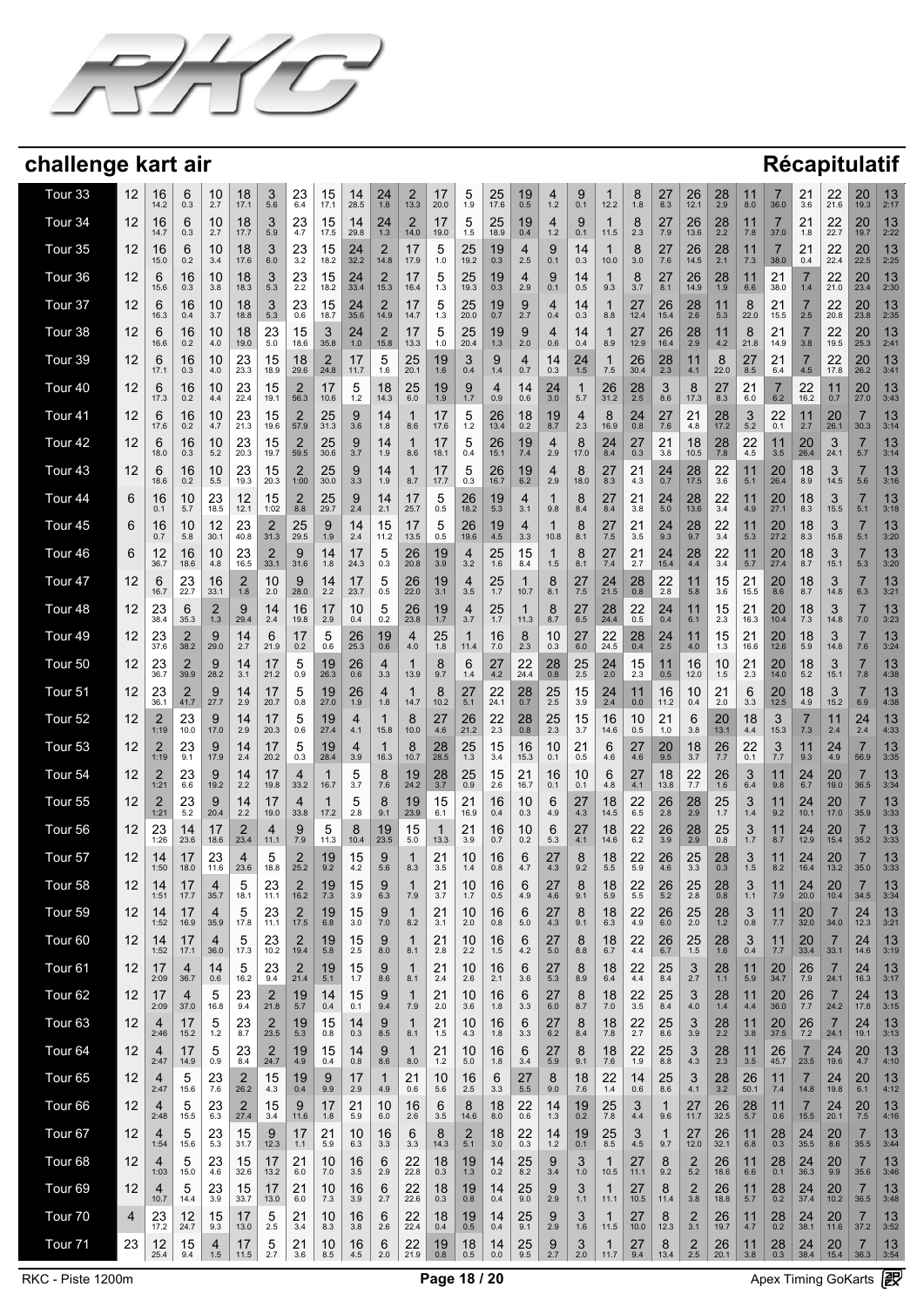

| Tour <sub>33</sub> | 12 | 16<br>14.2             | 6<br>0.3             | 10<br>2.7      | 18<br>17.1             | 3<br>5.6               | 23<br>6.4              | 15<br>17.1    | 14<br>28.5        | 24<br>1.8                       | $\overline{2}$<br>13.3 | 17<br>20.0       | 5<br>1.9         | 25<br>17.6          | 19<br>0.5           | 4<br>1.2                    | 9<br>0.1            | 12.2                   | 8<br>1.8   | 27<br>8.3            | 26<br>12.1            | 28<br>2.9     | 11<br>8.0            | 7<br>36.0            | 21<br>3.6              | 22<br>21.6             | 20<br>19.3            | 13<br>2:17 |
|--------------------|----|------------------------|----------------------|----------------|------------------------|------------------------|------------------------|---------------|-------------------|---------------------------------|------------------------|------------------|------------------|---------------------|---------------------|-----------------------------|---------------------|------------------------|------------|----------------------|-----------------------|---------------|----------------------|----------------------|------------------------|------------------------|-----------------------|------------|
| Tour 34            | 12 | 16<br>14.7             | 6<br>0.3             | 10<br>2.7      | 18<br>17.7             | 3<br>5.9               | $^{23}_{4.7}$          | 15<br>17.5    | 14<br>29.8        | $^{24}_{1.3}$                   | $\overline{2}$<br>14.0 | 17<br>19.0       | $\frac{5}{1.5}$  | 25<br>18.9          | 19<br>0.4           | 4<br>$1.2$                  | 9<br>0.1            | 11.5                   | 8<br>2.3   | 27<br>7.9            | 26<br>13.6            | 28<br>2.2     | 11<br>7.8            | 7<br>37.0            | 21<br>1.8              | 22<br>22.7             | 20<br>19.7            | 13<br>2:22 |
| Tour 35            | 12 | 16<br>15.0             | 6<br>0.2             | 10<br>3.4      | 18<br>17.6             | 3<br>6.0               | $^{23}_{3.2}$          | 15<br>18.2    | $\frac{24}{32.2}$ | $\overline{\mathbf{c}}$<br>14.8 | 17<br>17.9             | 5<br>1.0         | 25<br>19.2       | 19<br>0.3           | 4<br>2.5            | 9<br>0.1                    | 14<br>0.3           | 10.0                   | 8<br>3.0   | 27<br>7.6            | 26<br>14.5            | 28<br>2.1     | 11<br>7.3            | 7<br>38.0            | 21<br>0.4              | 22<br>22.4             | 20<br>22.5            | 13<br>2:25 |
| Tour 36            | 12 | 6<br>15.6              | 16<br>0.3            | 10<br>3.8      | 18<br>18.3             | 3<br>5.3               | $^{23}_{2.2}$          | 15<br>18.2    | 24<br>33.4        | $\overline{2}$<br>15.3          | 17<br>16.4             | 5<br>1.3         | 25<br>19.3       | 19<br>0.3           | 4<br>2.9            | 9<br>0.1                    | 14<br>0.5           | 1<br>9.3               | 8<br>3.7   | 27<br>8.1            | 26<br>14.9            | 28<br>1.9     | 11<br>6.6            | 21<br>38.0           | 7<br>1.4               | 22<br>21.0             | 20<br>23.4            | 13<br>2:30 |
| Tour 37            | 12 | 6<br>16.3              | 16<br>0.4            | 10<br>3.7      | 18<br>18.8             | 3<br>5.3               | $^{23}_{0.6}$          | 15<br>18.7    | $\frac{24}{35.6}$ | $\frac{2}{14.9}$                | 17<br>14.7             | 5<br>1.3         | 25<br>20.0       | $19$ <sub>0.7</sub> | 9<br>2.7            | 4<br>0.4                    | 14<br>0.3           | 8.8                    | 27<br>12.4 | 26<br>15.4           | 28<br>2.6             | 11<br>5.3     | 8<br>22.0            | $21$<br>15.5         | 7<br>2.5               | 22<br>20.8             | 20<br>23.8            | 13<br>2:35 |
| Tour 38            | 12 | 6<br>16.6              | 16<br>0.2            | 10<br>4.0      | 18<br>19.0             | 23<br>5.0              | 15<br>18.6             | 3<br>35.8     | 24<br>1.0         | $\overline{2}$<br>15.8          | 17<br>13.3             | 5<br>1.0         | 25<br>20.4       | 19<br>1.3           | 9<br>2.0            | 4<br>0.6                    | 14<br>0.4           | 1<br>8.9               | 27<br>12.9 | 26<br>16.4           | 28<br>2.9             | 11<br>4.2     | 8<br>21.8            | 21<br>14.9           | 7<br>3.8               | 22<br>19.5             | 20<br>25.3            | 13<br>2:41 |
| Tour 39            | 12 | 6<br>17.1              | 16<br>0.3            | 10<br>4.0      | 23<br>23.3             | 15<br>18.9             | 18<br>29.6             | 2<br>24.8     | 17<br>11.7        | 5<br>1.6                        | 25<br>20.1             | 19<br>1.6        | 3<br>0.4         | 9<br>1.4            | 4<br>0.7            | 14<br>0.3                   | $24$ <sub>1.5</sub> | 1<br>7.5               | 26<br>30.4 | 28<br>2.3            | 11<br>4.1             | 8<br>22.0     | 27<br>8.5            | 21<br>6.4            | 7<br>4.5               | 22<br>17.8             | 20<br>26.2            | 13<br>3:41 |
| Tour <sub>40</sub> | 12 | 6<br>17.3              | 16<br>0.2            | 10<br>4.4      | 23<br>22.4             | 15<br>19.1             | 2<br>56.3              | 17<br>10.6    | 5<br>$1.2$        | 18<br>14.3                      | 25<br>6.0              | 19<br>1.9        | 9<br>1.7         | 4<br>0.9            | 14<br>0.6           | 24<br>3.0                   | 1<br>5.7            | 26<br>31.2             | 28<br>2.5  | 3<br>8.6             | 8<br>17.3             | 27<br>8.3     | 21<br>6.0            | 7<br>6.2             | 22<br>16.2             | 11<br>0.7              | 20<br>27.0            | 13<br>3:43 |
| Tour <sub>41</sub> | 12 | 6<br>17.6              | 16<br>0.2            | 10<br>4.7      | 23<br>21.3             | 15<br>19.6             | $\overline{2}$<br>57.9 | 25<br>31.3    | 9<br>3.6          | 14<br>1.8                       | 1<br>8.6               | 17<br>17.6       | 5<br>1.2         | 26<br>13.4          | 18<br>0.2           | 19<br>8.7                   | 4<br>2.3            | 8<br>16.9              | 24<br>0.8  | 27<br>7.6            | 21<br>4.8             | 28<br>17.2    | 3<br>5.2             | 22<br>0.1            | 11<br>2.7              | 20<br>26.1             | 30.3                  | 13<br>3:14 |
| Tour <sub>42</sub> | 12 | 6<br>18.0              | 16<br>0.3            | 10<br>5.2      | 23<br>20.3             | 15<br>19.7             | $\overline{2}$<br>59.5 | 25<br>30.6    | 9<br>3.7          | 14<br>1.9                       | 1<br>8.6               | 17<br>18.1       | 5<br>0.4         | 26<br>15.1          | 19<br>7.4           | 4<br>2.9                    | 8<br>17.0           | 24<br>8.4              | 27<br>0.3  | 21<br>3.8            | 18<br>10.5            | 28<br>7.8     | 22<br>4.5            | 11<br>3.5            | 20<br>26.4             | 3<br>24.1              | $\overline{7}$<br>5.7 | 13<br>3:14 |
| Tour <sub>43</sub> | 12 | 6<br>18.6              | 16<br>0.2            | 10<br>5.5      | 23<br>19.3             | 15<br>20.3             | 2<br>1:00              | 25<br>30.0    | 9<br>3.3          | 14<br>1.9                       | 1<br>8.7               | 17<br>17.7       | 5<br>0.3         | 26<br>16.7          | 19<br>6.2           | 4<br>2.9                    | 8<br>18.0           | 27<br>8.3              | 21<br>4.3  | $^{24}_{0.7}$        | 28<br>17.5            | 22<br>3.6     | 11<br>5.1            | 20<br>26.4           | 18<br>8.9              | 3<br>14.5              | 7<br>5.6              | 13<br>3:16 |
| Tour <sub>44</sub> | 6  | 16<br>0.1              | 10<br>5.7            | 23<br>18.5     | 12<br>12.1             | 15<br>1:02             | $\overline{2}$<br>8.8  | 25<br>29.7    | 9<br>2.4          | 14<br>2.1                       | 17<br>25.7             | 5<br>0.5         | 26<br>18.2       | 19<br>5.3           | 4<br>3.1            | 1<br>9.8                    | 8<br>8.4            | 27<br>8.4              | 21<br>3.8  | 24<br>5.0            | 28<br>13.6            | 22<br>3.4     | 11<br>4.9            | 20<br>27.1           | 18<br>8.3              | 3<br>15.5              | 7<br>5.1              | 13<br>3:18 |
| Tour <sub>45</sub> | 6  | 16<br>0.7              | 10<br>5.8            | 12<br>30.1     | 23<br>40.8             | $\overline{2}$<br>31.3 | 25<br>29.5             | 9<br>1.9      | 14<br>2.4         | 15<br>11.2                      | 17<br>13.5             | 5<br>0.5         | 26<br>19.6       | 19<br>4.5           | 4<br>3.3            | 10.8                        | 8<br>8.1            | 27<br>$7.5$            | 21<br>3.5  | $^{24}_{9.3}$        | 28<br>9.7             | 22<br>3.4     | 11<br>5.3            | 20<br>27.2           | 18<br>8.3              | 3<br>15.8              | 7<br>5.1              | 13<br>3:20 |
| Tour <sub>46</sub> | 6  | 12<br>36.7             | 16<br>18.6           | 10<br>4.8      | 23<br>16.5             | $\frac{2}{33.1}$       | 9<br>31.6              | 14<br>1.8     | 17<br>24.3        | 5<br>0.3                        | 26<br>20.8             | 19<br>3.9        | 4<br>3.2         | 25<br>1.6           | 15<br>8.4           | 1.5                         | 8<br>8.1            | 27<br>7.4              | 21<br>2.7  | $24$ <sub>15.4</sub> | 28<br>4.4             | 22<br>3.4     | 11<br>5.7            | 20<br>27.4           | 18<br>8.7              | 3<br>15.1              | 7<br>5.3              | 13<br>3:20 |
| Tour <sub>47</sub> | 12 | 6<br>16.7              | 23<br>22.7           | 16<br>33.1     | $\overline{2}$<br>1.8  | 10<br>2.0              | 9<br>28.0              | 14<br>2.2     | 17<br>23.7        | 5<br>0.5                        | 26<br>22.0             | 19<br>3.1        | 4<br>3.5         | 25<br>1.7           | 10.7                | 8<br>8.1                    | 27<br>7.5           | 24<br>21.5             | 28<br>0.8  | 22<br>2.8            | 11<br>5.8             | 15<br>3.6     | 21<br>15.5           | 20<br>8.6            | 18<br>8.7              | 3<br>14.8              | 7<br>6.3              | 13<br>3:21 |
| Tour <sub>48</sub> | 12 | 23<br>38.4             | 6<br>35.3            | 2<br>1.3       | 9<br>29.4              | 14<br>2.4              | 16<br>19.8             | 17<br>2.9     | 10<br>0.4         | 5<br>0.2                        | 26<br>23.8             | 19<br>1.7        | 4<br>3.7         | 25<br>1.7           | 11.3                | 8<br>8.7                    | 27<br>6.5           | 28<br>24.4             | 22<br>0.5  | 24<br>0.4            | 11<br>6.1             | 15<br>2.3     | 21<br>16.3           | 20<br>10.4           | 18<br>7.3              | 3<br>14.8              | 7<br>7.0              | 13<br>3:23 |
| Tour <sub>49</sub> | 12 | 23<br>37.6             | $\frac{2}{38.2}$     | 9<br>29.0      | 14<br>2.7              | 6<br>21.9              | 17<br>0.2              | 5<br>0.6      | 26<br>25.3        | 19<br>0.6                       | 4<br>4.0               | 25<br>1.8        | 11.4             | 16<br>7.0           | 8<br>2.3            | 10<br>0.3                   | 27<br>6.0           | 22<br>24.5             | 28<br>0.4  | 24<br>2.5            | 11<br>4.0             | 15<br>1.3     | 21<br>16.6           | 20<br>12.6           | 18<br>5.9              | 3<br>14.8              | 7<br>7.6              | 13<br>3:24 |
| Tour <sub>50</sub> | 12 | 23<br>36.7             | $\frac{2}{39.9}$     | 9<br>28.2      | 14<br>3.1              | 17<br>21.2             | 5<br>0.9               | 19<br>26.3    | 26<br>0.6         | 4<br>3.3                        | 13.9                   | 8<br>9.7         | 6<br>1.4         | 27<br>4.2           | 22<br>24.4          | $28_{0.8}$                  | $\frac{25}{2.5}$    | 24<br>2.0              | 15<br>2.3  | 11<br>0.5            | 16<br>12.0            | 10<br>1.5     | 21<br>2.3            | $20$ <sub>14.0</sub> | 18<br>5.2              | 3<br>15.1              | 7<br>7.8              | 13<br>4:38 |
| Tour 51            | 12 | 23<br>36.1             | $^{2}_{41.7}$        | 9<br>27.7      | 14<br>2.9              | 17<br>20.7             | 5<br>0.8               | 19<br>27.0    | 26<br>1.9         | 4<br>1.8                        | 14.7                   | 8<br>10.2        | 27<br>5.1        | 22<br>24.1          | $28$ <sub>0.7</sub> | $\frac{25}{2.5}$            | 15<br>3.9           | 24<br>2.4              | 11<br>0.0  | 16<br>11.2           | 10<br>0.4             | 21<br>2.0     | 6<br>3.3             | $20$ <sub>12.5</sub> | 18<br>4.9              | 3<br>15.2              | 7<br>6.9              | 13<br>4:38 |
| Tour <sub>52</sub> | 12 | $\overline{2}$<br>1:19 | $23$ <sub>10.0</sub> | 9<br>17.0      | 14<br>2.9              | 17<br>20.3             | 5<br>0.6               | 19<br>27.4    | 4.1               | 15.8                            | 8<br>10.0              | 27<br>4.6        | 26<br>21.2       | $^{22}_{2.3}$       | $^{28}_{0.8}$       | $25$ <sub>2.3</sub>         | $15 \atop 3.7$      | 16<br>14.6             | 10<br>0.5  | $^{21}_{1.0}$        | 6<br>3.8              | 20<br>13.1    | 18<br>4.4            | 3<br>15.3            | 7.3                    | 11<br>2.4              | 24<br>2.4             | 13<br>4:33 |
| Tour <sub>53</sub> | 12 | $\overline{2}$         | 23<br>9.1            | 9<br>17.9      | 14<br>2.4              | 17<br>20.2             | 5<br>0.3               | 19<br>28.4    | 4<br>3.9          | 1<br>16.3                       | 8<br>10.7              | 28<br>28.5       | 25<br>1.3        | 15<br>3.4           | 16<br>15.3          | 10<br>0.1                   | 21<br>0.5           | 6<br>4.6               | 27<br>4.6  | 20<br>9.5            | 18<br>3.7             | 26<br>7.7     | 22<br>0.1            | 3<br>7.7             | 11<br>9.3              | 24<br>4.9              | 7<br>56.9             | 13<br>3:35 |
| Tour <sub>54</sub> | 12 | $\overline{2}$<br>1:21 | $^{23}_{6.6}$        | 9<br>19.2      | 14<br>2.2              | 17<br>19.8             | 4<br>33.2              | 16.7          | 3.7               | 8<br>7.6                        | 19<br>24.2             | 28<br>3.7        | 25<br>0.9        | 15<br>2.6           | 21<br>16.7          | 16<br>0.1                   | 10<br>0.1           | 6<br>4.8               | 27<br>4.1  | 18<br>13.8           | $22$<br>7.7           | 26<br>1.6     | 3<br>6.4             | 11<br>9.8            | 24<br>6.7              | 20<br>19.0             | 36.5                  | 13<br>3:34 |
| Tour 55            | 12 | $\overline{2}$<br>1:21 | 23<br>5.2            | 9<br>20.4      | 14<br>2.2              | 17<br>19.0             | 4<br>33.8              | 1<br>17.2     | 5<br>2.8          | 8<br>9.1                        | 19<br>23.9             | 15<br>6.1        | 21<br>16.9       | 16<br>0.4           | 10<br>0.3           | 6<br>4.9                    | 27<br>4.3           | 18<br>14.5             | 22<br>6.5  | 26<br>2.8            | 28<br>2.9             | 25<br>1.7     | 3<br>1.4             | 11<br>9.2            | 24<br>10.1             | 20<br>17.0             | 7<br>35.9             | 13<br>3:33 |
| Tour 56            | 12 | 23<br>1:26             | 14<br>23.6           | 17<br>18.6     | $\overline{2}$<br>23.4 | 4<br>11.1              | 9<br>7.9               | 5<br>11.3     | 8<br>10.4         | 19<br>23.5                      | 15<br>5.0              | 1<br>13.3        | 21<br>3.9        | 16<br>0.7           | 10<br>0.2           | 6<br>5.3                    | 27<br>4.1           | 18<br>14.6             | 22<br>6.2  | 26<br>3.9            | 28<br>2.9             | 25<br>0.8     | 3<br>1.7             | 11<br>8.7            | 24<br>12.9             | 20<br>15.4             | 35.2                  | 13<br>3:33 |
| Tour 57            | 12 | 14<br>1:50             | 17<br>18.0           | 23<br>11.6     | 4<br>23.6              | 5<br>18.8              | $\overline{2}$<br>25.2 | 19<br>9.2     | 15<br>4.2         | 9<br>5.6                        | 1<br>8.3               | 21<br>3.5        | 10<br>1.4        | 16<br>0.8           | 6<br>4.7            | 27<br>4.3                   | 8<br>9.2            | 18<br>5.5              | 22<br>5.9  | 26<br>4.6            | 25<br>3.3             | 28<br>0.3     | 3<br>1.5             | 11<br>8.2            | 24<br>16.4             | 20<br>13.2             | 7<br>35.0             | 13<br>3:33 |
| Tour 58            | 12 | 14<br>1:51             | 17<br>17.7           | 35.7           | 5<br>18.1              | 23<br>11.1             | ۷<br>16.2              | 19<br>$7.3$   | 15<br>3.9         | 9<br>6.3                        | 7.9                    | 21<br>3.7        | 10<br>1.7        | 16<br>0.5           | 6<br>4.9            | $\sim$<br>$\angle$ l<br>4.6 | 8<br>9.1            | 18<br>5.9              | 22<br>5.5  | 26<br>5.2            | $\frac{25}{2.8}$      | 28<br>0.8     | 3<br>1.1             | 11<br>7.9            | 24<br>20.0             | 20<br>10.4             | 34.5                  | 13<br>3:34 |
| Tour 59            | 12 | 14<br>1:52             | 17<br>16.9           | 4<br>35.9      | 5<br>17.8              | 23<br>11.1             | $\overline{2}$<br>17.5 | 19<br>6.8     | 15<br>3.0         | 9<br>7.0                        | $\mathbf{1}$<br>8.2    | 21<br>3.1        | 10<br>2.0        | 16<br>0.8           | 6<br>5.0            | 27<br>4.3                   | 8<br>9.1            | 18<br>6.3              | 22<br>4.9  | 26<br>$6.0\,$        | $\frac{25}{2.0}$      | 28<br>1.2     | 3<br>0.8             | 11<br>7.7            | $\frac{20}{32.0}$      | 7<br>34.0              | 24<br>12.3            | 13<br>3:21 |
| Tour <sub>60</sub> | 12 | 14<br>1:52             | 17<br>17.1           | 4<br>36.0      | 5<br>17.3              | 23<br>10.2             | $\overline{2}$<br>19.4 | 19<br>5.8     | 15<br>2.5         | 9<br>8.0                        | $\mathbf{1}$<br>8.1    | 21<br>2.8        | 10<br>2.2        | 16<br>1.5           | 6<br>4.2            | 27<br>5.0                   | 8<br>8.8            | 18<br>6.7              | 22<br>4.4  | $^{26}_{6.7}$        | $\frac{25}{1.5}$      | 28<br>1.6     | 3<br>0.4             | 11<br>7.7            | $\frac{20}{33.4}$      | 7<br>33.1              | 24<br>14.6            | 13<br>3:19 |
| Tour <sub>61</sub> | 12 | 17<br>2:09             | 4<br>36.7            | 14<br>0.6      | 5<br>16.2              | 23<br>9.4              | $\overline{2}$<br>21.4 | 19<br>5.1     | 15<br>1.7         | 9<br>8.6                        | $\mathbf{1}$<br>8.1    | 21<br>2.4        | 10<br>2.6        | 16<br>2.1           | 6<br>3.6            | 27<br>5.3                   | 8<br>8.9            | 18<br>6.4              | 22<br>4.4  | 25<br>8.4            | 3<br>2.7              | 28<br>1.1     | 11<br>5.9            | 20<br>34.7           | $\frac{26}{7.9}$       | 7<br>24.1              | 24<br>16.3            | 13<br>3:17 |
| Tour <sub>62</sub> | 12 | 17<br>2:09             | 4<br>37.0            | 5<br>16.8      | 23<br>9.4              | $\frac{2}{21.8}$       | 19<br>5.7              | 14<br>0.4     | 15<br>0.1         | 9<br>9.4                        | $\mathbf{1}$<br>7.9    | 21<br>2.0        | 10<br>3.6        | 16<br>1.8           | 6<br>3.3            | 27<br>$6.0\,$               | 8<br>8.7            | 18<br>7.0              | 22<br>3.5  | 25<br>$8.4\,$        | 3<br>4.0              | $^{28}_{1.4}$ | 11<br>4.4            | $\frac{20}{36.0}$    | $\frac{26}{7.7}$       | 7<br>24.2              | 24<br>17.8            | 13<br>3:15 |
| Tour <sub>63</sub> | 12 | 4<br>2:46              | 17<br>15.2           | 5<br>$1.2$     | 23<br>8.7              | $\frac{2}{23.5}$       | $19$ <sub>5.3</sub>    | 15<br>0.8     | 14<br>0.3         | 9<br>$8.5\,$                    | $\mathbf{1}$<br>8.1    | 21<br>1.5        | 10<br>4.3        | 16<br>1.8           | 6<br>3.3            | 27<br>6.2                   | 8<br>8.4            | 18<br>7.8              | 22<br>2.7  | 25<br>8.6            | 3<br>3.9              | 28<br>2.2     | 11<br>3.8            | $\frac{20}{37.5}$    | $\frac{26}{7.2}$       | $\overline{7}$<br>24.1 | 24<br>19.1            | 13<br>3:13 |
| Tour <sub>64</sub> | 12 | 4<br>2:47              | 17<br>14.9           | 5<br>0.9       | 23<br>8.4              | $\overline{2}$<br>24.7 | $19\n4.9$              | 15<br>0.4     | 14<br>0.8         | 9<br>8.6                        | $\mathbf{1}$<br>8.0    | 21<br>$1.2$      | 10<br>5.0        | 16<br>1.8           | 6<br>3.4            | 27<br>5.9                   | 8<br>9.1            | 18<br>7.6              | 22<br>1.9  | 25<br>8.8            | 3<br>4.3              | $^{28}_{2.3}$ | 11<br>3.5            | 26<br>45.7           | $\overline{7}$<br>23.5 | 24<br>19.6             | 20<br>4.7             | 13<br>4:10 |
| Tour <sub>65</sub> | 12 | 4<br>2:47              | 5<br>15.6            | 23<br>7.6      | $\overline{2}$<br>26.2 | 15<br>4.3              | 19<br>0.4              | 9<br>9.9      | 17<br>2.9         | 1<br>4.9                        | 21<br>0.6              | 10<br>5.6        | 16<br>2.5        | 6<br>3.3            | 27<br>$5.5$         | 8<br>9.0                    | 18<br>7.6           | 22<br>1.4              | 14<br>0.6  | 25<br>8.6            | $\mathbf{3}$<br>4.1   | 28<br>3.2     | $26$ <sub>50.1</sub> | $\frac{11}{7.4}$     | 7<br>14.8              | 24<br>19.8             | $^{20}_{6.1}$         | 13<br>4:12 |
| Tour <sub>66</sub> | 12 | 4<br>2:48              | 5<br>15.5            | 23<br>6.3      | $\overline{c}$<br>27.4 | $\frac{15}{3.4}$       | 9<br>11.6              | 17<br>1.8     | 21<br>5.9         | 10<br>6.0                       | 16<br>2.6              | 6<br>3.5         | 8<br>14.6        | 18<br>8.0           | 22<br>0.6           | 14<br>1.3                   | $19_{0.2}$          | 25<br>7.8              | 3<br>4.4   | 1<br>9.6             | $27$<br>11.7          | 26<br>32.5    | $28$ <sub>5.7</sub>  | 11<br>0.6            | 7<br>15.5              | 24<br>20.1             | $^{20}_{7.5}$         | 13<br>4:16 |
| Tour <sub>67</sub> | 12 | 4<br>1:54              | 5<br>15.6            | $23 \atop 5.3$ | 15<br>31.7             | $9$ 12.3               | 17<br>1.1              | 21<br>5.9     | 10<br>6.3         | 16<br>3.3                       | 6<br>3.3               | 8<br>14.3        | $\frac{2}{5.1}$  | 18<br>3.0           | $^{22}_{0.3}$       | $14 \atop 1.2$              | $^{19}_{0.1}$       | 25<br>$8.\overline{5}$ | 3<br>4.5   | 1<br>9.7             | $27_{12,0}$           | 26<br>32.1    | 11<br>6.8            | $^{28}_{0.3}$        | $24 \over 35.5$        | $^{20}_{8.6}$          | 7<br>35.5             | 13<br>3:44 |
| Tour <sub>68</sub> | 12 | 4<br>1:03              | 5<br>15.0            | 23<br>4.6      | 15<br>32.6             | 17<br>13.2             | 21<br>6.0              | 10<br>7.0     | 16<br>3.5         | 6<br>2.9                        | 22<br>22.8             | $\frac{18}{0.3}$ | $\frac{19}{1.3}$ | 14<br>0.2           | $25 \over 8.2$      | 9<br>3.4                    | 3<br>$1.0$          | 10.5                   | 27<br>11.1 | 8<br>9.2             | $\frac{2}{5.2}$       | 26<br>18.6    | 11<br>6.6            | $^{28}_{0.1}$        | $\frac{24}{36.3}$      | $^{20}_{9.9}$          | 7<br>35.6             | 13<br>3:46 |
| Tour <sub>69</sub> | 12 | 4<br>10.7              | 5<br>14.4            | 23<br>3.9      | 15<br>33.7             | 17<br>13.0             | 21<br>6.0              | 10<br>7.3     | 16<br>3.9         | 6<br>2.7                        | 22<br>22.6             | 18<br>0.3        | 19<br>0.8        | 14<br>0.4           | 25<br>9.0           | 9<br>2.9                    | 3<br>1.1            | 1<br>11.1              | 27<br>10.5 | 8<br>11.4            | $\overline{2}$<br>3.8 | 26<br>18.8    | 11<br>5.7            | $^{28}_{0.2}$        | $\frac{24}{37.4}$      | 20<br>10.2             | 7<br>36.5             | 13<br>3:48 |
| Tour 70            | 4  | 23<br>17.2             | 12<br>24.7           | 15<br>9.3      | 17<br>13.0             | 5<br>2.5               | 21<br>3.4              | 10<br>8.3     | 16<br>3.8         | 6<br>2.6                        | 22<br>22.4             | 18<br>0.4        | 19<br>0.5        | 14<br>0.4           | 25<br>9.1           | 9<br>2.9                    | 3<br>1.6            | 11.5                   | 27<br>10.0 | 8<br>12.3            | $\overline{2}$<br>3.1 | 26<br>19.7    | 11<br>4.7            | $^{28}_{0.2}$        | $24$ <sub>38.1</sub>   | 20<br>11.6             | 7<br>37.2             | 13<br>3:52 |
| Tour <sub>71</sub> | 23 | 12<br>25.4             | 15<br>9.4            | 4<br>1.5       | 17<br>11.5             | 5<br>2.7               | 21<br>3.6              | 10<br>$8.5\,$ | 16<br>4.5         | 6<br>2.0                        | 22<br>21.9             | 19<br>$0.8\,$    | 18<br>0.5        | 14<br>0.0           | 25<br>9.5           | 9<br>2.7                    | 3<br>2.0            | 1<br>11.7              | 27<br>9.4  | 8<br>13.4            | $\overline{2}$<br>2.5 | 26<br>20.1    | 11<br>3.8            | 28<br>0.3            | 24<br>38.4             | 20<br>15.4             | 7<br>36.3             | 13<br>3:54 |
|                    |    |                        |                      |                |                        |                        |                        |               |                   |                                 |                        |                  |                  |                     |                     |                             |                     |                        |            |                      |                       |               |                      |                      |                        |                        |                       |            |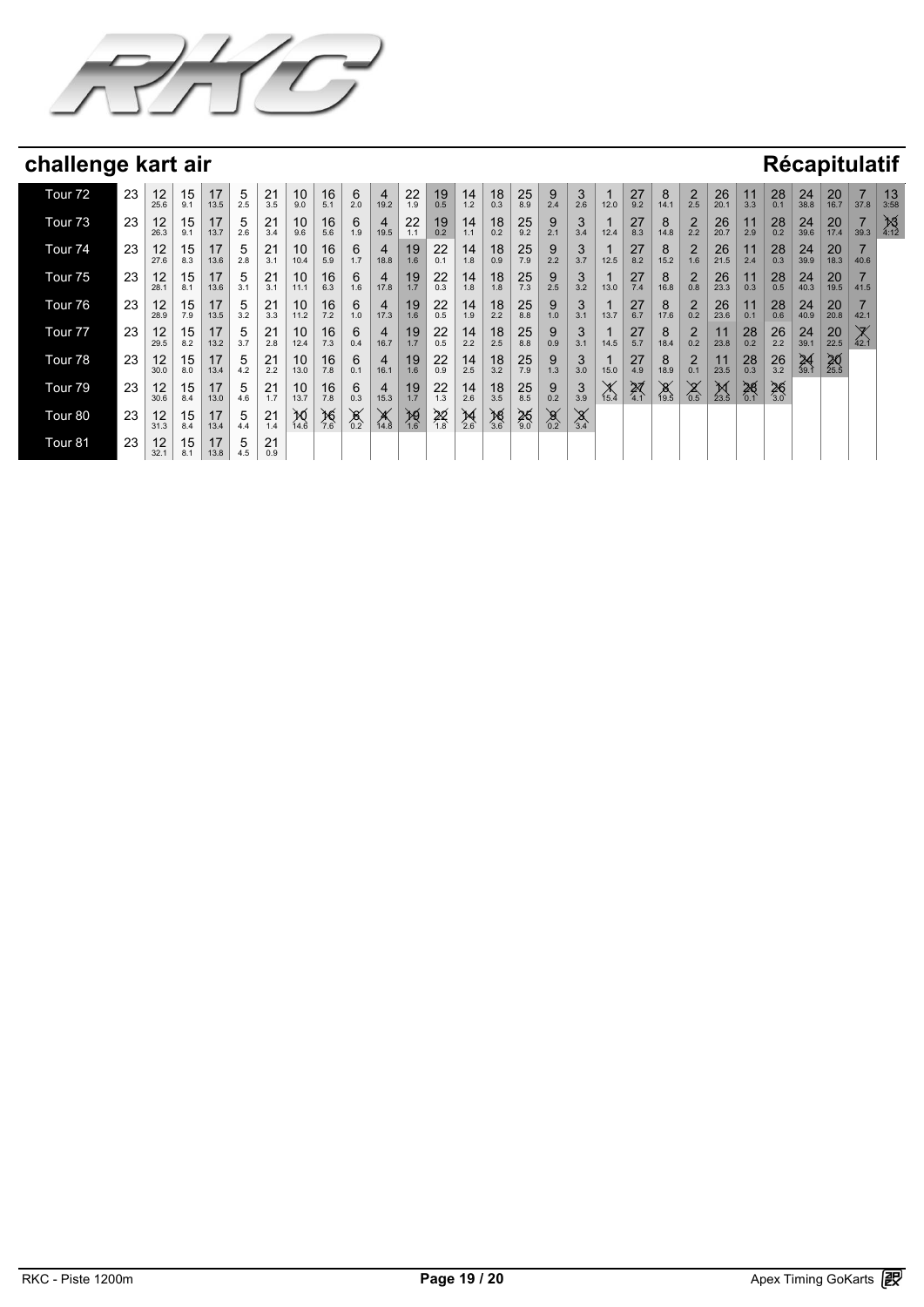

| Tour <sub>72</sub> | 23 | 12<br>25.6 | 15<br>9.1 | 17<br>13.5 | 5<br>2.5 | 21<br>3.5 | 10<br>9.0      | 16<br>5.1        | 6<br>2.0            | $\overline{4}$<br>19.2 | 22<br>1.9        | 19<br>0.5        | 14<br>1.2       | 18<br>0.3        | 25<br>8.9           | 9<br>2.4     | 3<br>2.6              | 12.0           | 27<br>9.2        | 8<br>14.1        | $\overline{2}$<br>2.5 | 26<br>20.1       | 11<br>3.3           | 28<br>0.1        | 24<br>38.8        | 20<br>16.7           | 37.8                                      | 13<br>3:58        |
|--------------------|----|------------|-----------|------------|----------|-----------|----------------|------------------|---------------------|------------------------|------------------|------------------|-----------------|------------------|---------------------|--------------|-----------------------|----------------|------------------|------------------|-----------------------|------------------|---------------------|------------------|-------------------|----------------------|-------------------------------------------|-------------------|
| Tour <sub>73</sub> | 23 | 12<br>26.3 | 15<br>9.1 | 17<br>13.7 | 5<br>2.6 | 21<br>3.4 | 10<br>9.6      | 16<br>5.6        | 6<br>1.9            | 4<br>19.5              | 22<br>1.1        | 19<br>0.2        | 14<br>1.1       | 18<br>0.2        | 25<br>9.2           | 9<br>2.1     | 3<br>3.4              | 12.4           | 27<br>8.3        | 8<br>14.8        | $^{2}_{2.2}$          | 26<br>20.7       | 11<br>2.9           | $^{28}_{0.2}$    | $\frac{24}{39.6}$ | $20$ <sub>17.4</sub> | 39.3                                      | $\frac{18}{4:12}$ |
| Tour <sub>74</sub> | 23 | 12<br>27.6 | 15<br>8.3 | 17<br>13.6 | 5<br>2.8 | 21<br>3.1 | 10<br>10.4     | 16<br>5.9        | 6<br>1.7            | 4<br>18.8              | 19<br>1.6        | 22<br>0.1        | 14<br>1.8       | 18<br>0.9        | 25<br>7.9           | 9<br>2.2     | $\frac{3}{3.7}$       | 12.5           | 27<br>8.2        | 8<br>15.2        | 2<br>1.6              | 26<br>21.5       | 11<br>2.4           | 28<br>0.3        | 24<br>39.9        | 20<br>18.3           | 40.6                                      |                   |
| Tour <sub>75</sub> | 23 | 12<br>28.1 | 15<br>8.1 | 17<br>13.6 | 5<br>3.1 | 21<br>3.1 | 10<br>11.1     | 16<br>6.3        | 6<br>1.6            | 4<br>17.8              | 19<br>1.7        | 22<br>0.3        | 14<br>1.8       | 18<br>1.8        | 25<br>7.3           | 9<br>2.5     | 3<br>3.2              | 13.0           | 27<br>7.4        | 8<br>16.8        | $\overline{2}$<br>0.8 | 26<br>23.3       | 11<br>0.3           | 28<br>0.5        | 24<br>40.3        | 20<br>19.5           | 41.5                                      |                   |
| Tour <sub>76</sub> | 23 | 12<br>28.9 | 15<br>7.9 | 17<br>13.5 | 5<br>3.2 | 21<br>3.3 | 10<br>11.2     | 16<br>7.2        | 6<br>1.0            | 4<br>17.3              | 19<br>1.6        | 22<br>0.5        | 14<br>1.9       | 18<br>2.2        | 25<br>8.8           | 9<br>1.0     | 3<br>3.1              | 13.7           | 27<br>6.7        | 8<br>17.6        | $^{2}_{0.2}$          | 26<br>23.6       | 11<br>0.1           | 28<br>0.6        | 24<br>40.9        | 20<br>20.8           | 42.1                                      |                   |
| Tour <sub>77</sub> | 23 | 12<br>29.5 | 15<br>8.2 | 17<br>13.2 | 5<br>3.7 | 21<br>2.8 | 10<br>12.4     | 16<br>7.3        | 6<br>0.4            | 4<br>16.7              | 19<br>1.7        | 22<br>0.5        | 14<br>2.2       | 18<br>2.5        | 25<br>8.8           | 9<br>0.9     | 3<br>3.1              | 14.5           | 27<br>5.7        | 8<br>18.4        | 2<br>0.2              | 11<br>23.8       | 28<br>0.2           | 26<br>2.2        | $\frac{24}{39.1}$ | $\frac{20}{22.5}$    | $\blacktriangledown$<br>$\binom{1}{42.1}$ |                   |
| Tour <sub>78</sub> | 23 | 12<br>30.0 | 15<br>8.0 | 17<br>13.4 | 5<br>4.2 | 21<br>2.2 | 10<br>13.0     | 16<br>7.8        | 6<br>0.1            | 4<br>16.1              | 19<br>1.6        | 22<br>0.9        | 14<br>2.5       | 18<br>3.2        | 25<br>7.9           | 9<br>1.3     | 3<br>3.0              | 15.0           | 27<br>4.9        | 8<br>18.9        | 2<br>0.1              | 11<br>23.5       | 28<br>0.3           | $\frac{26}{3.2}$ | $\frac{24}{39.1}$ | $20_{25.5}$          |                                           |                   |
| Tour <sub>79</sub> | 23 | 12<br>30.6 | 15<br>8.4 | 17<br>13.0 | 5<br>4.6 | 21<br>1.7 | 10<br>13.7     | 16<br>7.8        | 6<br>0.3            | 4<br>15.3              | 19<br>1.7        | 22<br>1.3        | 14<br>2.6       | 18<br>3.5        | 25<br>8.5           | 9<br>0.2     | 3<br>3.9              | $\chi$<br>15.4 | $\frac{27}{4.1}$ | $\frac{8}{19.5}$ | $X_{0.5}$             | $\frac{M}{23.5}$ | $28$ <sub>0.1</sub> | $\frac{26}{3.0}$ |                   |                      |                                           |                   |
| Tour <sub>80</sub> | 23 | 12<br>31.3 | 15<br>8.4 | 17<br>13.4 | 5<br>4.4 | 21<br>1.4 | $^{30}_{14.6}$ | $\frac{16}{7.6}$ | $\mathcal{B}_{0.2}$ | $\mathcal{A}_{14.8}$   | $\frac{10}{1.6}$ | $\frac{22}{1.8}$ | $\frac{1}{2.6}$ | $\frac{18}{3.6}$ | $25$ <sub>9.0</sub> | $\sum_{0.2}$ | $\chi$ <sub>3.4</sub> |                |                  |                  |                       |                  |                     |                  |                   |                      |                                           |                   |
| Tour <sub>81</sub> | 23 | 12<br>32.1 | 15<br>8.1 | 17<br>13.8 | 5<br>4.5 | 21<br>0.9 |                |                  |                     |                        |                  |                  |                 |                  |                     |              |                       |                |                  |                  |                       |                  |                     |                  |                   |                      |                                           |                   |